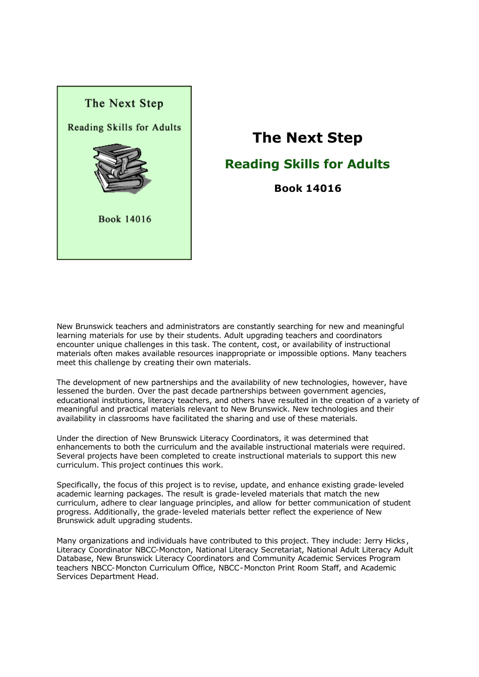

# **The Next Step**

## **Reading Skills for Adults**

**Book 14016**

New Brunswick teachers and administrators are constantly searching for new and meaningful learning materials for use by their students. Adult upgrading teachers and coordinators encounter unique challenges in this task. The content, cost, or availability of instructional materials often makes available resources inappropriate or impossible options. Many teachers meet this challenge by creating their own materials.

The development of new partnerships and the availability of new technologies, however, have lessened the burden. Over the past decade partnerships between government agencies, educational institutions, literacy teachers, and others have resulted in the creation of a variety of meaningful and practical materials relevant to New Brunswick. New technologies and their availability in classrooms have facilitated the sharing and use of these materials.

Under the direction of New Brunswick Literacy Coordinators, it was determined that enhancements to both the curriculum and the available instructional materials were required. Several projects have been completed to create instructional materials to support this new curriculum. This project continues this work.

Specifically, the focus of this project is to revise, update, and enhance existing grade-leveled academic learning packages. The result is grade-leveled materials that match the new curriculum, adhere to clear language principles, and allow for better communication of student progress. Additionally, the grade-leveled materials better reflect the experience of New Brunswick adult upgrading students.

Many organizations and individuals have contributed to this project. They include: Jerry Hicks , Literacy Coordinator NBCC-Moncton, National Literacy Secretariat, National Adult Literacy Adult Database, New Brunswick Literacy Coordinators and Community Academic Services Program teachers NBCC-Moncton Curriculum Office, NBCC-Moncton Print Room Staff, and Academic Services Department Head.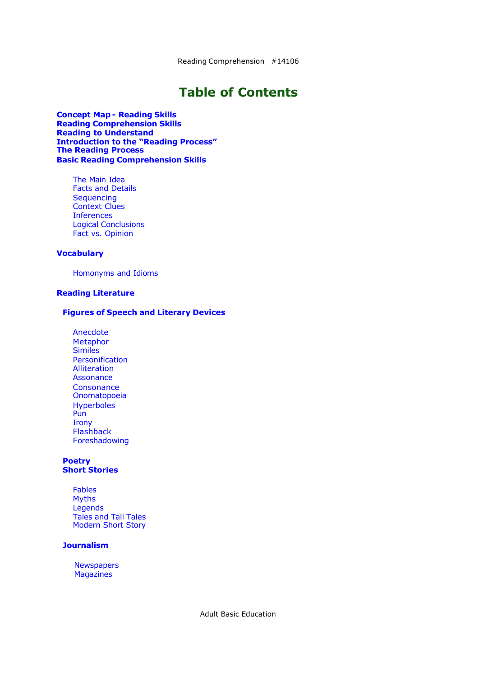## **Table of Contents**

**[Concept Map - Reading Skills](#page-2-0) [Reading Comprehension Skills](#page-2-0) [Reading to Understand](#page-2-0) [Introduction to the "Reading Process"](#page-3-0)  [The Reading Process](#page-4-0)  [Basic Reading Comprehension Skills](#page-9-0)**

[The Main Idea](#page-9-0) [Facts and Details](#page-12-0) **[Sequencing](#page-15-0)** [Context Clues](#page-18-0) [Inferences](#page-21-0) [Logical Conclusions](#page-23-0) [Fact vs. Opinion](#page-30-0)

#### **[Vocabulary](#page-32-0)**

[Homonyms and Idioms](#page-32-0)

#### **[Reading Literature](#page-42-0)**

#### **[Figures of Speech and Literary Devices](#page-43-0)**

[Anecdote](#page-43-0) [Metaphor](#page-43-0) **[Similes](#page-43-0)** [Personification](#page-44-0) [Alliteration](#page-44-0) [Assonance](#page-44-0) **[Consonance](#page-45-0)** [Onomatopoeia](#page-45-0) [Hyperboles](#page-45-0) [Pun](#page-45-0) **[Irony](#page-46-0)** [Flashback](#page-46-0) [Foreshadowing](#page-46-0) 

#### **[Poetry](#page-46-0) [Short Stories](#page-59-0)**

[Fables](#page-60-0) [Myths](#page-61-0) [Legends](#page-66-0) [Tales and Tall Tales](#page-66-0) [Modern Short Story](#page-81-0)

#### **[Journalism](#page-88-0)**

**[Newspapers](#page-89-0) Magazines**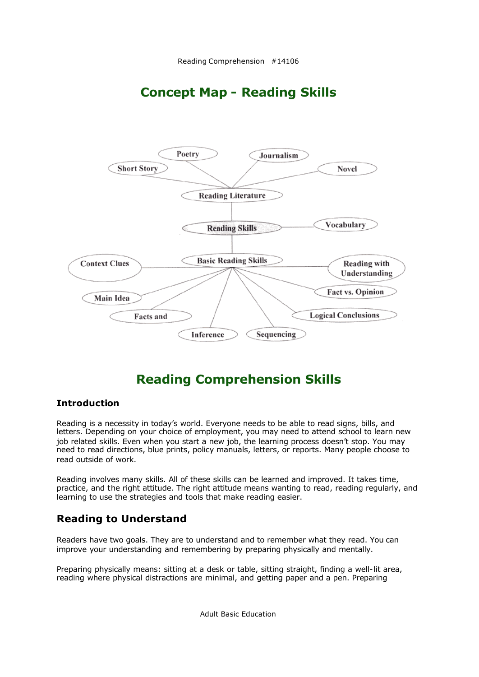# **Concept Map - Reading Skills**

<span id="page-2-0"></span>

# **Reading Comprehension Skills**

#### **Introduction**

Reading is a necessity in today's world. Everyone needs to be able to read signs, bills, and letters. Depending on your choice of employment, you may need to attend school to learn new job related skills. Even when you start a new job, the learning process doesn't stop. You may need to read directions, blue prints, policy manuals, letters, or reports. Many people choose to read outside of work.

Reading involves many skills. All of these skills can be learned and improved. It takes time, practice, and the right attitude. The right attitude means wanting to read, reading regularly, and learning to use the strategies and tools that make reading easier.

### **Reading to Understand**

Readers have two goals. They are to understand and to remember what they read. You can improve your understanding and remembering by preparing physically and mentally.

Preparing physically means: sitting at a desk or table, sitting straight, finding a well-lit area, reading where physical distractions are minimal, and getting paper and a pen. Preparing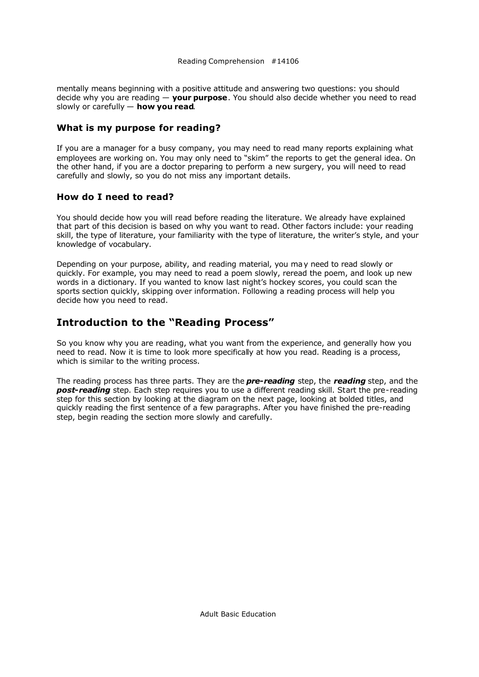<span id="page-3-0"></span>mentally means beginning with a positive attitude and answering two questions: you should decide why you are reading — **your purpose**. You should also decide whether you need to read slowly or carefully — **how you read**.

#### **What is my purpose for reading?**

If you are a manager for a busy company, you may need to read many reports explaining what employees are working on. You may only need to "skim" the reports to get the general idea. On the other hand, if you are a doctor preparing to perform a new surgery, you will need to read carefully and slowly, so you do not miss any important details.

#### **How do I need to read?**

You should decide how you will read before reading the literature. We already have explained that part of this decision is based on why you want to read. Other factors include: your reading skill, the type of literature, your familiarity with the type of literature, the writer's style, and your knowledge of vocabulary.

Depending on your purpose, ability, and reading material, you may need to read slowly or quickly. For example, you may need to read a poem slowly, reread the poem, and look up new words in a dictionary. If you wanted to know last night's hockey scores, you could scan the sports section quickly, skipping over information. Following a reading process will help you decide how you need to read.

### **Introduction to the "Reading Process"**

So you know why you are reading, what you want from the experience, and generally how you need to read. Now it is time to look more specifically at how you read. Reading is a process, which is similar to the writing process.

The reading process has three parts. They are the *pre-reading* step, the *reading* step, and the *post-reading* step. Each step requires you to use a different reading skill. Start the pre-reading step for this section by looking at the diagram on the next page, looking at bolded titles, and quickly reading the first sentence of a few paragraphs. After you have finished the pre-reading step, begin reading the section more slowly and carefully.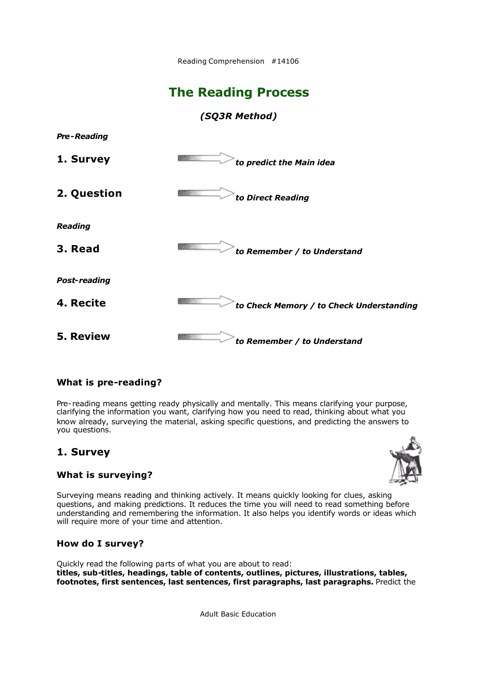# **The Reading Process**

*(SQ3R Method)*

<span id="page-4-0"></span>

#### **What is pre-reading?**

Pre-reading means getting ready physically and mentally. This means clarifying your purpose, clarifying the information you want, clarifying how you need to read, thinking about what you know already, surveying the material, asking specific questions, and predicting the answers to you questions.

### **1. Survey**



#### **What is surveying?**

Surveying means reading and thinking actively. It means quickly looking for clues, asking questions, and making predictions. It reduces the time you will need to read something before understanding and remembering the information. It also helps you identify words or ideas which will require more of your time and attention.

#### **How do I survey?**

Quickly read the following parts of what you are about to read: **titles, sub-titles, headings, table of contents, outlines, pictures, illustrations, tables, footnotes, first sentences, last sentences, first paragraphs, last paragraphs.** Predict the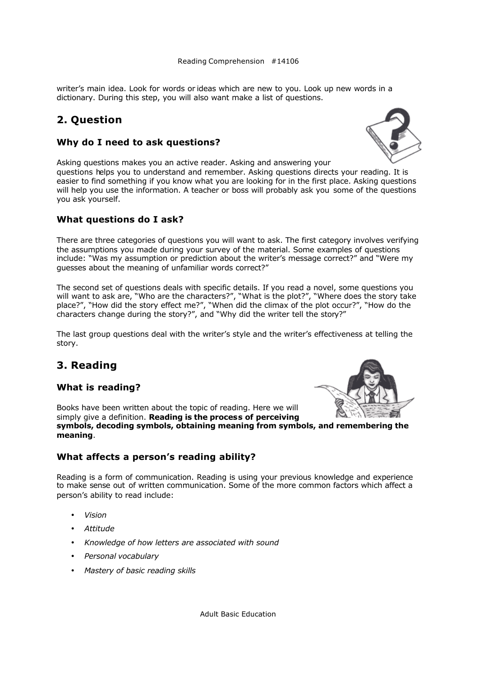writer's main idea. Look for words or ideas which are new to you. Look up new words in a dictionary. During this step, you will also want make a list of questions.

### **2. Question**

#### **Why do I need to ask questions?**

Asking questions makes you an active reader. Asking and answering your questions helps you to understand and remember. Asking questions directs your reading. It is easier to find something if you know what you are looking for in the first place. Asking questions will help you use the information. A teacher or boss will probably ask you some of the questions you ask yourself.

#### **What questions do I ask?**

There are three categories of questions you will want to ask. The first category involves verifying the assumptions you made during your survey of the material. Some examples of questions include: "Was my assumption or prediction about the writer's message correct?" and "Were my guesses about the meaning of unfamiliar words correct?"

The second set of questions deals with specific details. If you read a novel, some questions you will want to ask are, "Who are the characters?", "What is the plot?", "Where does the story take place?", "How did the story effect me?", "When did the climax of the plot occur?", "How do the characters change during the story?", and "Why did the writer tell the story?"

The last group questions deal with the writer's style and the writer's effectiveness at telling the story.

### **3. Reading**

#### **What is reading?**

Books have been written about the topic of reading. Here we will

simply give a definition. **Reading is the process of perceiving symbols, decoding symbols, obtaining meaning from symbols, and remembering the meaning**.

#### **What affects a person's reading ability?**

Reading is a form of communication. Reading is using your previous knowledge and experience to make sense out of written communication. Some of the more common factors which affect a person's ability to read include:

- *Vision*
- *Attitude*
- *Knowledge of how letters are associated with sound*
- *Personal vocabulary*
- *Mastery of basic reading skills*



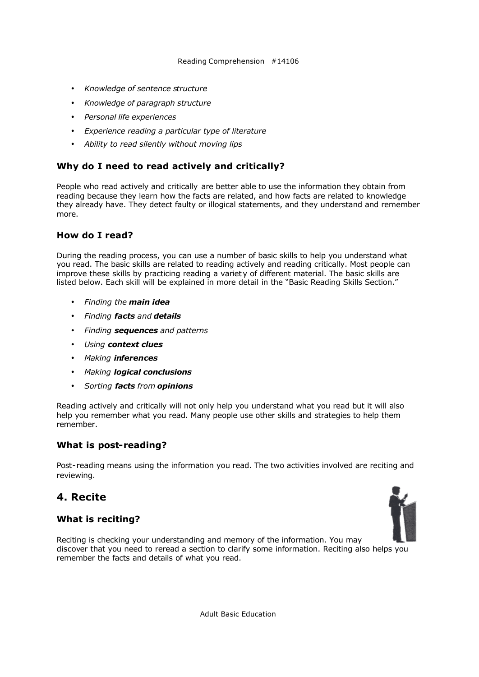- *Knowledge of sentence structure*
- *Knowledge of paragraph structure*
- *Personal life experiences*
- *Experience reading a particular type of literature*
- *Ability to read silently without moving lips*

#### **Why do I need to read actively and critically?**

People who read actively and critically are better able to use the information they obtain from reading because they learn how the facts are related, and how facts are related to knowledge they already have. They detect faulty or illogical statements, and they understand and remember more.

#### **How do I read?**

During the reading process, you can use a number of basic skills to help you understand what you read. The basic skills are related to reading actively and reading critically. Most people can improve these skills by practicing reading a variety of different material. The basic skills are listed below. Each skill will be explained in more detail in the "Basic Reading Skills Section."

- *Finding the main idea*
- *Finding facts and details*
- *Finding sequences and patterns*
- *Using context clues*
- *Making inferences*
- *Making logical conclusions*
- *Sorting facts from opinions*

Reading actively and critically will not only help you understand what you read but it will also help you remember what you read. Many people use other skills and strategies to help them remember.

#### **What is post-reading?**

Post-reading means using the information you read. The two activities involved are reciting and reviewing.

#### **4. Recite**

#### **What is reciting?**

Reciting is checking your understanding and memory of the information. You may discover that you need to reread a section to clarify some information. Reciting also helps you remember the facts and details of what you read.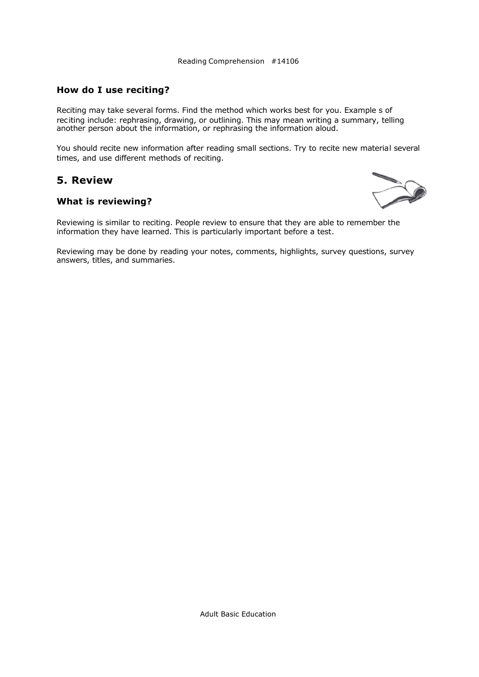#### **How do I use reciting?**

Reciting may take several forms. Find the method which works best for you. Example s of reciting include: rephrasing, drawing, or outlining. This may mean writing a summary, telling another person about the information, or rephrasing the information aloud.

You should recite new information after reading small sections. Try to recite new material several times, and use different methods of reciting.

#### **5. Review**

#### **What is reviewing?**



Reviewing is similar to reciting. People review to ensure that they are able to remember the information they have learned. This is particularly important before a test.

Reviewing may be done by reading your notes, comments, highlights, survey questions, survey answers, titles, and summaries.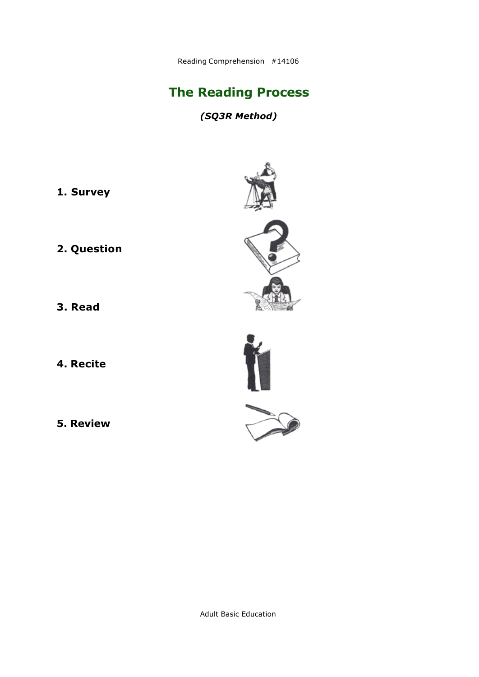# **The Reading Process**

*(SQ3R Method)* 

**1. Survey**

**2. Question**

**3. Read**

**4. Recite**

**5. Review**





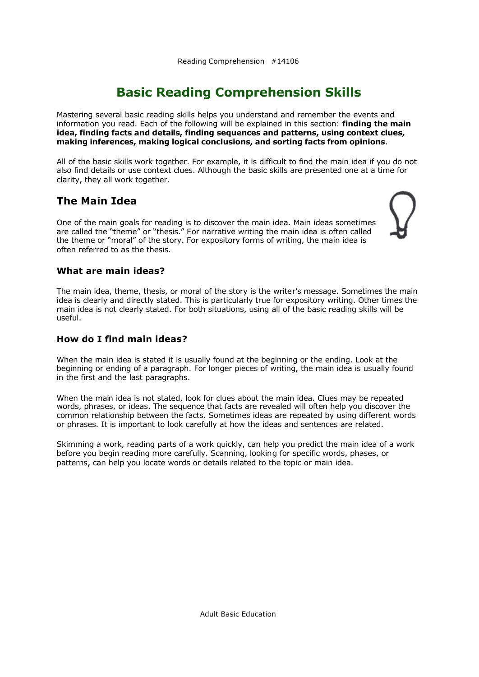# **Basic Reading Comprehension Skills**

<span id="page-9-0"></span>Mastering several basic reading skills helps you understand and remember the events and information you read. Each of the following will be explained in this section: **finding the main idea, finding facts and details, finding sequences and patterns, using context clues, making inferences, making logical conclusions, and sorting facts from opinions**.

All of the basic skills work together. For example, it is difficult to find the main idea if you do not also find details or use context clues. Although the basic skills are presented one at a time for clarity, they all work together.

### **The Main Idea**

One of the main goals for reading is to discover the main idea. Main ideas sometimes are called the "theme" or "thesis." For narrative writing the main idea is often called the theme or "moral" of the story. For expository forms of writing, the main idea is often referred to as the thesis.



#### **What are main ideas?**

The main idea, theme, thesis, or moral of the story is the writer's message. Sometimes the main idea is clearly and directly stated. This is particularly true for expository writing. Other times the main idea is not clearly stated. For both situations, using all of the basic reading skills will be useful.

#### **How do I find main ideas?**

When the main idea is stated it is usually found at the beginning or the ending. Look at the beginning or ending of a paragraph. For longer pieces of writing, the main idea is usually found in the first and the last paragraphs.

When the main idea is not stated, look for clues about the main idea. Clues may be repeated words, phrases, or ideas. The sequence that facts are revealed will often help you discover the common relationship between the facts. Sometimes ideas are repeated by using different words or phrases. It is important to look carefully at how the ideas and sentences are related.

Skimming a work, reading parts of a work quickly, can help you predict the main idea of a work before you begin reading more carefully. Scanning, looking for specific words, phases, or patterns, can help you locate words or details related to the topic or main idea.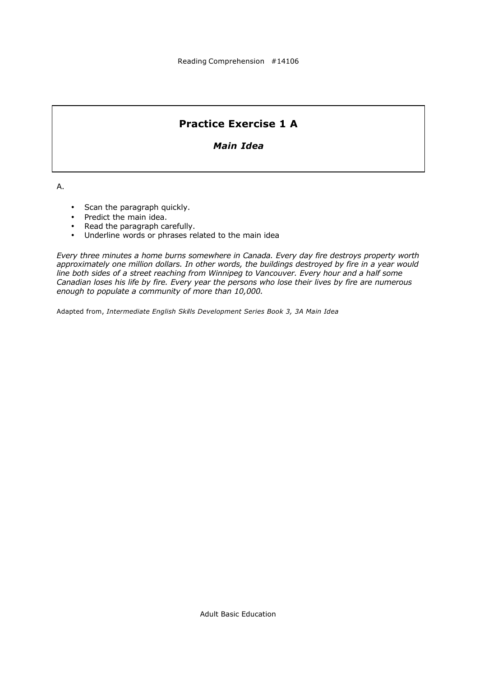### **Practice Exercise 1 A**

#### *Main Idea*

A.

- Scan the paragraph quickly.
- Predict the main idea.
- Read the paragraph carefully.
- Underline words or phrases related to the main idea

*Every three minutes a home burns somewhere in Canada. Every day fire destroys property worth approximately one million dollars. In other words, the buildings destroyed by fire in a year would line both sides of a street reaching from Winnipeg to Vancouver. Every hour and a half some Canadian loses his life by fire. Every year the persons who lose their lives by fire are numerous enough to populate a community of more than 10,000.* 

Adapted from, *Intermediate English Skills Development Series Book 3, 3A Main Idea*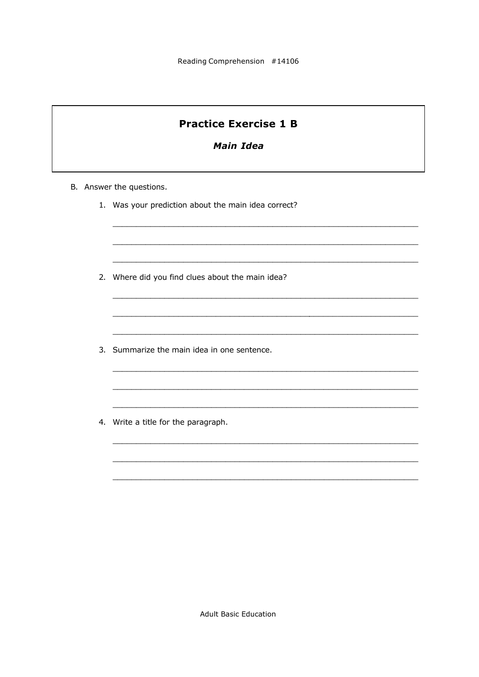### **Practice Exercise 1 B**

#### **Main Idea**

- B. Answer the questions.
	- 1. Was your prediction about the main idea correct?
	- 2. Where did you find clues about the main idea?
	- 3. Summarize the main idea in one sentence.
	- 4. Write a title for the paragraph.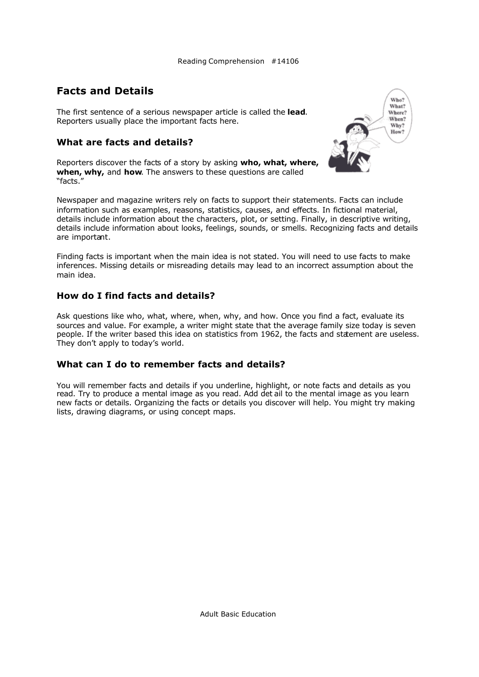### <span id="page-12-0"></span>**Facts and Details**

The first sentence of a serious newspaper article is called the **lead**. Reporters usually place the important facts here.

#### **What are facts and details?**

Reporters discover the facts of a story by asking **who, what, where, when, why,** and **how**. The answers to these questions are called "facts."



Finding facts is important when the main idea is not stated. You will need to use facts to make inferences. Missing details or misreading details may lead to an incorrect assumption about the main idea.

#### **How do I find facts and details?**

Ask questions like who, what, where, when, why, and how. Once you find a fact, evaluate its sources and value. For example, a writer might state that the average family size today is seven people. If the writer based this idea on statistics from 1962, the facts and statement are useless. They don't apply to today's world.

#### **What can I do to remember facts and details?**

You will remember facts and details if you underline, highlight, or note facts and details as you read. Try to produce a mental image as you read. Add det ail to the mental image as you learn new facts or details. Organizing the facts or details you discover will help. You might try making lists, drawing diagrams, or using concept maps.

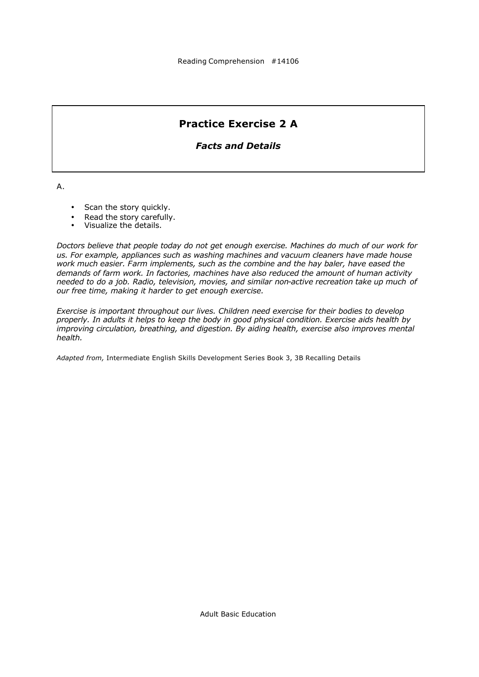### **Practice Exercise 2 A**

#### *Facts and Details*

A.

- Scan the story quickly.
- Read the story carefully.
- Visualize the details.

*Doctors believe that people today do not get enough exercise. Machines do much of our work for us. For example, appliances such as washing machines and vacuum cleaners have made house work much easier. Farm implements, such as the combine and the hay baler, have eased the demands of farm work. In factories, machines have also reduced the amount of human activity needed to do a job. Radio, television, movies, and similar non-active recreation take up much of our free time, making it harder to get enough exercise.* 

*Exercise is important throughout our lives. Children need exercise for their bodies to develop properly. In adults it helps to keep the body in good physical condition. Exercise aids health by improving circulation, breathing, and digestion. By aiding health, exercise also improves mental health.* 

*Adapted from,* Intermediate English Skills Development Series Book 3, 3B Recalling Details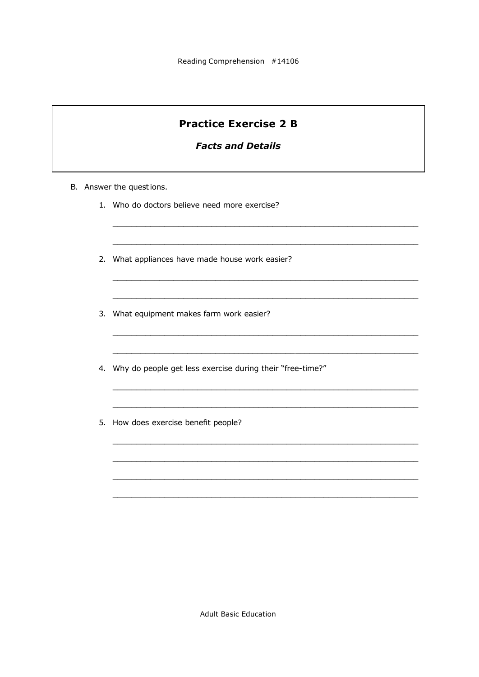### **Practice Exercise 2 B**

#### **Facts and Details**

- B. Answer the questions.
	- 1. Who do doctors believe need more exercise?
	- 2. What appliances have made house work easier?
	- 3. What equipment makes farm work easier?
	- 4. Why do people get less exercise during their "free-time?"
	- 5. How does exercise benefit people?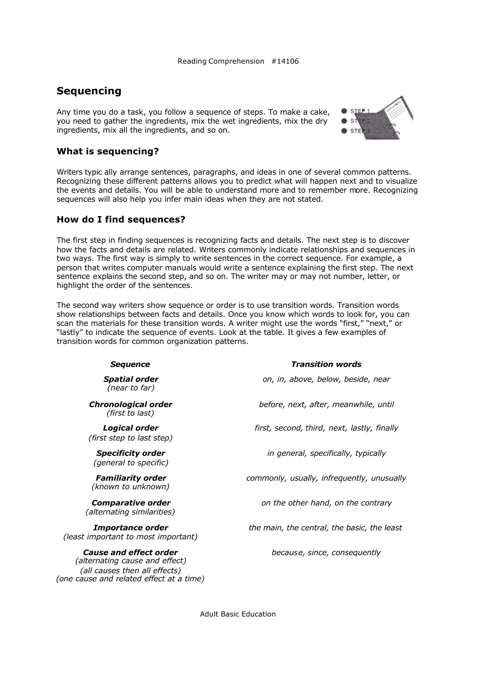### <span id="page-15-0"></span>**Sequencing**

Any time you do a task, you follow a sequence of steps. To make a cake, you need to gather the ingredients, mix the wet ingredients, mix the dry ingredients, mix all the ingredients, and so on.



#### **What is sequencing?**

Writers typic ally arrange sentences, paragraphs, and ideas in one of several common patterns. Recognizing these different patterns allows you to predict what will happen next and to visualize the events and details. You will be able to understand more and to remember more. Recognizing sequences will also help you infer main ideas when they are not stated.

#### **How do I find sequences?**

The first step in finding sequences is recognizing facts and details. The next step is to discover how the facts and details are related. Writers commonly indicate relationships and sequences in two ways. The first way is simply to write sentences in the correct sequence. For example, a person that writes computer manuals would write a sentence explaining the first step. The next sentence explains the second step, and so on. The writer may or may not number, letter, or highlight the order of the sentences.

The second way writers show sequence or order is to use transition words. Transition words show relationships between facts and details. Once you know which words to look for, you can scan the materials for these transition words. A writer might use the words "first," "next," or "lastly" to indicate the sequence of events. Look at the table. It gives a few examples of transition words for common organization patterns.

*Spatial order (near to far)* 

*Chronological order (first to last)* 

*Logical order (first step to last step)* 

*Specificity order (general to specific)* 

*Familiarity order (known to unknown)* 

*Comparative order (alternating similarities)* 

*Importance order (least important to most important)*

*Cause and effect order*

*(alternating cause and effect) (all causes then all effects) (one cause and related effect at a time)* 

#### *Sequence Transition words*

*on, in, above, below, beside, near* 

*before, next, after, meanwhile, until* 

*first, second, third, next, lastly, finally* 

*in general, specifically, typically* 

*commonly, usually, infrequently, unusually*

*on the other hand, on the contrary* 

*the main, the central, the basic, the least*

*because, since, consequently*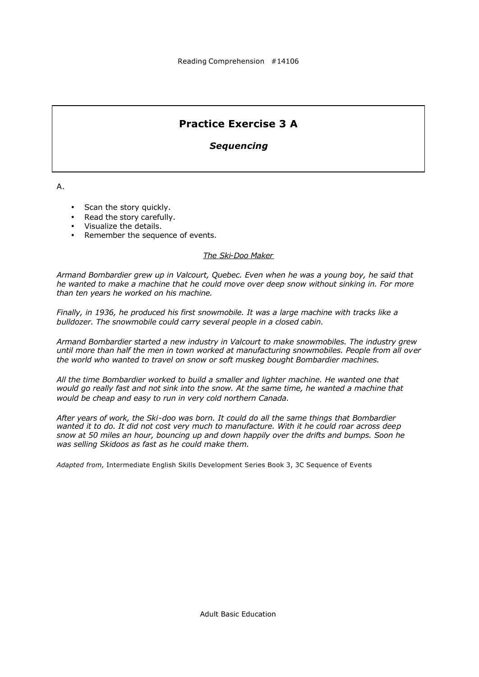### **Practice Exercise 3 A**

#### *Sequencing*

A.

- Scan the story quickly.
- Read the story carefully.
- Visualize the details.
- Remember the sequence of events.

#### *The Ski-Doo Maker*

*Armand Bombardier grew up in Valcourt, Quebec. Even when he was a young boy, he said that he wanted to make a machine that he could move over deep snow without sinking in. For more than ten years he worked on his machine.* 

*Finally, in 1936, he produced his first snowmobile. It was a large machine with tracks like a bulldozer. The snowmobile could carry several people in a closed cabin.* 

*Armand Bombardier started a new industry in Valcourt to make snowmobiles. The industry grew until more than half the men in town worked at manufacturing snowmobiles. People from all over the world who wanted to travel on snow or soft muskeg bought Bombardier machines.* 

*All the time Bombardier worked to build a smaller and lighter machine. He wanted one that would go really fast and not sink into the snow. At the same time, he wanted a machine that would be cheap and easy to run in very cold northern Canada.* 

*After years of work, the Ski-doo was born. It could do all the same things that Bombardier wanted it to do. It did not cost very much to manufacture. With it he could roar across deep snow at 50 miles an hour, bouncing up and down happily over the drifts and bumps. Soon he was selling Skidoos as fast as he could make them.* 

*Adapted from,* Intermediate English Skills Development Series Book 3, 3C Sequence of Events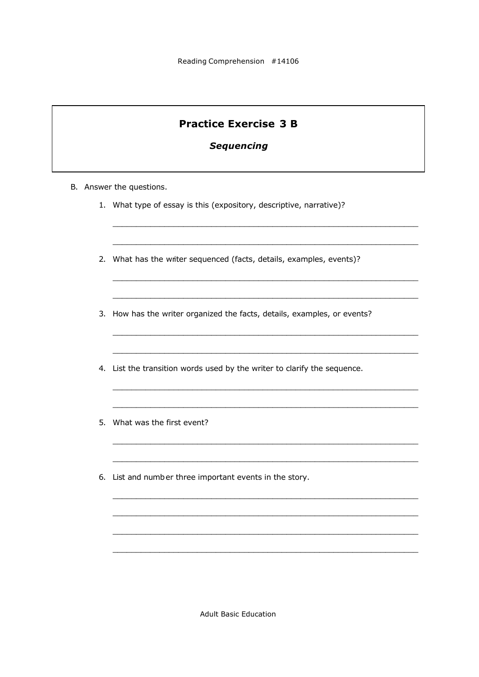### **Practice Exercise 3 B**

#### **Sequencing**

- B. Answer the questions.
	- 1. What type of essay is this (expository, descriptive, narrative)?
	- 2. What has the writer sequenced (facts, details, examples, events)?
	- 3. How has the writer organized the facts, details, examples, or events?
	- 4. List the transition words used by the writer to clarify the sequence.
	- 5. What was the first event?
	- 6. List and number three important events in the story.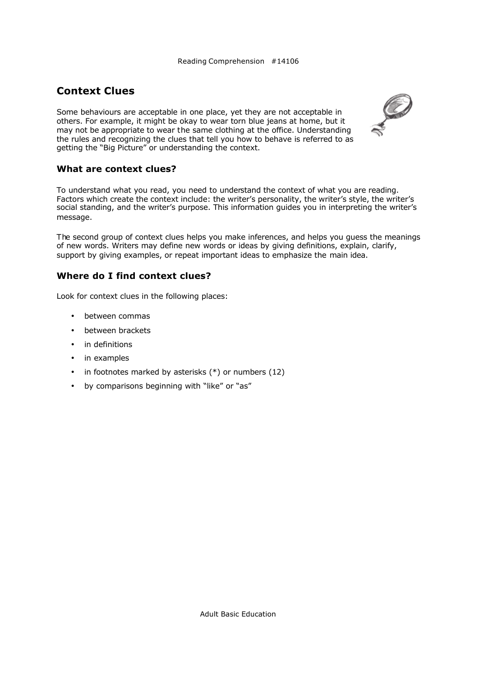### <span id="page-18-0"></span>**Context Clues**

Some behaviours are acceptable in one place, yet they are not acceptable in others. For example, it might be okay to wear torn blue jeans at home, but it may not be appropriate to wear the same clothing at the office. Understanding the rules and recognizing the clues that tell you how to behave is referred to as getting the "Big Picture" or understanding the context.



#### **What are context clues?**

To understand what you read, you need to understand the context of what you are reading. Factors which create the context include: the writer's personality, the writer's style, the writer's social standing, and the writer's purpose. This information guides you in interpreting the writer's message.

The second group of context clues helps you make inferences, and helps you guess the meanings of new words. Writers may define new words or ideas by giving definitions, explain, clarify, support by giving examples, or repeat important ideas to emphasize the main idea.

#### **Where do I find context clues?**

Look for context clues in the following places:

- between commas
- between brackets
- in definitions
- in examples
- in footnotes marked by asterisks  $(*)$  or numbers  $(12)$
- by comparisons beginning with "like" or "as"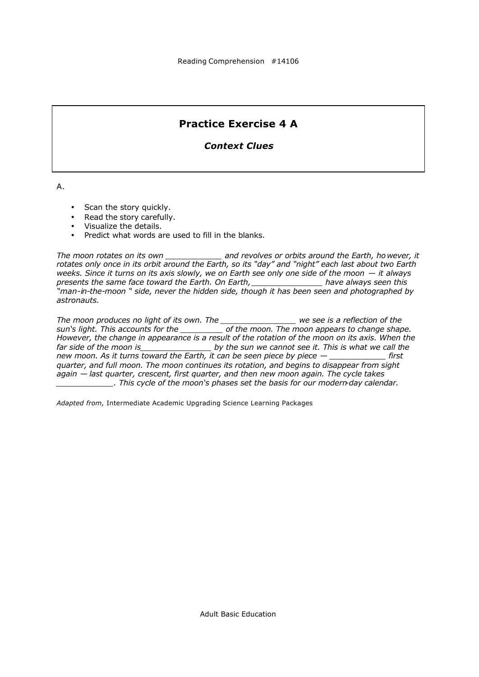### **Practice Exercise 4 A**

#### *Context Clues*

A.

- Scan the story quickly.
- Read the story carefully.
- Visualize the details.
- Predict what words are used to fill in the blanks.

*The moon rotates on its own \_\_\_\_\_\_\_\_\_\_\_\_ and revolves or orbits around the Earth, ho wever, it rotates only once in its orbit around the Earth, so its "day" and "night" each last about two Earth weeks. Since it turns on its axis slowly, we on Earth see only one side of the moon — it always presents the same face toward the Earth. On Earth, \_\_\_\_\_\_\_\_\_\_\_\_\_\_\_ have always seen this "man-in-the-moon " side, never the hidden side, though it has been seen and photographed by astronauts.* 

*The moon produces no light of its own. The \_\_\_\_\_\_\_\_\_\_\_\_\_\_\_\_ we see is a reflection of the sun's light. This accounts for the \_\_\_\_\_\_\_\_\_ of the moon. The moon appears to change shape. However, the change in appearance is a result of the rotation of the moon on its axis. When the far side of the moon is\_\_\_\_\_\_\_\_\_\_\_\_\_\_\_ by the sun we cannot see it. This is what we call the new moon. As it turns toward the Earth, it can be seen piece by piece — \_\_\_\_\_\_\_\_\_\_\_\_ first quarter, and full moon. The moon continues its rotation, and begins to disappear from sight again — last quarter, crescent, first quarter, and then new moon again. The cycle takes \_\_\_\_\_\_\_\_\_\_\_\_. This cycle of the moon's phases set the basis for our modern-day calendar.* 

*Adapted from,* Intermediate Academic Upgrading Science Learning Packages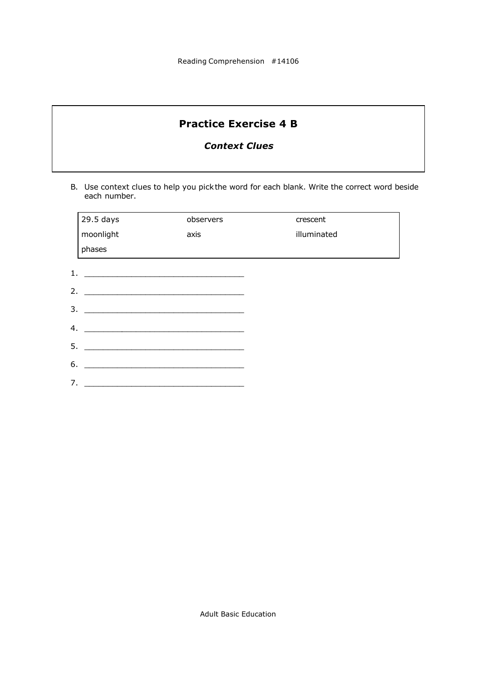## **Practice Exercise 4 B**

### *Context Clues*

B. Use context clues to help you pick the word for each blank. Write the correct word beside each number.

|    | 29.5 days                                                                                                                                                                                                                                                                                                                                                                                                                        | observers | crescent    |
|----|----------------------------------------------------------------------------------------------------------------------------------------------------------------------------------------------------------------------------------------------------------------------------------------------------------------------------------------------------------------------------------------------------------------------------------|-----------|-------------|
|    | moonlight                                                                                                                                                                                                                                                                                                                                                                                                                        | axis      | illuminated |
|    | phases                                                                                                                                                                                                                                                                                                                                                                                                                           |           |             |
|    | 1. $\overline{\phantom{a}}$ 1. $\overline{\phantom{a}}$ 1. $\overline{\phantom{a}}$ 1. $\overline{\phantom{a}}$ 1. $\overline{\phantom{a}}$ 1. $\overline{\phantom{a}}$ 1. $\overline{\phantom{a}}$ 1. $\overline{\phantom{a}}$ 1. $\overline{\phantom{a}}$ 1. $\overline{\phantom{a}}$ 1. $\overline{\phantom{a}}$ 1. $\overline{\phantom{a}}$ 1. $\overline{\phantom{a}}$ 1. $\overline{\phantom{a}}$ 1. $\overline{\phantom{$ |           |             |
|    | $2.$ $\overline{\phantom{a}}$                                                                                                                                                                                                                                                                                                                                                                                                    |           |             |
|    |                                                                                                                                                                                                                                                                                                                                                                                                                                  |           |             |
|    |                                                                                                                                                                                                                                                                                                                                                                                                                                  |           |             |
|    |                                                                                                                                                                                                                                                                                                                                                                                                                                  |           |             |
| 6. |                                                                                                                                                                                                                                                                                                                                                                                                                                  |           |             |
|    | 7. $\qquad \qquad$                                                                                                                                                                                                                                                                                                                                                                                                               |           |             |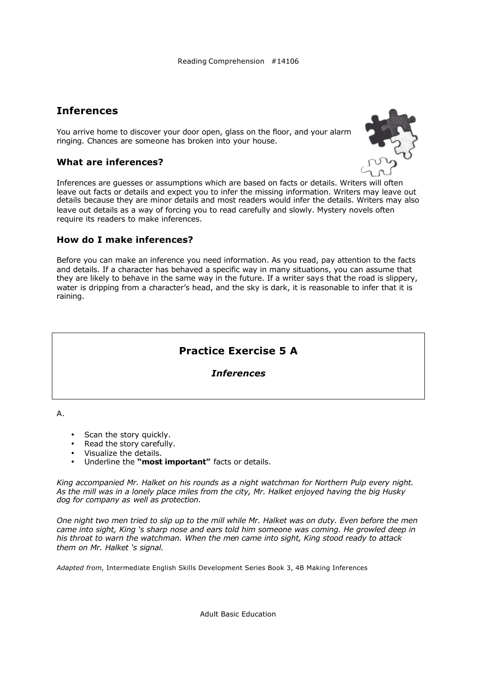### <span id="page-21-0"></span>**Inferences**

You arrive home to discover your door open, glass on the floor, and your alarm ringing. Chances are someone has broken into your house.

#### **What are inferences?**



Inferences are guesses or assumptions which are based on facts or details. Writers will often leave out facts or details and expect you to infer the missing information. Writers may leave out details because they are minor details and most readers would infer the details. Writers may also leave out details as a way of forcing you to read carefully and slowly. Mystery novels often require its readers to make inferences.

### **How do I make inferences?**

Before you can make an inference you need information. As you read, pay attention to the facts and details. If a character has behaved a specific way in many situations, you can assume that they are likely to behave in the same way in the future. If a writer says that the road is slippery, water is dripping from a character's head, and the sky is dark, it is reasonable to infer that it is raining.

### **Practice Exercise 5 A**

*Inferences*

A.

- Scan the story quickly.
- Read the story carefully.
- Visualize the details.
- Underline the **"most important"** facts or details.

*King accompanied Mr. Halket on his rounds as a night watchman for Northern Pulp every night. As the mill was in a lonely place miles from the city, Mr. Halket enjoyed having the big Husky dog for company as well as protection.* 

*One night two men tried to slip up to the mill while Mr. Halket was on duty. Even before the men came into sight, King 's sharp nose and ears told him someone was coming. He growled deep in his throat to warn the watchman. When the men came into sight, King stood ready to attack them on Mr. Halket 's signal.* 

*Adapted from,* Intermediate English Skills Development Series Book 3, 4B Making Inferences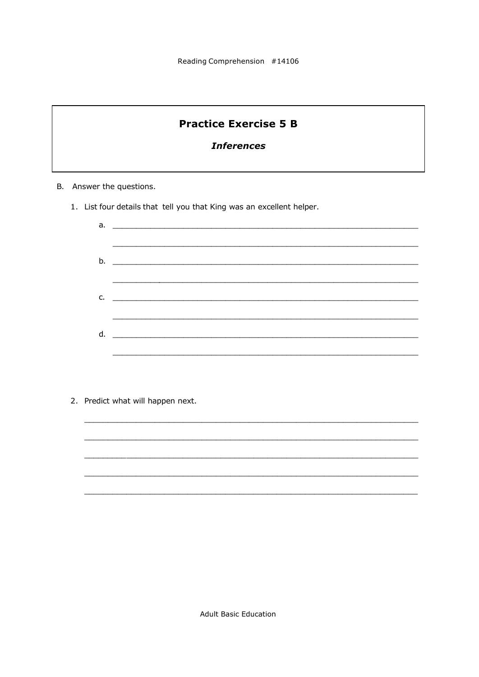### **Practice Exercise 5 B**

#### **Inferences**

- B. Answer the questions.
	- 1. List four details that tell you that King was an excellent helper.
		- $\mathsf{a.}$  . The contract of  $\mathsf{a.}$  $C.$
	- 2. Predict what will happen next.

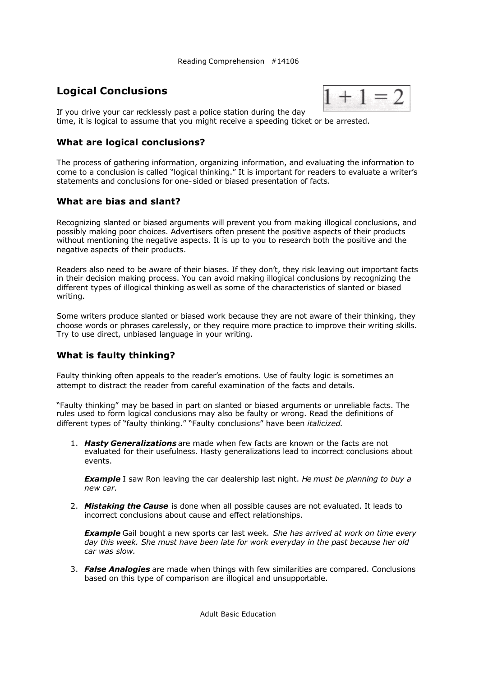### <span id="page-23-0"></span>**Logical Conclusions**



If you drive your car recklessly past a police station during the day time, it is logical to assume that you might receive a speeding ticket or be arrested.

#### **What are logical conclusions?**

The process of gathering information, organizing information, and evaluating the information to come to a conclusion is called "logical thinking." It is important for readers to evaluate a writer's statements and conclusions for one-sided or biased presentation of facts.

#### **What are bias and slant?**

Recognizing slanted or biased arguments will prevent you from making illogical conclusions, and possibly making poor choices. Advertisers often present the positive aspects of their products without mentioning the negative aspects. It is up to you to research both the positive and the negative aspects of their products.

Readers also need to be aware of their biases. If they don't, they risk leaving out important facts in their decision making process. You can avoid making illogical conclusions by recognizing the different types of illogical thinking as well as some of the characteristics of slanted or biased writing.

Some writers produce slanted or biased work because they are not aware of their thinking, they choose words or phrases carelessly, or they require more practice to improve their writing skills. Try to use direct, unbiased language in your writing.

#### **What is faulty thinking?**

Faulty thinking often appeals to the reader's emotions. Use of faulty logic is sometimes an attempt to distract the reader from careful examination of the facts and details.

"Faulty thinking" may be based in part on slanted or biased arguments or unreliable facts. The rules used to form logical conclusions may also be faulty or wrong. Read the definitions of different types of "faulty thinking." "Faulty conclusions" have been *italicized*.

1. *Hasty Generalizations* are made when few facts are known or the facts are not evaluated for their usefulness. Hasty generalizations lead to incorrect conclusions about events.

*Example* I saw Ron leaving the car dealership last night. *He must be planning to buy a new car.*

2. *Mistaking the Cause* is done when all possible causes are not evaluated. It leads to incorrect conclusions about cause and effect relationships.

*Example* Gail bought a new sports car last week. *She has arrived at work on time every*  day this week. She must have been late for work everyday in the past because her old *car was slow.*

3. *False Analogies* are made when things with few similarities are compared. Conclusions based on this type of comparison are illogical and unsupportable.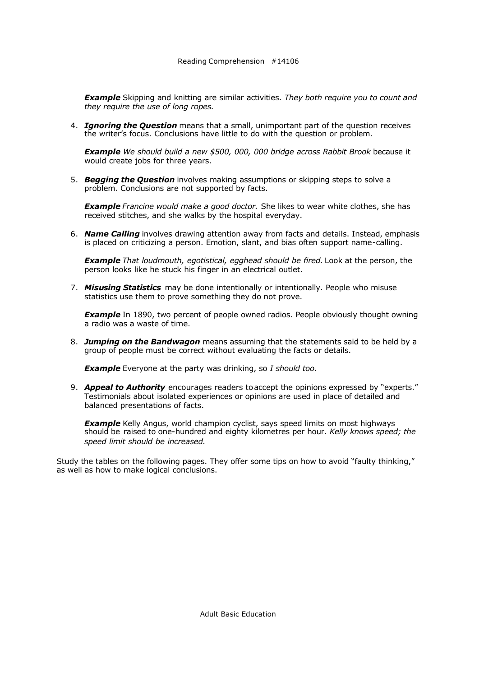*Example* Skipping and knitting are similar activities. *They both require you to count and they require the use of long ropes.*

4. *Ignoring the Question* means that a small, unimportant part of the question receives the writer's focus. Conclusions have little to do with the question or problem.

*Example We should build a new \$500, 000, 000 bridge across Rabbit Brook* because it would create jobs for three years.

5. *Begging the Question* involves making assumptions or skipping steps to solve a problem. Conclusions are not supported by facts.

*Example Francine would make a good doctor.* She likes to wear white clothes, she has received stitches, and she walks by the hospital everyday.

6. *Name Calling* involves drawing attention away from facts and details. Instead, emphasis is placed on criticizing a person. Emotion, slant, and bias often support name-calling.

*Example That loudmouth, egotistical, egghead should be fired.* Look at the person, the person looks like he stuck his finger in an electrical outlet.

7. *Misusing Statistics* may be done intentionally or intentionally. People who misuse statistics use them to prove something they do not prove.

**Example** In 1890, two percent of people owned radios. People obviously thought owning a radio was a waste of time.

8. *Jumping on the Bandwagon* means assuming that the statements said to be held by a group of people must be correct without evaluating the facts or details.

*Example* Everyone at the party was drinking, so *I should too.*

9. *Appeal to Authority* encourages readers to accept the opinions expressed by "experts." Testimonials about isolated experiences or opinions are used in place of detailed and balanced presentations of facts.

**Example** Kelly Angus, world champion cyclist, says speed limits on most highways should be raised to one-hundred and eighty kilometres per hour. *Kelly knows speed; the speed limit should be increased.*

Study the tables on the following pages. They offer some tips on how to avoid "faulty thinking," as well as how to make logical conclusions.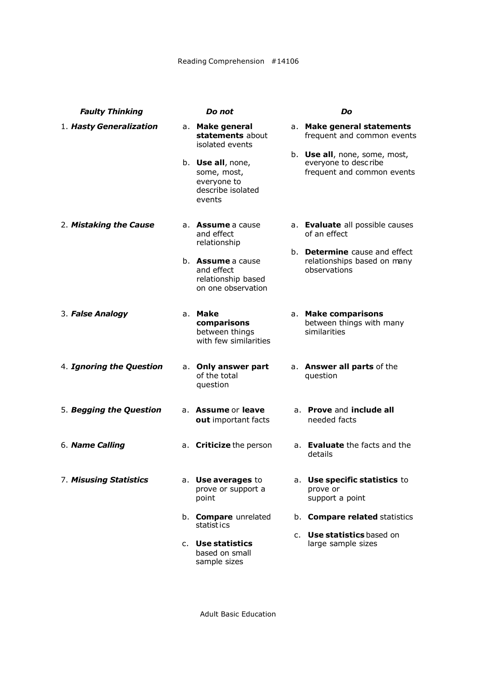| <b>Faulty Thinking</b>   | Do not                                                                                                                                       | Do                                                                                                                                              |
|--------------------------|----------------------------------------------------------------------------------------------------------------------------------------------|-------------------------------------------------------------------------------------------------------------------------------------------------|
| 1. Hasty Generalization  | a. Make general<br>statements about<br>isolated events<br>b. Use all, none,<br>some, most,<br>everyone to<br>describe isolated<br>events     | a. Make general statements<br>frequent and common events<br>b. Use all, none, some, most,<br>everyone to describe<br>frequent and common events |
| 2. Mistaking the Cause   | a. <b>Assume</b> a cause<br>and effect<br>relationship<br>b. <b>Assume</b> a cause<br>and effect<br>relationship based<br>on one observation | a. Evaluate all possible causes<br>of an effect<br>b. <b>Determine</b> cause and effect<br>relationships based on many<br>observations          |
| 3. False Analogy         | a. Make<br>comparisons<br>between things<br>with few similarities                                                                            | a. Make comparisons<br>between things with many<br>similarities                                                                                 |
| 4. Ignoring the Question | a. Only answer part<br>of the total<br>question                                                                                              | a. Answer all parts of the<br>question                                                                                                          |
| 5. Begging the Question  | a. Assume or leave<br>out important facts                                                                                                    | a. Prove and include all<br>needed facts                                                                                                        |
| 6. Name Calling          | a. Criticize the person                                                                                                                      | a. Evaluate the facts and the<br>details                                                                                                        |
| 7. Misusing Statistics   | a. Use averages to<br>prove or support a<br>point                                                                                            | a. Use specific statistics to<br>prove or<br>support a point                                                                                    |
|                          | b. <b>Compare</b> unrelated<br><b>statistics</b>                                                                                             | b. <b>Compare related</b> statistics                                                                                                            |
|                          | c. Use statistics<br>based on small<br>sample sizes                                                                                          | c. Use statistics based on<br>large sample sizes                                                                                                |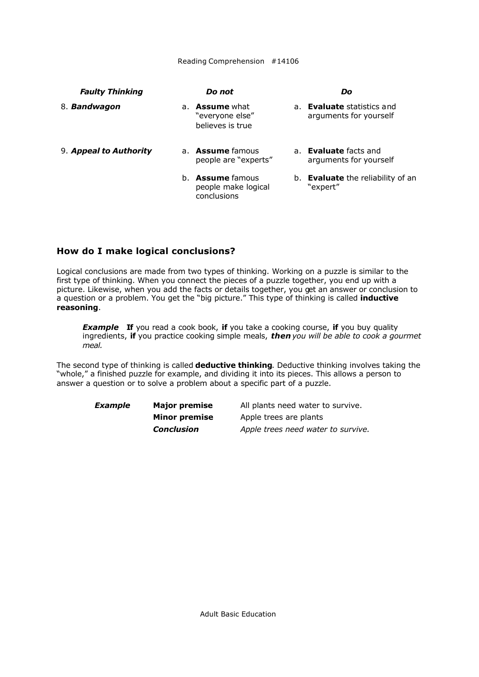| <b>Faulty Thinking</b> | Do not                                                        | Do                                                          |
|------------------------|---------------------------------------------------------------|-------------------------------------------------------------|
| 8. <b>Bandwagon</b>    | a. <b>Assume</b> what<br>"everyone else"<br>believes is true  | a. <b>Evaluate</b> statistics and<br>arguments for yourself |
| 9. Appeal to Authority | a. <b>Assume</b> famous<br>people are "experts"               | a. <b>Evaluate</b> facts and<br>arguments for yourself      |
|                        | b. <b>Assume</b> famous<br>people make logical<br>conclusions | b. <b>Evaluate</b> the reliability of an<br>"expert"        |

#### **How do I make logical conclusions?**

Logical conclusions are made from two types of thinking. Working on a puzzle is similar to the first type of thinking. When you connect the pieces of a puzzle together, you end up with a picture. Likewise, when you add the facts or details together, you get an answer or conclusion to a question or a problem. You get the "big picture." This type of thinking is called **inductive reasoning**.

*Example* **If** you read a cook book, **if** you take a cooking course, **if** you buy quality ingredients, **if** you practice cooking simple meals, *then you will be able to cook a gourmet meal.*

The second type of thinking is called **deductive thinking**. Deductive thinking involves taking the "whole," a finished puzzle for example, and dividing it into its pieces. This allows a person to answer a question or to solve a problem about a specific part of a puzzle.

> **Example Major premise** All plants need water to survive. **Minor premise** Apple trees are plants *Conclusion Apple trees need water to survive.*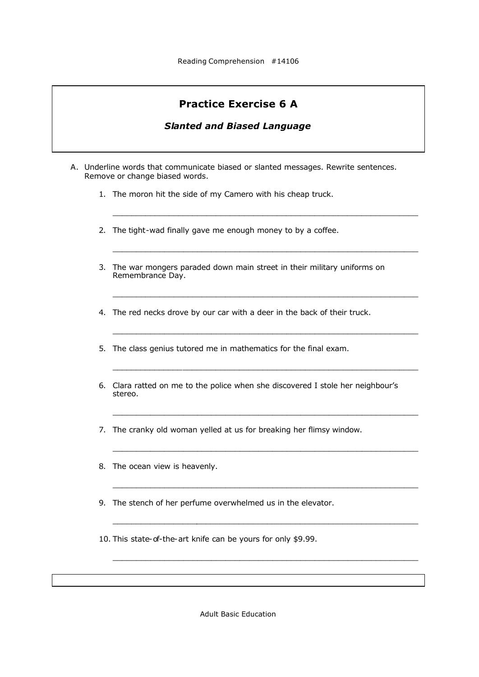### **Practice Exercise 6 A**

#### *Slanted and Biased Language*

- A. Underline words that communicate biased or slanted messages. Rewrite sentences. Remove or change biased words.
	- 1. The moron hit the side of my Camero with his cheap truck.
	- 2. The tight-wad finally gave me enough money to by a coffee.
	- 3. The war mongers paraded down main street in their military uniforms on Remembrance Day.

 $\mathcal{L}_\mathcal{L}$  , and the set of the set of the set of the set of the set of the set of the set of the set of the set of the set of the set of the set of the set of the set of the set of the set of the set of the set of th

 $\mathcal{L}_\mathcal{L}$  , and the contribution of the contribution of the contribution of the contribution of the contribution of the contribution of the contribution of the contribution of the contribution of the contribution of

 $\mathcal{L}_\mathcal{L}$  , and the set of the set of the set of the set of the set of the set of the set of the set of the set of the set of the set of the set of the set of the set of the set of the set of the set of the set of th

 $\_$  ,  $\_$  ,  $\_$  ,  $\_$  ,  $\_$  ,  $\_$  ,  $\_$  ,  $\_$  ,  $\_$  ,  $\_$  ,  $\_$  ,  $\_$  ,  $\_$  ,  $\_$  ,  $\_$  ,  $\_$  ,  $\_$  ,  $\_$  ,  $\_$ 

\_\_\_\_\_\_\_\_\_\_\_\_\_\_\_\_\_\_\_\_\_\_\_\_\_\_\_\_\_\_\_\_\_\_\_\_\_\_\_\_\_\_\_\_\_\_\_\_\_\_\_\_\_\_\_\_\_\_\_\_\_\_\_\_\_

 $\_$  ,  $\_$  ,  $\_$  ,  $\_$  ,  $\_$  ,  $\_$  ,  $\_$  ,  $\_$  ,  $\_$  ,  $\_$  ,  $\_$  ,  $\_$  ,  $\_$  ,  $\_$  ,  $\_$  ,  $\_$  ,  $\_$  ,  $\_$  ,  $\_$ 

 $\_$  ,  $\_$  ,  $\_$  ,  $\_$  ,  $\_$  ,  $\_$  ,  $\_$  ,  $\_$  ,  $\_$  ,  $\_$  ,  $\_$  ,  $\_$  ,  $\_$  ,  $\_$  ,  $\_$  ,  $\_$  ,  $\_$  ,  $\_$  ,  $\_$ 

 $\_$  ,  $\_$  ,  $\_$  ,  $\_$  ,  $\_$  ,  $\_$  ,  $\_$  ,  $\_$  ,  $\_$  ,  $\_$  ,  $\_$  ,  $\_$  ,  $\_$  ,  $\_$  ,  $\_$  ,  $\_$  ,  $\_$  ,  $\_$  ,  $\_$ 

 $\Box$ 

\_\_\_\_\_\_\_\_\_\_\_\_\_\_\_\_\_\_\_\_\_\_\_\_\_\_\_\_\_\_\_\_\_\_\_\_\_\_\_\_\_\_\_\_\_\_\_\_\_\_\_\_\_\_\_\_\_\_\_\_\_\_\_\_\_

- 4. The red necks drove by our car with a deer in the back of their truck.
- 5. The class genius tutored me in mathematics for the final exam.
- 6. Clara ratted on me to the police when she discovered I stole her neighbour's stereo.
- 7. The cranky old woman yelled at us for breaking her flimsy window.
- 8. The ocean view is heavenly.
- 9. The stench of her perfume overwhelmed us in the elevator.
- 10. This state-of-the-art knife can be yours for only \$9.99.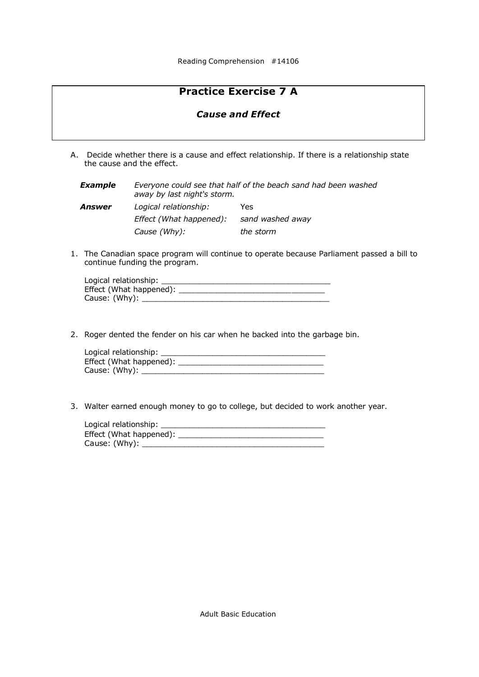### **Practice Exercise 7 A**

#### *Cause and Effect*

A. Decide whether there is a cause and effect relationship. If there is a relationship state the cause and the effect.

| <i><b>Example</b></i> | Everyone could see that half of the beach sand had been washed<br>away by last night's storm. |                  |  |  |
|-----------------------|-----------------------------------------------------------------------------------------------|------------------|--|--|
| <b>Answer</b>         | Logical relationship:                                                                         | Yes              |  |  |
|                       | Effect (What happened):                                                                       | sand washed away |  |  |
|                       | Cause (Why):                                                                                  | the storm        |  |  |

1. The Canadian space program will continue to operate because Parliament passed a bill to continue funding the program.

| Logical relationship:   |  |
|-------------------------|--|
| Effect (What happened): |  |
| Cause: (Why):           |  |

2. Roger dented the fender on his car when he backed into the garbage bin.

| Logical relationship:   |  |
|-------------------------|--|
| Effect (What happened): |  |
| Cause: (Why):           |  |

3. Walter earned enough money to go to college, but decided to work another year.

| Logical relationship:   |  |
|-------------------------|--|
| Effect (What happened): |  |
| Cause: (Why):           |  |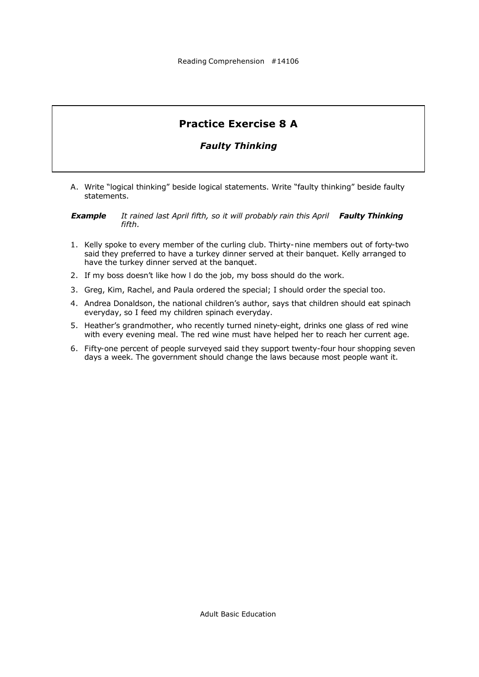### **Practice Exercise 8 A**

#### *Faulty Thinking*

A. Write "logical thinking" beside logical statements. Write "faulty thinking" beside faulty statements.

*Example It rained last April fifth, so it will probably rain this April Faulty Thinking fifth.*

- 1. Kelly spoke to every member of the curling club. Thirty-nine members out of forty-two said they preferred to have a turkey dinner served at their banquet. Kelly arranged to have the turkey dinner served at the banquet.
- 2. If my boss doesn't like how l do the job, my boss should do the work.
- 3. Greg, Kim, Rachel, and Paula ordered the special; I should order the special too.
- 4. Andrea Donaldson, the national children's author, says that children should eat spinach everyday, so I feed my children spinach everyday.
- 5. Heather's grandmother, who recently turned ninety-eight, drinks one glass of red wine with every evening meal. The red wine must have helped her to reach her current age.
- 6. Fifty-one percent of people surveyed said they support twenty-four hour shopping seven days a week. The government should change the laws because most people want it.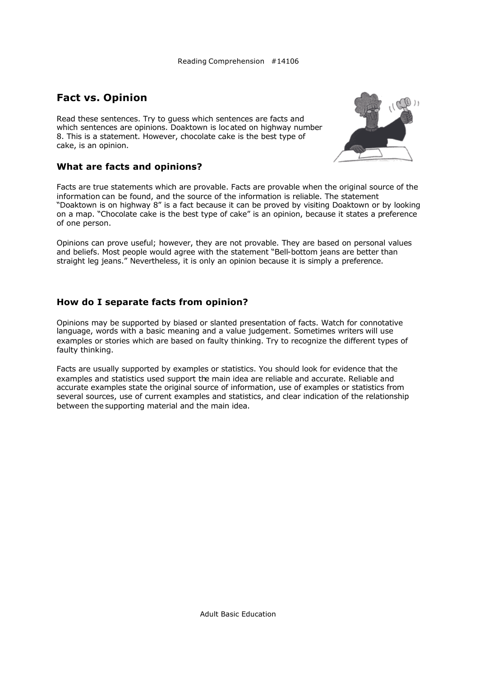### <span id="page-30-0"></span>**Fact vs. Opinion**

Read these sentences. Try to guess which sentences are facts and which sentences are opinions. Doaktown is located on highway number 8. This is a statement. However, chocolate cake is the best type of cake, is an opinion.



#### **What are facts and opinions?**

Facts are true statements which are provable. Facts are provable when the original source of the information can be found, and the source of the information is reliable. The statement "Doaktown is on highway 8" is a fact because it can be proved by visiting Doaktown or by looking on a map. "Chocolate cake is the best type of cake" is an opinion, because it states a preference of one person.

Opinions can prove useful; however, they are not provable. They are based on personal values and beliefs. Most people would agree with the statement "Bell-bottom jeans are better than straight leg jeans." Nevertheless, it is only an opinion because it is simply a preference.

### **How do I separate facts from opinion?**

Opinions may be supported by biased or slanted presentation of facts. Watch for connotative language, words with a basic meaning and a value judgement. Sometimes writers will use examples or stories which are based on faulty thinking. Try to recognize the different types of faulty thinking.

Facts are usually supported by examples or statistics. You should look for evidence that the examples and statistics used support the main idea are reliable and accurate. Reliable and accurate examples state the original source of information, use of examples or statistics from several sources, use of current examples and statistics, and clear indication of the relationship between the supporting material and the main idea.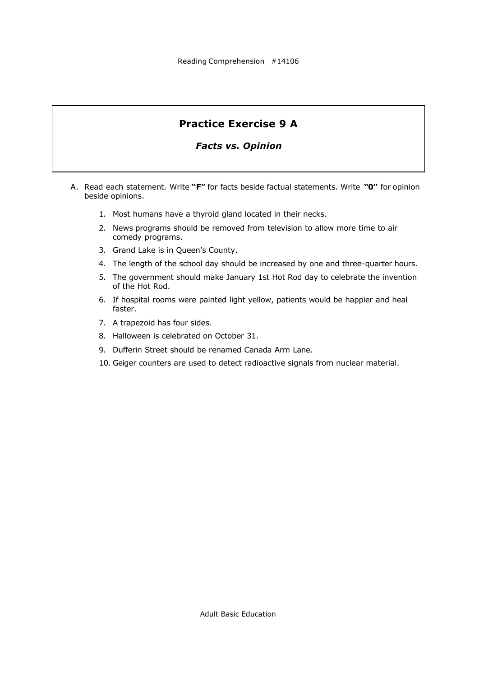### **Practice Exercise 9 A**

#### *Facts vs. Opinion*

- A. Read each statement. Write **"F"** for facts beside factual statements. Write **"0"** for opinion beside opinions.
	- 1. Most humans have a thyroid gland located in their necks.
	- 2. News programs should be removed from television to allow more time to air comedy programs.
	- 3. Grand Lake is in Queen's County.
	- 4. The length of the school day should be increased by one and three-quarter hours.
	- 5. The government should make January 1st Hot Rod day to celebrate the invention of the Hot Rod.
	- 6. If hospital rooms were painted light yellow, patients would be happier and heal faster.
	- 7. A trapezoid has four sides.
	- 8. Halloween is celebrated on October 31.
	- 9. Dufferin Street should be renamed Canada Arm Lane.
	- 10. Geiger counters are used to detect radioactive signals from nuclear material.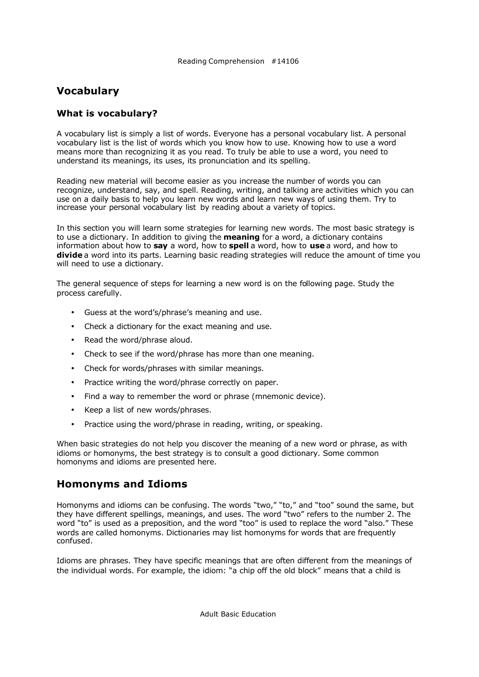### <span id="page-32-0"></span>**Vocabulary**

#### **What is vocabulary?**

A vocabulary list is simply a list of words. Everyone has a personal vocabulary list. A personal vocabulary list is the list of words which you know how to use. Knowing how to use a word means more than recognizing it as you read. To truly be able to use a word, you need to understand its meanings, its uses, its pronunciation and its spelling.

Reading new material will become easier as you increase the number of words you can recognize, understand, say, and spell. Reading, writing, and talking are activities which you can use on a daily basis to help you learn new words and learn new ways of using them. Try to increase your personal vocabulary list by reading about a variety of topics.

In this section you will learn some strategies for learning new words. The most basic strategy is to use a dictionary. In addition to giving the **meaning** for a word, a dictionary contains information about how to **say** a word, how to **spell** a word, how to **use** a word, and how to **divide** a word into its parts. Learning basic reading strategies will reduce the amount of time you will need to use a dictionary.

The general sequence of steps for learning a new word is on the following page. Study the process carefully.

- Guess at the word's/phrase's meaning and use.
- Check a dictionary for the exact meaning and use.
- Read the word/phrase aloud.
- Check to see if the word/phrase has more than one meaning.
- Check for words/phrases with similar meanings.
- Practice writing the word/phrase correctly on paper.
- Find a way to remember the word or phrase (mnemonic device).
- Keep a list of new words/phrases.
- Practice using the word/phrase in reading, writing, or speaking.

When basic strategies do not help you discover the meaning of a new word or phrase, as with idioms or homonyms, the best strategy is to consult a good dictionary. Some common homonyms and idioms are presented here.

#### **Homonyms and Idioms**

Homonyms and idioms can be confusing. The words "two," "to," and "too" sound the same, but they have different spellings, meanings, and uses. The word "two" refers to the number 2. The word "to" is used as a preposition, and the word "too" is used to replace the word "also." These words are called homonyms. Dictionaries may list homonyms for words that are frequently confused.

Idioms are phrases. They have specific meanings that are often different from the meanings of the individual words. For example, the idiom: "a chip off the old block" means that a child is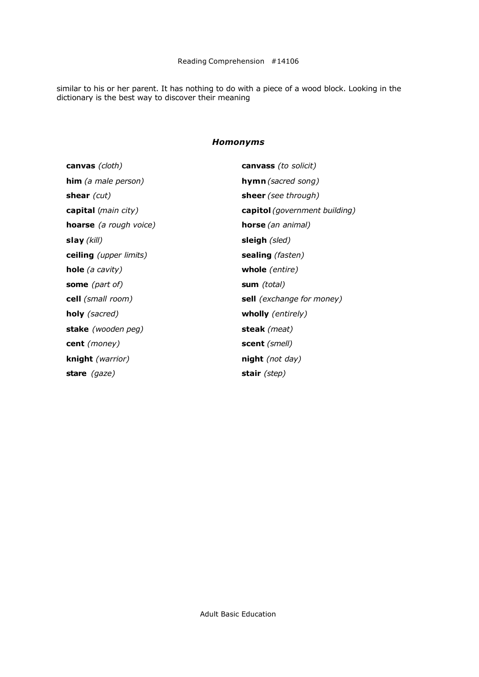similar to his or her parent. It has nothing to do with a piece of a wood block. Looking in the dictionary is the best way to discover their meaning

#### *Homonyms*

**canvas** *(cloth)* **canvass** *(to solicit)* **him** *(a male person)* **hymn** *(sacred song)* **shear** *(cut)* **sheer** *(see through)* **hoarse** *(a rough voice)* **horse** *(an animal)* **slay** *(kill)* **sleigh** *(sled)* **ceiling** *(upper limits)* **sealing** *(fasten)* **hole** *(a cavity)* **whole** *(entire)* **some** *(part of)* **sum** *(total)* **holy** *(sacred)* **wholly** *(entirely)* **stake** *(wooden peg)* **steak** *(meat)* **cent** *(money)* **scent** *(smell)* **knight** *(warrior)* **night** *(not day)* **stare** *(gaze)* **stair** *(step)*

**capital** (*main city)* **capitol** *(government building)* **cell** *(small room)* **sell** *(exchange for money)*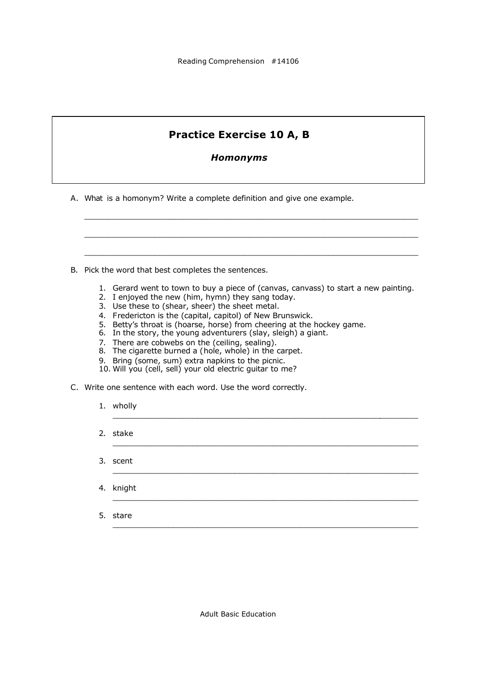|  | <b>Practice Exercise 10 A, B</b> |  |  |  |
|--|----------------------------------|--|--|--|
|--|----------------------------------|--|--|--|

#### *Homonyms*

A. What is a homonym? Write a complete definition and give one example.

|  |  |  |  |  | B. Pick the word that best completes the sentences. |  |
|--|--|--|--|--|-----------------------------------------------------|--|
|--|--|--|--|--|-----------------------------------------------------|--|

1. Gerard went to town to buy a piece of (canvas, canvass) to start a new painting.

\_\_\_\_\_\_\_\_\_\_\_\_\_\_\_\_\_\_\_\_\_\_\_\_\_\_\_\_\_\_\_\_\_\_\_\_\_\_\_\_\_\_\_\_\_\_\_\_\_\_\_\_\_\_\_\_\_\_\_\_\_\_\_\_\_

 $\_$  ,  $\_$  ,  $\_$  ,  $\_$  ,  $\_$  ,  $\_$  ,  $\_$  ,  $\_$  ,  $\_$  ,  $\_$  ,  $\_$  ,  $\_$  ,  $\_$  ,  $\_$  ,  $\_$  ,  $\_$  ,  $\_$  ,  $\_$  ,  $\_$ 

 $\_$  ,  $\_$  ,  $\_$  ,  $\_$  ,  $\_$  ,  $\_$  ,  $\_$  ,  $\_$  ,  $\_$  ,  $\_$  ,  $\_$  ,  $\_$  ,  $\_$  ,  $\_$  ,  $\_$  ,  $\_$  ,  $\_$  ,  $\_$  ,  $\_$ 

 $\_$  ,  $\_$  ,  $\_$  ,  $\_$  ,  $\_$  ,  $\_$  ,  $\_$  ,  $\_$  ,  $\_$  ,  $\_$  ,  $\_$  ,  $\_$  ,  $\_$  ,  $\_$  ,  $\_$  ,  $\_$  ,  $\_$  ,  $\_$  ,  $\_$ 

 $\mathcal{L}_\mathcal{L}$  , and the contribution of the contribution of the contribution of the contribution of the contribution of the contribution of the contribution of the contribution of the contribution of the contribution of

 $\mathcal{L}_\mathcal{L}$  , and the contribution of the contribution of the contribution of the contribution of the contribution of the contribution of the contribution of the contribution of the contribution of the contribution of

 $\mathcal{L}_\mathcal{L}$  , and the set of the set of the set of the set of the set of the set of the set of the set of the set of the set of the set of the set of the set of the set of the set of the set of the set of the set of th

- 2. I enjoyed the new (him, hymn) they sang today.
- 3. Use these to (shear, sheer) the sheet metal.
- 4. Fredericton is the (capital, capitol) of New Brunswick.
- 5. Betty's throat is (hoarse, horse) from cheering at the hockey game.
- 6. In the story, the young adventurers (slay, sleigh) a giant.
- 7. There are cobwebs on the (ceiling, sealing).
- 8. The cigarette burned a (hole, whole) in the carpet.
- 9. Bring (some, sum) extra napkins to the picnic.
- 10. Will you (cell, sell) your old electric guitar to me?
- C. Write one sentence with each word. Use the word correctly.
	- 1. wholly
	- 2. stake
	- 3. scent
	- 4. knight
	- 5. stare  $\Box$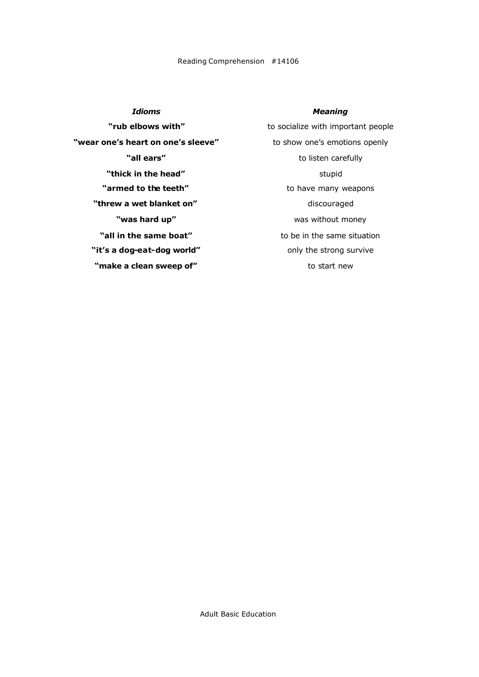**"rub elbows with"** to socialize with important people "wear one's heart on one's sleeve" **to show one's emotions openly "thick in the head"** stupid "armed to the teeth" and to have many weapons "threw a wet blanket on" **discouraged** discouraged "was hard up" **was hard up"** was without money "all in the same boat" **the same situation** to be in the same situation "it's a dog-eat-dog world" **butter and the strong survive** "make a clean sweep of" and the start new

#### *Idioms Meaning*

"all ears" and to listen carefully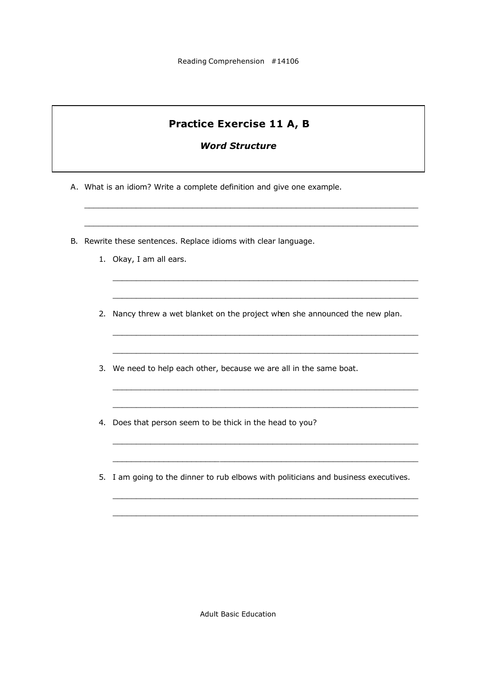# **Practice Exercise 11 A, B**

# *Word Structure*

- A. What is an idiom? Write a complete definition and give one example.
- B. Rewrite these sentences. Replace idioms with clear language.
	- 1. Okay, I am all ears.
	- 2. Nancy threw a wet blanket on the project when she announced the new plan.

 $\mathcal{L}_\mathcal{L}$  , and the contribution of the contribution of the contribution of the contribution of the contribution of the contribution of the contribution of the contribution of the contribution of the contribution of

 $\mathcal{L}_\mathcal{L}$  , and the contribution of the contribution of the contribution of the contribution of the contribution of the contribution of the contribution of the contribution of the contribution of the contribution of

 $\_$  ,  $\_$  ,  $\_$  ,  $\_$  ,  $\_$  ,  $\_$  ,  $\_$  ,  $\_$  ,  $\_$  ,  $\_$  ,  $\_$  ,  $\_$  ,  $\_$  ,  $\_$  ,  $\_$  ,  $\_$  ,  $\_$  ,  $\_$  ,  $\_$ 

 $\_$  ,  $\_$  ,  $\_$  ,  $\_$  ,  $\_$  ,  $\_$  ,  $\_$  ,  $\_$  ,  $\_$  ,  $\_$  ,  $\_$  ,  $\_$  ,  $\_$  ,  $\_$  ,  $\_$  ,  $\_$  ,  $\_$  ,  $\_$  ,  $\_$ 

\_\_\_\_\_\_\_\_\_\_\_\_\_\_\_\_\_\_\_\_\_\_\_\_\_\_\_\_\_\_\_\_\_\_\_\_\_\_\_\_\_\_\_\_\_\_\_\_\_\_\_\_\_\_\_\_\_\_\_\_\_\_\_\_\_

 $\_$  ,  $\_$  ,  $\_$  ,  $\_$  ,  $\_$  ,  $\_$  ,  $\_$  ,  $\_$  ,  $\_$  ,  $\_$  ,  $\_$  ,  $\_$  ,  $\_$  ,  $\_$  ,  $\_$  ,  $\_$  ,  $\_$  ,  $\_$  ,  $\_$ 

 $\_$  ,  $\_$  ,  $\_$  ,  $\_$  ,  $\_$  ,  $\_$  ,  $\_$  ,  $\_$  ,  $\_$  ,  $\_$  ,  $\_$  ,  $\_$  ,  $\_$  ,  $\_$  ,  $\_$  ,  $\_$  ,  $\_$  ,  $\_$  ,  $\_$ 

\_\_\_\_\_\_\_\_\_\_\_\_\_\_\_\_\_\_\_\_\_\_\_\_\_\_\_\_\_\_\_\_\_\_\_\_\_\_\_\_\_\_\_\_\_\_\_\_\_\_\_\_\_\_\_\_\_\_\_\_\_\_\_\_\_

 $\_$  ,  $\_$  ,  $\_$  ,  $\_$  ,  $\_$  ,  $\_$  ,  $\_$  ,  $\_$  ,  $\_$  ,  $\_$  ,  $\_$  ,  $\_$  ,  $\_$  ,  $\_$  ,  $\_$  ,  $\_$  ,  $\_$  ,  $\_$  ,  $\_$ 

 $\Box$ 

 $\mathcal{L}_\mathcal{L}$  , and the contribution of the contribution of the contribution of the contribution of the contribution of the contribution of the contribution of the contribution of the contribution of the contribution of

 $\mathcal{L}_\mathcal{L}$  , and the contribution of the contribution of the contribution of the contribution of the contribution of the contribution of the contribution of the contribution of the contribution of the contribution of

- 3. We need to help each other, because we are all in the same boat.
- 4. Does that person seem to be thick in the head to you?
- 5. I am going to the dinner to rub elbows with politicians and business executives.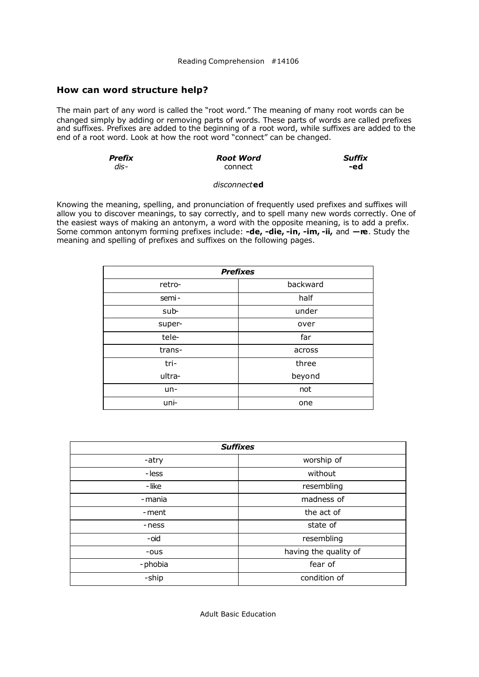### **How can word structure help?**

The main part of any word is called the "root word." The meaning of many root words can be changed simply by adding or removing parts of words. These parts of words are called prefixes and suffixes. Prefixes are added to the beginning of a root word, while suffixes are added to the end of a root word. Look at how the root word "connect" can be changed.

| Prefix | <b>Root Word</b> | Suffix |
|--------|------------------|--------|
| dis-   | connect          | -ed    |

#### *disconnect***ed**

Knowing the meaning, spelling, and pronunciation of frequently used prefixes and suffixes will allow you to discover meanings, to say correctly, and to spell many new words correctly. One of the easiest ways of making an antonym, a word with the opposite meaning, is to add a prefix. Some common antonym forming prefixes include: **-de, -die, -in, -im, -ii,** and **—re**. Study the meaning and spelling of prefixes and suffixes on the following pages.

|        | <b>Prefixes</b> |
|--------|-----------------|
| retro- | backward        |
| semi-  | half            |
| sub-   | under           |
| super- | over            |
| tele-  | far             |
| trans- | across          |
| tri-   | three           |
| ultra- | beyond          |
| $un-$  | not             |
| uni-   | one             |

|         | <b>Suffixes</b>       |
|---------|-----------------------|
| -atry   | worship of            |
| - less  | without               |
| - like  | resembling            |
| - mania | madness of            |
| - ment  | the act of            |
| -ness   | state of              |
| -oid    | resembling            |
| -ous    | having the quality of |
| -phobia | fear of               |
| -ship   | condition of          |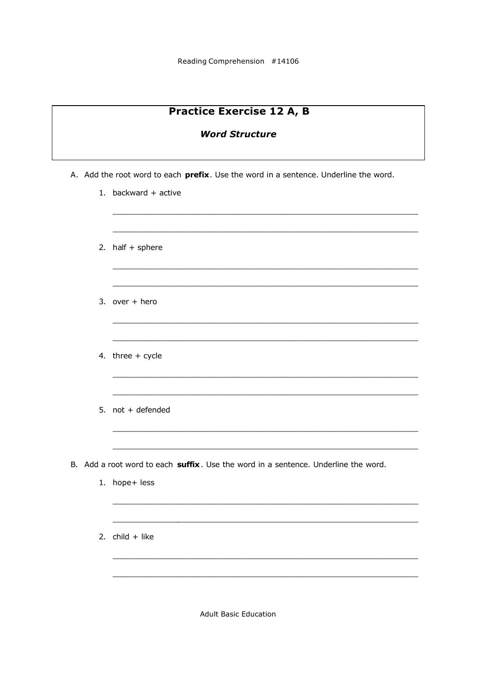# **Practice Exercise 12 A, B**

## **Word Structure**

- A. Add the root word to each prefix. Use the word in a sentence. Underline the word.
	- 1. backward + active
- 2. half  $+$  sphere 3. over  $+$  hero 4. three  $+$  cycle 5.  $not + defined$ B. Add a root word to each suffix. Use the word in a sentence. Underline the word. 1. hope+ less
	- 2.  $child + like$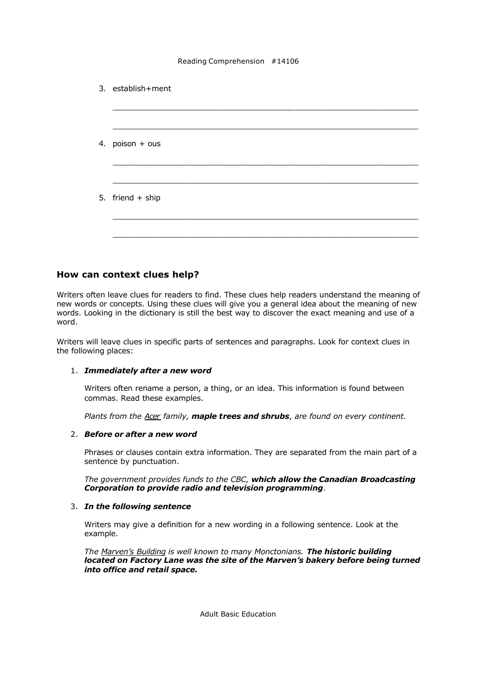3. establish+ment

| 4. $poison +ous$   |
|--------------------|
|                    |
|                    |
| 5. friend $+$ ship |
|                    |
|                    |
|                    |

# **How can context clues help?**

Writers often leave clues for readers to find. These clues help readers understand the meaning of new words or concepts. Using these clues will give you a general idea about the meaning of new words. Looking in the dictionary is still the best way to discover the exact meaning and use of a word.

Writers will leave clues in specific parts of sentences and paragraphs. Look for context clues in the following places:

#### 1. *Immediately after a new word*

Writers often rename a person, a thing, or an idea. This information is found between commas. Read these examples.

*Plants from the Acer family, maple trees and shrubs*, *are found on every continent.*

#### 2. *Before or after a new word*

Phrases or clauses contain extra information. They are separated from the main part of a sentence by punctuation.

*The government provides funds to the CBC, which allow the Canadian Broadcasting Corporation to provide radio and television programming*.

#### 3. *In the following sentence*

Writers may give a definition for a new wording in a following sentence. Look at the example.

*The Marven's Building is well known to many Monctonians. The historic building located on Factory Lane was the site of the Marven's bakery before being turned into office and retail space.*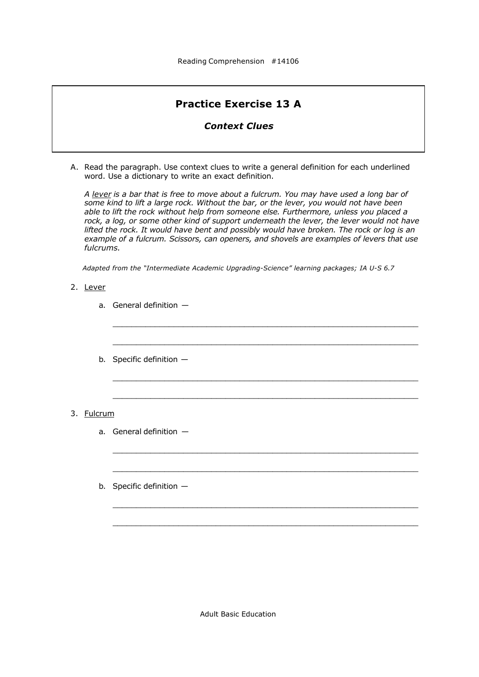# **Practice Exercise 13 A**

## *Context Clues*

A. Read the paragraph. Use context clues to write a general definition for each underlined word. Use a dictionary to write an exact definition.

*A lever is a bar that is free to move about a fulcrum. You may have used a long bar of some kind to lift a large rock. Without the bar, or the lever, you would not have been able to lift the rock without help from someone else. Furthermore, unless you placed a*  rock, a log, or some other kind of support underneath the lever, the lever would not have lifted the rock. It would have bent and possibly would have broken. The rock or log is an *example of a fulcrum. Scissors, can openers, and shovels are examples of levers that use fulcrums.*

\_\_\_\_\_\_\_\_\_\_\_\_\_\_\_\_\_\_\_\_\_\_\_\_\_\_\_\_\_\_\_\_\_\_\_\_\_\_\_\_\_\_\_\_\_\_\_\_\_\_\_\_\_\_\_\_\_\_\_\_\_\_\_\_\_

 $\_$  ,  $\_$  ,  $\_$  ,  $\_$  ,  $\_$  ,  $\_$  ,  $\_$  ,  $\_$  ,  $\_$  ,  $\_$  ,  $\_$  ,  $\_$  ,  $\_$  ,  $\_$  ,  $\_$  ,  $\_$  ,  $\_$  ,  $\_$  ,  $\_$ 

 $\_$  ,  $\_$  ,  $\_$  ,  $\_$  ,  $\_$  ,  $\_$  ,  $\_$  ,  $\_$  ,  $\_$  ,  $\_$  ,  $\_$  ,  $\_$  ,  $\_$  ,  $\_$  ,  $\_$  ,  $\_$  ,  $\_$  ,  $\_$  ,  $\_$ 

 $\_$  ,  $\_$  ,  $\_$  ,  $\_$  ,  $\_$  ,  $\_$  ,  $\_$  ,  $\_$  ,  $\_$  ,  $\_$  ,  $\_$  ,  $\_$  ,  $\_$  ,  $\_$  ,  $\_$  ,  $\_$  ,  $\_$  ,  $\_$  ,  $\_$ 

 $\_$  ,  $\_$  ,  $\_$  ,  $\_$  ,  $\_$  ,  $\_$  ,  $\_$  ,  $\_$  ,  $\_$  ,  $\_$  ,  $\_$  ,  $\_$  ,  $\_$  ,  $\_$  ,  $\_$  ,  $\_$  ,  $\_$  ,  $\_$  ,  $\_$ 

 $\_$  ,  $\_$  ,  $\_$  ,  $\_$  ,  $\_$  ,  $\_$  ,  $\_$  ,  $\_$  ,  $\_$  ,  $\_$  ,  $\_$  ,  $\_$  ,  $\_$  ,  $\_$  ,  $\_$  ,  $\_$  ,  $\_$  ,  $\_$  ,  $\_$ 

 $\_$  ,  $\_$  ,  $\_$  ,  $\_$  ,  $\_$  ,  $\_$  ,  $\_$  ,  $\_$  ,  $\_$  ,  $\_$  ,  $\_$  ,  $\_$  ,  $\_$  ,  $\_$  ,  $\_$  ,  $\_$  ,  $\_$  ,  $\_$  ,  $\_$ 

\_\_\_\_\_\_\_\_\_\_\_\_\_\_\_\_\_\_\_\_\_\_\_\_\_\_\_\_\_\_\_\_\_\_\_\_\_\_\_\_\_\_\_\_\_\_\_\_\_\_\_\_\_\_\_\_\_\_\_\_\_\_\_\_\_

*Adapted from the "Intermediate Academic Upgrading-Science" learning packages; IA U-S 6.7*

#### 2. Lever

- a. General definition —
- b. Specific definition —

#### 3. Fulcrum

- a. General definition —
- b. Specific definition —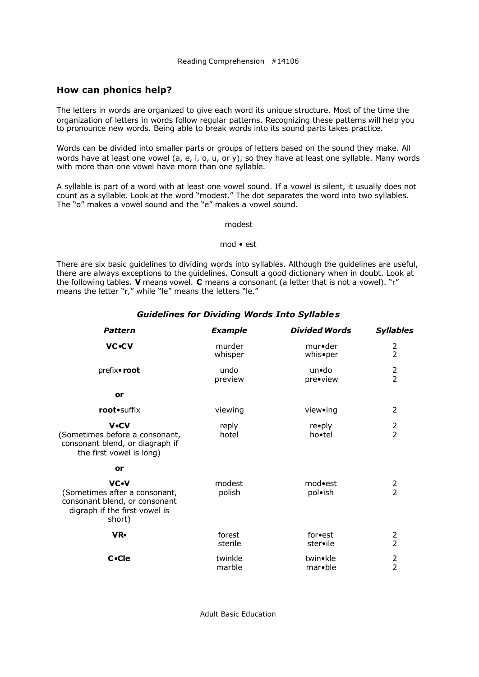## **How can phonics help?**

The letters in words are organized to give each word its unique structure. Most of the time the organization of letters in words follow regular patterns. Recognizing these patterns will help you to pronounce new words. Being able to break words into its sound parts takes practice.

Words can be divided into smaller parts or groups of letters based on the sound they make. All words have at least one vowel (a, e, i, o, u, or y), so they have at least one syllable. Many words with more than one vowel have more than one syllable.

A syllable is part of a word with at least one vowel sound. If a vowel is silent, it usually does not count as a syllable. Look at the word "modest." The dot separates the word into two syllables. The "o" makes a vowel sound and the "e" makes a vowel sound.

#### modest

#### mod • est

There are six basic guidelines to dividing words into syllables. Although the guidelines are useful, there are always exceptions to the guidelines. Consult a good dictionary when in doubt. Look at the following tables. **V** means vowel. **C** means a consonant (a letter that is not a vowel). "r" means the letter "r," while "le" means the letters "le."

| <b>Pattern</b>                                                                                                    | <b>Example</b>    | <b>Divided Words</b> | <b>Syllables</b>    |
|-------------------------------------------------------------------------------------------------------------------|-------------------|----------------------|---------------------|
| VC.CV                                                                                                             | murder<br>whisper | mur•der<br>whis•per  | $\frac{2}{2}$       |
| prefix• root                                                                                                      | undo<br>preview   | un∙do<br>pre•view    | 2<br>$\overline{2}$ |
| or                                                                                                                |                   |                      |                     |
| root•suffix                                                                                                       | viewing           | view•ing             | 2                   |
| <b>V</b> •CV<br>(Sometimes before a consonant,<br>consonant blend, or diagraph if<br>the first vowel is long)     | reply<br>hotel    | re•ply<br>ho•tel     | 2<br>$\overline{2}$ |
| or                                                                                                                |                   |                      |                     |
| VC.V<br>(Sometimes after a consonant,<br>consonant blend, or consonant<br>digraph if the first vowel is<br>short) | modest<br>polish  | mod•est<br>pol•ish   | 2<br>$\overline{2}$ |
| VR.                                                                                                               | forest<br>sterile | for•est<br>ster•ile  | 2<br>$\overline{2}$ |
| C.Cle                                                                                                             | twinkle<br>marble | twin•kle<br>mar•ble  | 2<br>$\overline{2}$ |

### *Guidelines for Dividing Words Into Syllables*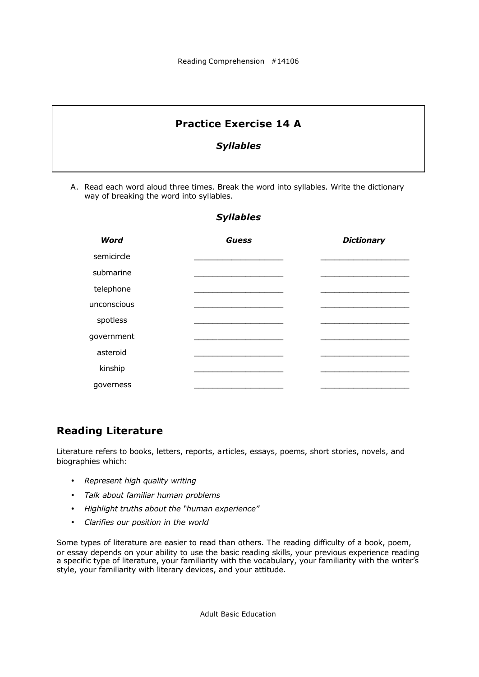# **Practice Exercise 14 A**

*Syllables*

A. Read each word aloud three times. Break the word into syllables. Write the dictionary way of breaking the word into syllables.

| <b>Word</b> | Guess | <b>Dictionary</b> |
|-------------|-------|-------------------|
| semicircle  |       |                   |
| submarine   |       |                   |
| telephone   |       |                   |
| unconscious |       |                   |
| spotless    |       |                   |
| government  |       |                   |
| asteroid    |       |                   |
| kinship     |       |                   |
| governess   |       |                   |

# *Syllables*

# **Reading Literature**

Literature refers to books, letters, reports, articles, essays, poems, short stories, novels, and biographies which:

- *Represent high quality writing*
- *Talk about familiar human problems*
- *Highlight truths about the "human experience"*
- *Clarifies our position in the world*

Some types of literature are easier to read than others. The reading difficulty of a book, poem, or essay depends on your ability to use the basic reading skills, your previous experience reading a specific type of literature, your familiarity with the vocabulary, your familiarity with the writer's style, your familiarity with literary devices, and your attitude.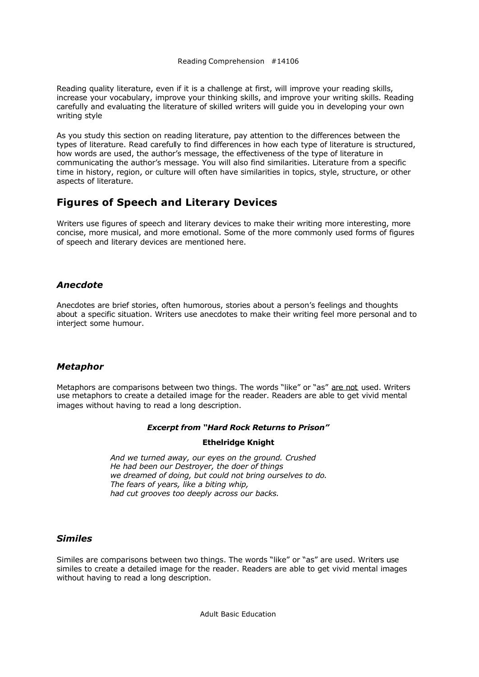Reading quality literature, even if it is a challenge at first, will improve your reading skills, increase your vocabulary, improve your thinking skills, and improve your writing skills. Reading carefully and evaluating the literature of skilled writers will guide you in developing your own writing style

As you study this section on reading literature, pay attention to the differences between the types of literature. Read carefully to find differences in how each type of literature is structured, how words are used, the author's message, the effectiveness of the type of literature in communicating the author's message. You will also find similarities. Literature from a specific time in history, region, or culture will often have similarities in topics, style, structure, or other aspects of literature.

# **Figures of Speech and Literary Devices**

Writers use figures of speech and literary devices to make their writing more interesting, more concise, more musical, and more emotional. Some of the more commonly used forms of figures of speech and literary devices are mentioned here.

# *Anecdote*

Anecdotes are brief stories, often humorous, stories about a person's feelings and thoughts about a specific situation. Writers use anecdotes to make their writing feel more personal and to interject some humour.

# *Metaphor*

Metaphors are comparisons between two things. The words "like" or "as" are not used. Writers use metaphors to create a detailed image for the reader. Readers are able to get vivid mental images without having to read a long description.

### *Excerpt from "Hard Rock Returns to Prison"*

#### **Ethelridge Knight**

*And we turned away, our eyes on the ground. Crushed He had been our Destroyer, the doer of things we dreamed of doing, but could not bring ourselves to do. The fears of years, like a biting whip, had cut grooves too deeply across our backs.*

### *Similes*

Similes are comparisons between two things. The words "like" or "as" are used. Writers use similes to create a detailed image for the reader. Readers are able to get vivid mental images without having to read a long description.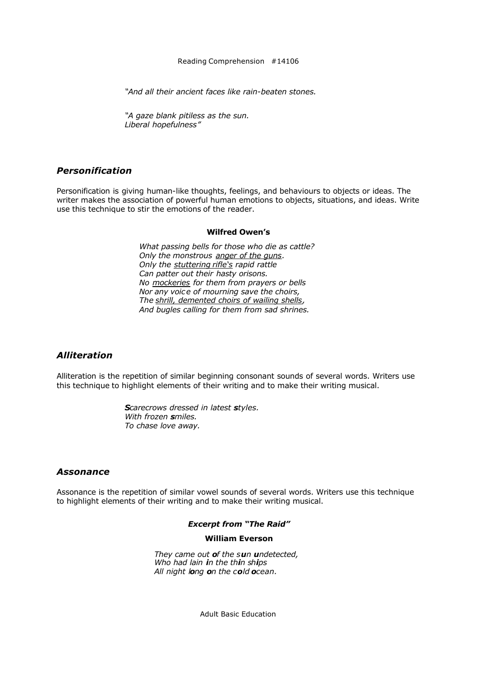*"And all their ancient faces like rain-beaten stones.*

*"A gaze blank pitiless as the sun. Liberal hopefulness"*

### *Personification*

Personification is giving human-like thoughts, feelings, and behaviours to objects or ideas. The writer makes the association of powerful human emotions to objects, situations, and ideas. Write use this technique to stir the emotions of the reader.

#### **Wilfred Owen's**

*What passing bells for those who die as cattle? Only the monstrous anger of the guns. Only the stuttering rifle's rapid rattle Can patter out their hasty orisons. No mockeries for them from prayers or bells Nor any voice of mourning save the choirs, The shrill, demented choirs of wailing shells, And bugles calling for them from sad shrines.* 

#### *Alliteration*

Alliteration is the repetition of similar beginning consonant sounds of several words. Writers use this technique to highlight elements of their writing and to make their writing musical.

> *Scarecrows dressed in latest styles. With frozen smiles. To chase love away.*

### *Assonance*

Assonance is the repetition of similar vowel sounds of several words. Writers use this technique to highlight elements of their writing and to make their writing musical.

#### *Excerpt from "The Raid"*

#### **William Everson**

*They came out of the sun undetected, Who had lain in the thin ships All night long on the cold ocean.*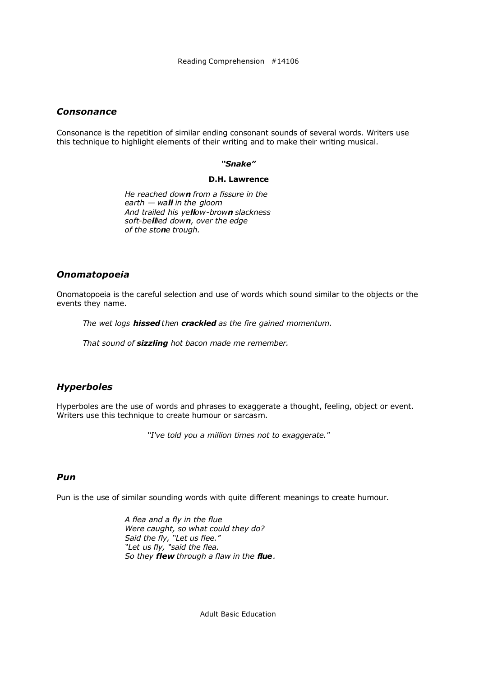# *Consonance*

Consonance is the repetition of similar ending consonant sounds of several words. Writers use this technique to highlight elements of their writing and to make their writing musical.

#### *"Snake"*

#### **D.H. Lawrence**

*He reached down from a fissure in the earth — wall in the gloom And trailed his yellow-brown slackness soft-bellied down, over the edge of the stone trough.* 

#### *Onomatopoeia*

Onomatopoeia is the careful selection and use of words which sound similar to the objects or the events they name.

*The wet logs hissed then crackled as the fire gained momentum.*

*That sound of sizzling hot bacon made me remember.*

# *Hyperboles*

Hyperboles are the use of words and phrases to exaggerate a thought, feeling, object or event. Writers use this technique to create humour or sarcasm.

*''I've told you a million times not to exaggerate."*

### *Pun*

Pun is the use of similar sounding words with quite different meanings to create humour.

*A flea and a fly in the flue Were caught, so what could they do? Said the fly, "Let us flee." "Let us fly, "said the flea. So they flew through a flaw in the flue.*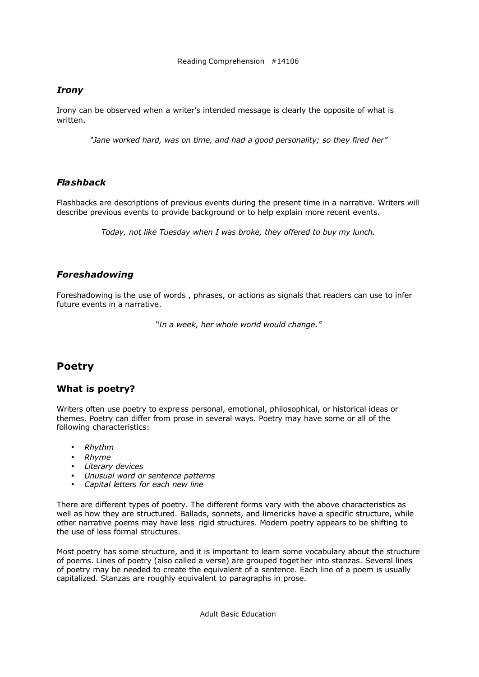# *Irony*

Irony can be observed when a writer's intended message is clearly the opposite of what is written.

*"Jane worked hard, was on time, and had a good personality; so they fired her"* 

# *Flashback*

Flashbacks are descriptions of previous events during the present time in a narrative. Writers will describe previous events to provide background or to help explain more recent events.

*Today, not like Tuesday when I was broke, they offered to buy my lunch.* 

# *Foreshadowing*

Foreshadowing is the use of words , phrases, or actions as signals that readers can use to infer future events in a narrative.

*"In a week, her whole world would change."*

# **Poetry**

# **What is poetry?**

Writers often use poetry to express personal, emotional, philosophical, or historical ideas or themes. Poetry can differ from prose in several ways. Poetry may have some or all of the following characteristics:

- *Rhythm*
- *Rhyme*
- *Literary devices*
- *Unusual word or sentence patterns*
- *Capital letters for each new line*

There are different types of poetry. The different forms vary with the above characteristics as well as how they are structured. Ballads, sonnets, and limericks have a specific structure, while other narrative poems may have less rigid structures. Modern poetry appears to be shifting to the use of less formal structures.

Most poetry has some structure, and it is important to learn some vocabulary about the structure of poems. Lines of poetry (also called a verse) are grouped together into stanzas. Several lines of poetry may be needed to create the equivalent of a sentence. Each line of a poem is usually capitalized. Stanzas are roughly equivalent to paragraphs in prose.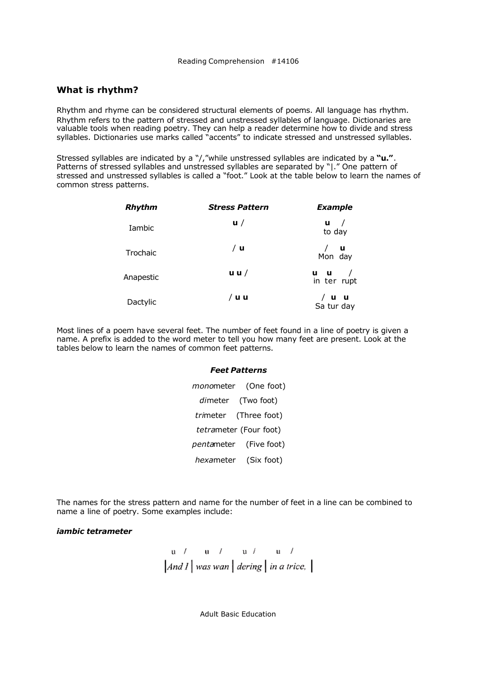## **What is rhythm?**

Rhythm and rhyme can be considered structural elements of poems. All language has rhythm. Rhythm refers to the pattern of stressed and unstressed syllables of language. Dictionaries are valuable tools when reading poetry. They can help a reader determine how to divide and stress syllables. Dictionaries use marks called "accents" to indicate stressed and unstressed syllables.

Stressed syllables are indicated by a "/,"while unstressed syllables are indicated by a **"u."**. Patterns of stressed syllables and unstressed syllables are separated by "|." One pattern of stressed and unstressed syllables is called a "foot." Look at the table below to learn the names of common stress patterns.

| <b>Rhythm</b> | <b>Stress Pattern</b> | <b>Example</b>                                                                       |
|---------------|-----------------------|--------------------------------------------------------------------------------------|
| Iambic        | $\mathsf{u}$ /        | $\mathsf{u}$ /<br>to day                                                             |
| Trochaic      | $/$ u                 | $\frac{1}{2}$ <b>u</b>                                                               |
| Anapestic     | u u /                 | $\begin{array}{cc} \mathbf{u} & \mathbf{u} \\ \mathbf{v} & \mathbf{v} \end{array}$ / |
| Dactylic      | $/$ u u               | / u u<br>Sa tur day                                                                  |

Most lines of a poem have several feet. The number of feet found in a line of poetry is given a name. A prefix is added to the word meter to tell you how many feet are present. Look at the tables below to learn the names of common feet patterns.

#### *Feet Patterns*

| monometer              | (One foot)             |
|------------------------|------------------------|
| dimeter (Two foot)     |                        |
|                        | trimeter (Three foot)  |
| tetrameter (Four foot) |                        |
|                        | pentameter (Five foot) |
| <i>hexa</i> meter      | (Six foot)             |

The names for the stress pattern and name for the number of feet in a line can be combined to name a line of poetry. Some examples include:

#### *iambic tetrameter*

$$
\begin{array}{c|c|c|c|c|c|c|c|c} \n u & / & u & / & u & / \\
\hline\n \text{And } \text{I} & \text{was wan} & \text{dering} & \text{in a trice.} \n \end{array}
$$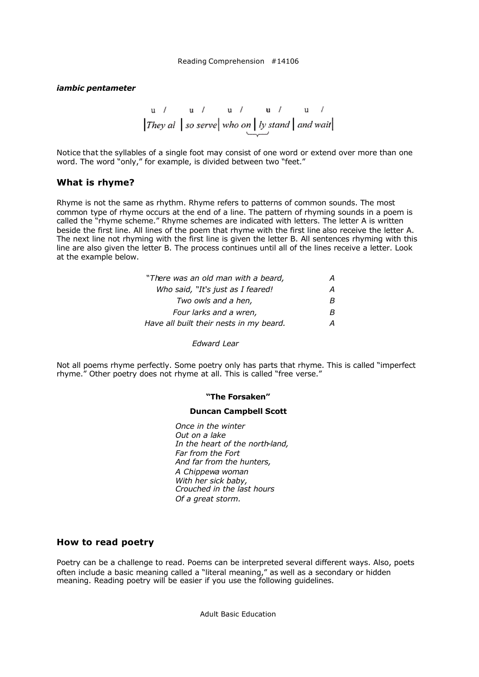*iambic pentameter* 

$$
\begin{array}{c|c|c|c|c|c|c|c} u & u & u & u & u & u & u \ \hline \text{They at} & \text{so serve} & \text{who on} & \text{by stand} & \text{and wait} \end{array}
$$

Notice that the syllables of a single foot may consist of one word or extend over more than one word. The word "only," for example, is divided between two "feet."

### **What is rhyme?**

Rhyme is not the same as rhythm. Rhyme refers to patterns of common sounds. The most common type of rhyme occurs at the end of a line. The pattern of rhyming sounds in a poem is called the "rhyme scheme." Rhyme schemes are indicated with letters. The letter A is written beside the first line. All lines of the poem that rhyme with the first line also receive the letter A. The next line not rhyming with the first line is given the letter B. All sentences rhyming with this line are also given the letter B. The process continues until all of the lines receive a letter. Look at the example below.

| "There was an old man with a beard,     |   |
|-----------------------------------------|---|
| Who said, "It's just as I feared!       | А |
| Two owls and a hen,                     | R |
| Four larks and a wren,                  |   |
| Have all built their nests in my beard. |   |

*Edward Lear* 

Not all poems rhyme perfectly. Some poetry only has parts that rhyme. This is called "imperfect rhyme." Other poetry does not rhyme at all. This is called "free verse."

#### **"The Forsaken"**

#### **Duncan Campbell Scott**

*Once in the winter Out on a lake In the heart of the north-land, Far from the Fort And far from the hunters, A Chippewa woman With her sick baby, Crouched in the last hours Of a great storm.* 

### **How to read poetry**

Poetry can be a challenge to read. Poems can be interpreted several different ways. Also, poets often include a basic meaning called a "literal meaning," as well as a secondary or hidden meaning. Reading poetry will be easier if you use the following guidelines.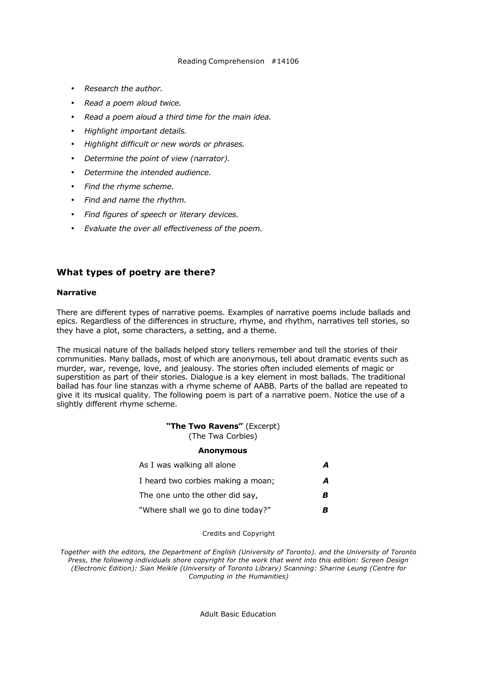- *Research the author.*
- *Read a poem aloud twice.*
- *Read a poem aloud a third time for the main idea.*
- *Highlight important details.*
- *Highlight difficult or new words or phrases.*
- *Determine the point of view (narrator).*
- *Determine the intended audience.*
- *Find the rhyme scheme.*
- *Find and name the rhythm.*
- *Find figures of speech or literary devices.*
- *Evaluate the over all effectiveness of the poem.*

## **What types of poetry are there?**

#### **Narrative**

There are different types of narrative poems. Examples of narrative poems include ballads and epics. Regardless of the differences in structure, rhyme, and rhythm, narratives tell stories, so they have a plot, some characters, a setting, and a theme.

The musical nature of the ballads helped story tellers remember and tell the stories of their communities. Many ballads, most of which are anonymous, tell about dramatic events such as murder, war, revenge, love, and jealousy. The stories often included elements of magic or superstition as part of their stories. Dialogue is a key element in most ballads. The traditional ballad has four line stanzas with a rhyme scheme of AABB. Parts of the ballad are repeated to give it its musical quality. The following poem is part of a narrative poem. Notice the use of a slightly different rhyme scheme.

#### **"The Two Ravens"** (Excerpt) (The Twa Corbies)

#### **Anonymous**

| As I was walking all alone         | А |
|------------------------------------|---|
| I heard two corbies making a moan; | А |
| The one unto the other did say,    | R |
| "Where shall we go to dine today?" | R |

#### Credits and Copyright

*Together with the editors, the Department of English (University of Toronto). and the University of Toronto Press, the following individuals shore copyright for the work that went into this edition: Screen Design (Electronic Edition): Sian Meikle (University of Toronto Library) Scanning: Sharine Leung (Centre for Computing in the Humanities)*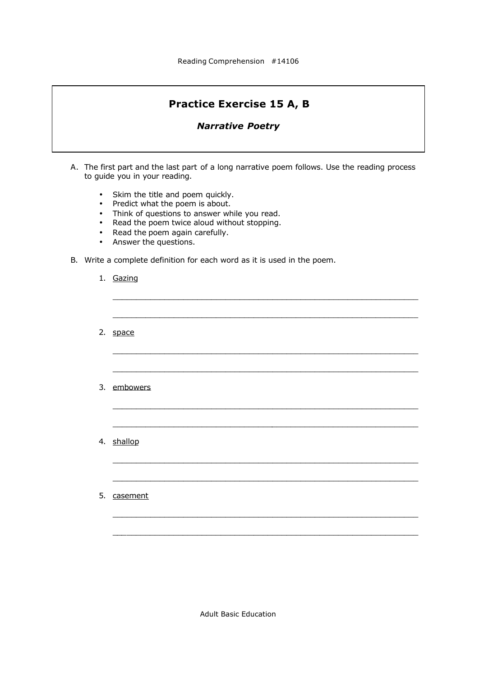# **Practice Exercise 15 A, B**

# *Narrative Poetry*

- A. The first part and the last part of a long narrative poem follows. Use the reading process to guide you in your reading.
	- Skim the title and poem quickly.
	- Predict what the poem is about.
	- Think of questions to answer while you read.
	- Read the poem twice aloud without stopping.
	- Read the poem again carefully.
	- Answer the questions.
- B. Write a complete definition for each word as it is used in the poem.

| 1. Gazing   |
|-------------|
|             |
| 2. space    |
|             |
| 3. embowers |
|             |
| 4. shallop  |
|             |
| 5. casement |
|             |

\_\_\_\_\_\_\_\_\_\_\_\_\_\_\_\_\_\_\_\_\_\_\_\_\_\_\_\_\_\_\_\_\_\_\_\_\_\_\_\_\_\_\_\_\_\_\_\_\_\_\_\_\_\_\_\_\_\_\_\_\_\_\_\_\_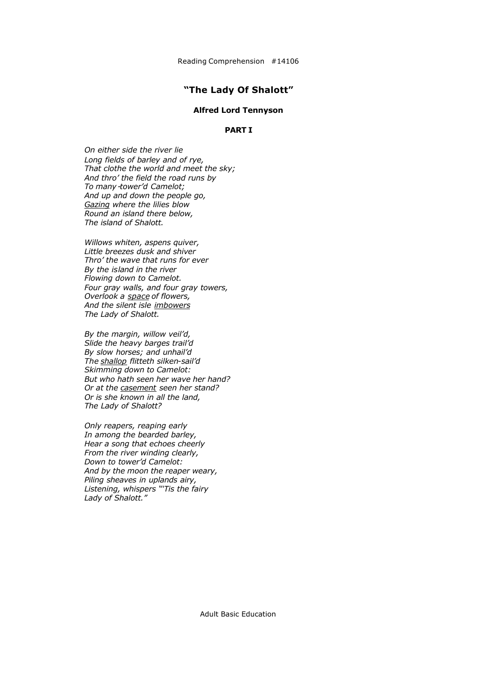## **"The Lady Of Shalott"**

#### **Alfred Lord Tennyson**

#### **PART I**

*On either side the river lie Long fields of barley and of rye, That clothe the world and meet the sky; And thro' the field the road runs by To many-tower'd Camelot; And up and down the people go, Gazing where the lilies blow Round an island there below, The island of Shalott.* 

*Willows whiten, aspens quiver, Little breezes dusk and shiver Thro' the wave that runs for ever By the island in the river Flowing down to Camelot. Four gray walls, and four gray towers, Overlook a space of flowers, And the silent isle imbowers The Lady of Shalott.* 

*By the margin, willow veil'd, Slide the heavy barges trail'd By slow horses; and unhail'd The shallop flitteth silken-sail'd Skimming down to Camelot: But who hath seen her wave her hand? Or at the casement seen her stand? Or is she known in all the land, The Lady of Shalott?* 

*Only reapers, reaping early In among the bearded barley, Hear a song that echoes cheerly From the river winding clearly, Down to tower'd Camelot: And by the moon the reaper weary, Piling sheaves in uplands airy, Listening, whispers "'Tis the fairy Lady of Shalott."*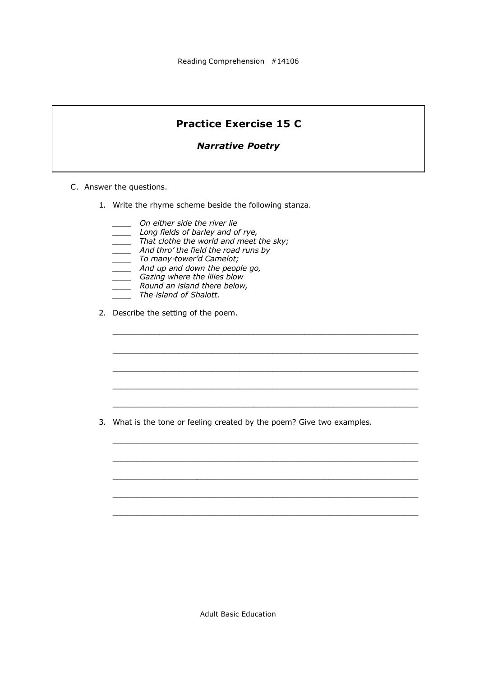# **Practice Exercise 15 C**

*Narrative Poetry*

- C. Answer the questions.
	- 1. Write the rhyme scheme beside the following stanza.
		- *\_\_\_\_ On either side the river lie*
		- *\_\_\_\_ Long fields of barley and of rye,*
		- *\_\_\_\_ That clothe the world and meet the sky;*
		- *\_\_\_\_ And thro' the field the road runs by*
		- *\_\_\_\_ To many-tower'd Camelot;*
		- *\_\_\_\_ And up and down the people go,*
		- *\_\_\_\_ Gazing where the lilies blow*
		- *\_\_\_\_ Round an island there below,*
		- *\_\_\_\_ The island of Shalott.*
	- 2. Describe the setting of the poem.

3. What is the tone or feeling created by the poem? Give two examples.

 $\Box$ 

 $\_$  ,  $\_$  ,  $\_$  ,  $\_$  ,  $\_$  ,  $\_$  ,  $\_$  ,  $\_$  ,  $\_$  ,  $\_$  ,  $\_$  ,  $\_$  ,  $\_$  ,  $\_$  ,  $\_$  ,  $\_$  ,  $\_$  ,  $\_$  ,  $\_$ 

 $\_$  ,  $\_$  ,  $\_$  ,  $\_$  ,  $\_$  ,  $\_$  ,  $\_$  ,  $\_$  ,  $\_$  ,  $\_$  ,  $\_$  ,  $\_$  ,  $\_$  ,  $\_$  ,  $\_$  ,  $\_$  ,  $\_$  ,  $\_$  ,  $\_$ 

 $\_$  ,  $\_$  ,  $\_$  ,  $\_$  ,  $\_$  ,  $\_$  ,  $\_$  ,  $\_$  ,  $\_$  ,  $\_$  ,  $\_$  ,  $\_$  ,  $\_$  ,  $\_$  ,  $\_$  ,  $\_$  ,  $\_$  ,  $\_$  ,  $\_$ 

\_\_\_\_\_\_\_\_\_\_\_\_\_\_\_\_\_\_\_\_\_\_\_\_\_\_\_\_\_\_\_\_\_\_\_\_\_\_\_\_\_\_\_\_\_\_\_\_\_\_\_\_\_\_\_\_\_\_\_\_\_\_\_\_\_

 $\_$  ,  $\_$  ,  $\_$  ,  $\_$  ,  $\_$  ,  $\_$  ,  $\_$  ,  $\_$  ,  $\_$  ,  $\_$  ,  $\_$  ,  $\_$  ,  $\_$  ,  $\_$  ,  $\_$  ,  $\_$  ,  $\_$  ,  $\_$  ,  $\_$ 

 $\_$  ,  $\_$  ,  $\_$  ,  $\_$  ,  $\_$  ,  $\_$  ,  $\_$  ,  $\_$  ,  $\_$  ,  $\_$  ,  $\_$  ,  $\_$  ,  $\_$  ,  $\_$  ,  $\_$  ,  $\_$  ,  $\_$  ,  $\_$  ,  $\_$ 

 $\Box$ 

 $\_$  ,  $\_$  ,  $\_$  ,  $\_$  ,  $\_$  ,  $\_$  ,  $\_$  ,  $\_$  ,  $\_$  ,  $\_$  ,  $\_$  ,  $\_$  ,  $\_$  ,  $\_$  ,  $\_$  ,  $\_$  ,  $\_$  ,  $\_$  ,  $\_$ 

\_\_\_\_\_\_\_\_\_\_\_\_\_\_\_\_\_\_\_\_\_\_\_\_\_\_\_\_\_\_\_\_\_\_\_\_\_\_\_\_\_\_\_\_\_\_\_\_\_\_\_\_\_\_\_\_\_\_\_\_\_\_\_\_\_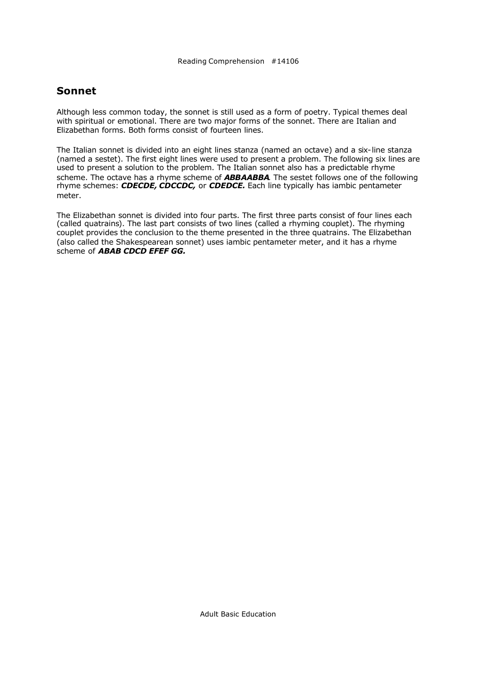# **Sonnet**

Although less common today, the sonnet is still used as a form of poetry. Typical themes deal with spiritual or emotional. There are two major forms of the sonnet. There are Italian and Elizabethan forms. Both forms consist of fourteen lines.

The Italian sonnet is divided into an eight lines stanza (named an octave) and a six-line stanza (named a sestet). The first eight lines were used to present a problem. The following six lines are used to present a solution to the problem. The Italian sonnet also has a predictable rhyme scheme. The octave has a rhyme scheme of *ABBAABBA*. The sestet follows one of the following rhyme schemes: *CDECDE, CDCCDC,* or *CDEDCE.* Each line typically has iambic pentameter meter.

The Elizabethan sonnet is divided into four parts. The first three parts consist of four lines each (called quatrains). The last part consists of two lines (called a rhyming couplet). The rhyming couplet provides the conclusion to the theme presented in the three quatrains. The Elizabethan (also called the Shakespearean sonnet) uses iambic pentameter meter, and it has a rhyme scheme of *ABAB CDCD EFEF GG.*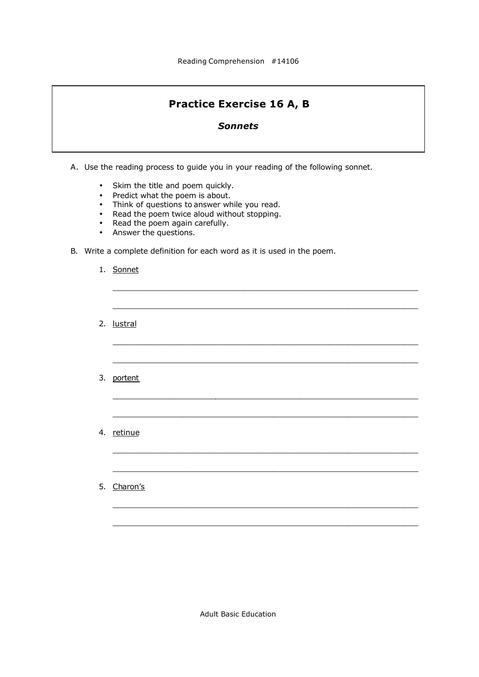# **Practice Exercise 16 A, B**

## *Sonnets*

- A. Use the reading process to guide you in your reading of the following sonnet.
	- Skim the title and poem quickly.
	- Predict what the poem is about.
	- Think of questions to answer while you read.
	- Read the poem twice aloud without stopping.
	- Read the poem again carefully.
	- Answer the questions.
- B. Write a complete definition for each word as it is used in the poem.

| 1. Sonnet   |
|-------------|
|             |
| 2. lustral  |
|             |
| 3. portent  |
|             |
| 4. retinue  |
|             |
| 5. Charon's |
|             |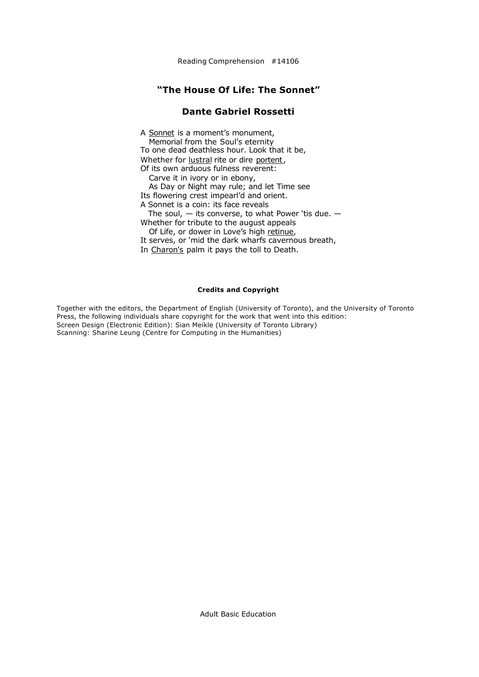# **"The House Of Life: The Sonnet"**

## **Dante Gabriel Rossetti**

A Sonnet is a moment's monument, Memorial from the Soul's eternity To one dead deathless hour. Look that it be, Whether for lustral rite or dire portent, Of its own arduous fulness reverent: Carve it in ivory or in ebony, As Day or Night may rule; and let Time see Its flowering crest impearl'd and orient. A Sonnet is a coin: its face reveals The soul,  $-$  its converse, to what Power 'tis due.  $-$ Whether for tribute to the august appeals Of Life, or dower in Love's high retinue, It serves, or 'mid the dark wharfs cavernous breath, In Charon's palm it pays the toll to Death.

#### **Credits and Copyright**

Together with the editors, the Department of English (University of Toronto), and the University of Toronto Press, the following individuals share copyright for the work that went into this edition: Screen Design (Electronic Edition): Sian Meikle (University of Toronto Library) Scanning: Sharine Leung (Centre for Computing in the Humanities)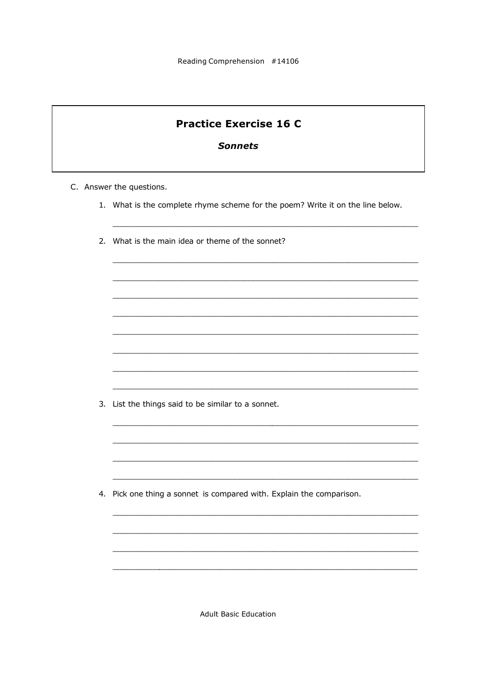# **Practice Exercise 16 C**

# **Sonnets**

- C. Answer the questions.
	- 1. What is the complete rhyme scheme for the poem? Write it on the line below.
	- 2. What is the main idea or theme of the sonnet?

3. List the things said to be similar to a sonnet.

4. Pick one thing a sonnet is compared with. Explain the comparison.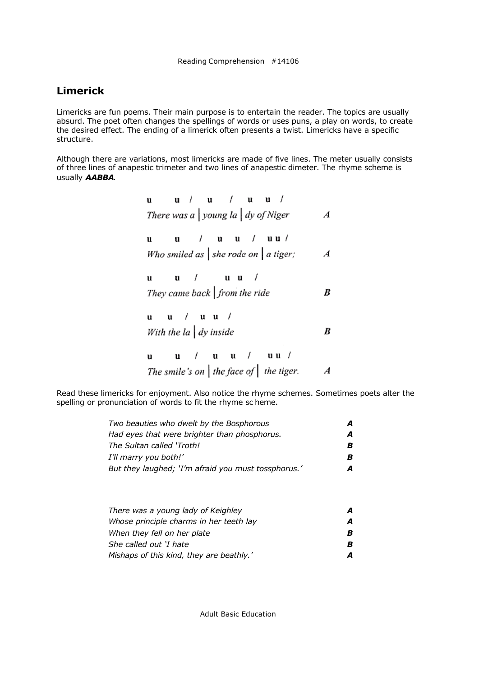# **Limerick**

Limericks are fun poems. Their main purpose is to entertain the reader. The topics are usually absurd. The poet often changes the spellings of words or uses puns, a play on words, to create the desired effect. The ending of a limerick often presents a twist. Limericks have a specific structure.

Although there are variations, most limericks are made of five lines. The meter usually consists of three lines of anapestic trimeter and two lines of anapestic dimeter. The rhyme scheme is usually *AABBA*.

| u u/u / u u/                                       |   |
|----------------------------------------------------|---|
| There was a voung la   dy of Niger                 |   |
|                                                    |   |
| u / u u / uu/<br>u —                               |   |
| Who smiled as $\vert$ she rode on $\vert$ a tiger; |   |
| u / uu /<br>u –                                    |   |
|                                                    |   |
| They came back from the ride                       | B |
|                                                    |   |
| uu/uu/                                             |   |
| With the la $\vert$ dy inside                      | B |
|                                                    |   |
| u u / u u / uu /                                   |   |
|                                                    |   |
| The smile's on   the face of $ $ the tiger.        |   |

Read these limericks for enjoyment. Also notice the rhyme schemes. Sometimes poets alter the spelling or pronunciation of words to fit the rhyme sc heme.

| Two beauties who dwelt by the Bosphorous            | A |
|-----------------------------------------------------|---|
| Had eyes that were brighter than phosphorus.        | A |
| The Sultan called 'Troth!                           | B |
| I'll marry you both!'                               | B |
| But they laughed; 'I'm afraid you must tossphorus.' | А |

| There was a young lady of Keighley       | A |
|------------------------------------------|---|
| Whose principle charms in her teeth lay  | A |
| When they fell on her plate              | в |
| She called out `I hate                   | R |
| Mishaps of this kind, they are beathly.' | А |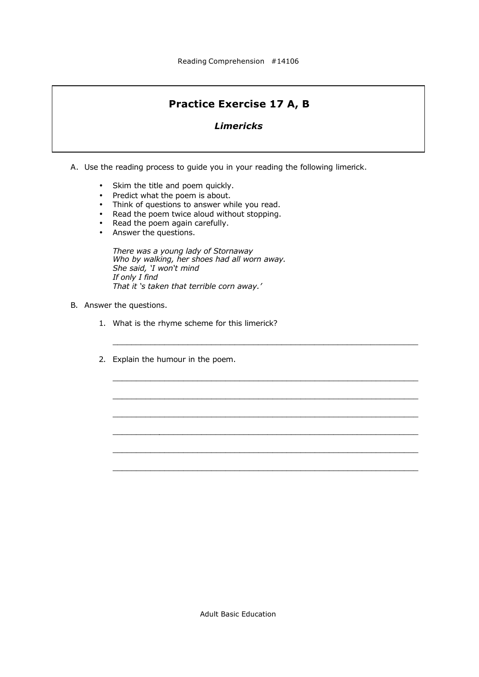# **Practice Exercise 17 A, B**

# *Limericks*

\_\_\_\_\_\_\_\_\_\_\_\_\_\_\_\_\_\_\_\_\_\_\_\_\_\_\_\_\_\_\_\_\_\_\_\_\_\_\_\_\_\_\_\_\_\_\_\_\_\_\_\_\_\_\_\_\_\_\_\_\_\_\_\_\_

 $\_$  ,  $\_$  ,  $\_$  ,  $\_$  ,  $\_$  ,  $\_$  ,  $\_$  ,  $\_$  ,  $\_$  ,  $\_$  ,  $\_$  ,  $\_$  ,  $\_$  ,  $\_$  ,  $\_$  ,  $\_$  ,  $\_$  ,  $\_$  ,  $\_$ 

 $\_$  ,  $\_$  ,  $\_$  ,  $\_$  ,  $\_$  ,  $\_$  ,  $\_$  ,  $\_$  ,  $\_$  ,  $\_$  ,  $\_$  ,  $\_$  ,  $\_$  ,  $\_$  ,  $\_$  ,  $\_$  ,  $\_$  ,  $\_$  ,  $\_$ 

 $\_$  ,  $\_$  ,  $\_$  ,  $\_$  ,  $\_$  ,  $\_$  ,  $\_$  ,  $\_$  ,  $\_$  ,  $\_$  ,  $\_$  ,  $\_$  ,  $\_$  ,  $\_$  ,  $\_$  ,  $\_$  ,  $\_$  ,  $\_$  ,  $\_$ 

 $\_$  ,  $\_$  ,  $\_$  ,  $\_$  ,  $\_$  ,  $\_$  ,  $\_$  ,  $\_$  ,  $\_$  ,  $\_$  ,  $\_$  ,  $\_$  ,  $\_$  ,  $\_$  ,  $\_$  ,  $\_$  ,  $\_$  ,  $\_$  ,  $\_$  ,  $\_$ 

 $\_$  ,  $\_$  ,  $\_$  ,  $\_$  ,  $\_$  ,  $\_$  ,  $\_$  ,  $\_$  ,  $\_$  ,  $\_$  ,  $\_$  ,  $\_$  ,  $\_$  ,  $\_$  ,  $\_$  ,  $\_$  ,  $\_$  ,  $\_$  ,  $\_$ 

 $\_$  ,  $\_$  ,  $\_$  ,  $\_$  ,  $\_$  ,  $\_$  ,  $\_$  ,  $\_$  ,  $\_$  ,  $\_$  ,  $\_$  ,  $\_$  ,  $\_$  ,  $\_$  ,  $\_$  ,  $\_$  ,  $\_$  ,  $\_$  ,  $\_$ 

- A. Use the reading process to guide you in your reading the following limerick.
	- Skim the title and poem quickly.
	- Predict what the poem is about.
	- Think of questions to answer while you read.
	- Read the poem twice aloud without stopping.
	- Read the poem again carefully.
	- Answer the questions.

*There was a young lady of Stornaway Who by walking, her shoes had all worn away. She said, 'I won't mind If only I find That it 's taken that terrible corn away.'*

### B. Answer the questions.

- 1. What is the rhyme scheme for this limerick?
- 2. Explain the humour in the poem.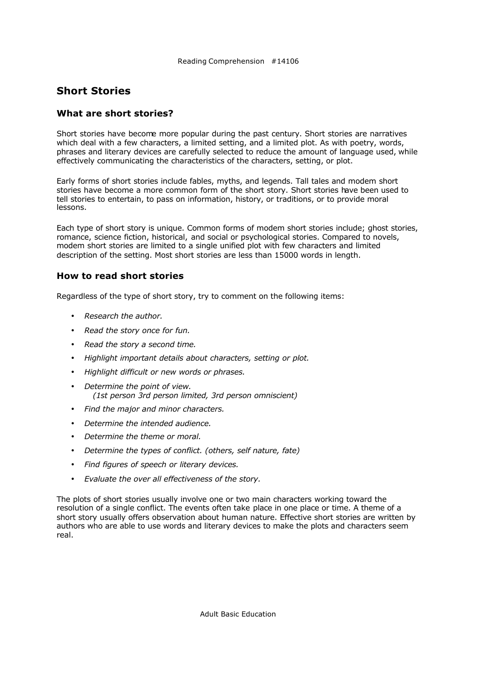# **Short Stories**

# **What are short stories?**

Short stories have become more popular during the past century. Short stories are narratives which deal with a few characters, a limited setting, and a limited plot. As with poetry, words, phrases and literary devices are carefully selected to reduce the amount of language used, while effectively communicating the characteristics of the characters, setting, or plot.

Early forms of short stories include fables, myths, and legends. Tall tales and modem short stories have become a more common form of the short story. Short stories have been used to tell stories to entertain, to pass on information, history, or traditions, or to provide moral lessons.

Each type of short story is unique. Common forms of modem short stories include; ghost stories, romance, science fiction, historical, and social or psychological stories. Compared to novels, modem short stories are limited to a single unified plot with few characters and limited description of the setting. Most short stories are less than 15000 words in length.

# **How to read short stories**

Regardless of the type of short story, try to comment on the following items:

- *Research the author.*
- *Read the story once for fun.*
- *Read the story a second time.*
- *Highlight important details about characters, setting or plot.*
- *Highlight difficult or new words or phrases.*
- *Determine the point of view. (1st person 3rd person limited, 3rd person omniscient)*
- *Find the major and minor characters.*
- *Determine the intended audience.*
- *Determine the theme or moral.*
- *Determine the types of conflict. (others, self nature, fate)*
- *Find figures of speech or literary devices.*
- *Evaluate the over all effectiveness of the story.*

The plots of short stories usually involve one or two main characters working toward the resolution of a single conflict. The events often take place in one place or time. A theme of a short story usually offers observation about human nature. Effective short stories are written by authors who are able to use words and literary devices to make the plots and characters seem real.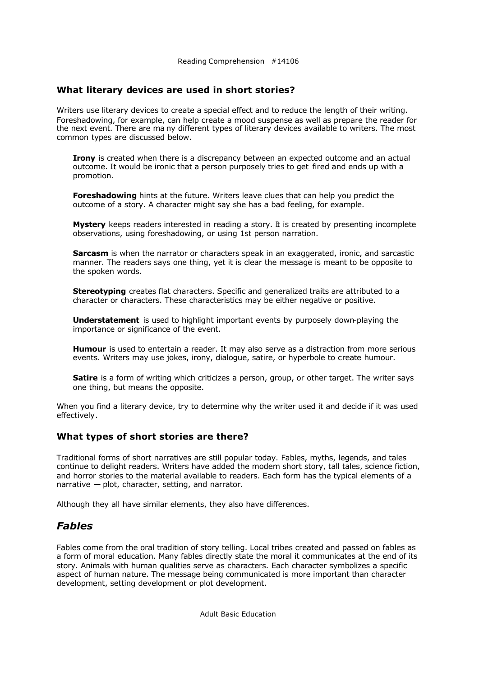### **What literary devices are used in short stories?**

Writers use literary devices to create a special effect and to reduce the length of their writing. Foreshadowing, for example, can help create a mood suspense as well as prepare the reader for the next event. There are ma ny different types of literary devices available to writers. The most common types are discussed below.

**Irony** is created when there is a discrepancy between an expected outcome and an actual outcome. It would be ironic that a person purposely tries to get fired and ends up with a promotion.

**Foreshadowing** hints at the future. Writers leave clues that can help you predict the outcome of a story. A character might say she has a bad feeling, for example.

**Mystery** keeps readers interested in reading a story. It is created by presenting incomplete observations, using foreshadowing, or using 1st person narration.

**Sarcasm** is when the narrator or characters speak in an exaggerated, ironic, and sarcastic manner. The readers says one thing, yet it is clear the message is meant to be opposite to the spoken words.

**Stereotyping** creates flat characters. Specific and generalized traits are attributed to a character or characters. These characteristics may be either negative or positive.

**Understatement** is used to highlight important events by purposely down-playing the importance or significance of the event.

**Humour** is used to entertain a reader. It may also serve as a distraction from more serious events. Writers may use jokes, irony, dialogue, satire, or hyperbole to create humour.

**Satire** is a form of writing which criticizes a person, group, or other target. The writer says one thing, but means the opposite.

When you find a literary device, try to determine why the writer used it and decide if it was used effectively.

### **What types of short stories are there?**

Traditional forms of short narratives are still popular today. Fables, myths, legends, and tales continue to delight readers. Writers have added the modem short story, tall tales, science fiction, and horror stories to the material available to readers. Each form has the typical elements of a narrative — plot, character, setting, and narrator.

Although they all have similar elements, they also have differences.

# *Fables*

Fables come from the oral tradition of story telling. Local tribes created and passed on fables as a form of moral education. Many fables directly state the moral it communicates at the end of its story. Animals with human qualities serve as characters. Each character symbolizes a specific aspect of human nature. The message being communicated is more important than character development, setting development or plot development.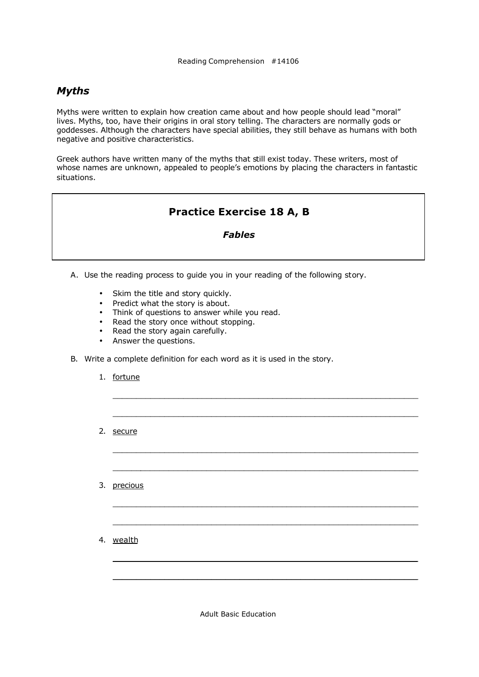# *Myths*

Myths were written to explain how creation came about and how people should lead "moral" lives. Myths, too, have their origins in oral story telling. The characters are normally gods or goddesses. Although the characters have special abilities, they still behave as humans with both negative and positive characteristics.

Greek authors have written many of the myths that still exist today. These writers, most of whose names are unknown, appealed to people's emotions by placing the characters in fantastic situations.

# *Fables*

 $\_$  ,  $\_$  ,  $\_$  ,  $\_$  ,  $\_$  ,  $\_$  ,  $\_$  ,  $\_$  ,  $\_$  ,  $\_$  ,  $\_$  ,  $\_$  ,  $\_$  ,  $\_$  ,  $\_$  ,  $\_$  ,  $\_$  ,  $\_$  ,  $\_$ 

 $\_$  ,  $\_$  ,  $\_$  ,  $\_$  ,  $\_$  ,  $\_$  ,  $\_$  ,  $\_$  ,  $\_$  ,  $\_$  ,  $\_$  ,  $\_$  ,  $\_$  ,  $\_$  ,  $\_$  ,  $\_$  ,  $\_$  ,  $\_$  ,  $\_$ 

 $\_$  ,  $\_$  ,  $\_$  ,  $\_$  ,  $\_$  ,  $\_$  ,  $\_$  ,  $\_$  ,  $\_$  ,  $\_$  ,  $\_$  ,  $\_$  ,  $\_$  ,  $\_$  ,  $\_$  ,  $\_$  ,  $\_$  ,  $\_$  ,  $\_$ 

 $\_$  ,  $\_$  ,  $\_$  ,  $\_$  ,  $\_$  ,  $\_$  ,  $\_$  ,  $\_$  ,  $\_$  ,  $\_$  ,  $\_$  ,  $\_$  ,  $\_$  ,  $\_$  ,  $\_$  ,  $\_$  ,  $\_$  ,  $\_$  ,  $\_$  ,  $\_$ 

 $\_$  ,  $\_$  ,  $\_$  ,  $\_$  ,  $\_$  ,  $\_$  ,  $\_$  ,  $\_$  ,  $\_$  ,  $\_$  ,  $\_$  ,  $\_$  ,  $\_$  ,  $\_$  ,  $\_$  ,  $\_$  ,  $\_$  ,  $\_$  ,  $\_$ 

\_\_\_\_\_\_\_\_\_\_\_\_\_\_\_\_\_\_\_\_\_\_\_\_\_\_\_\_\_\_\_\_\_\_\_\_\_\_\_\_\_\_\_\_\_\_\_\_\_\_\_\_\_\_\_\_\_\_\_\_\_\_\_\_\_

 $\mathcal{L}_\mathcal{L} = \mathcal{L}_\mathcal{L} = \mathcal{L}_\mathcal{L} = \mathcal{L}_\mathcal{L} = \mathcal{L}_\mathcal{L} = \mathcal{L}_\mathcal{L} = \mathcal{L}_\mathcal{L} = \mathcal{L}_\mathcal{L} = \mathcal{L}_\mathcal{L} = \mathcal{L}_\mathcal{L} = \mathcal{L}_\mathcal{L} = \mathcal{L}_\mathcal{L} = \mathcal{L}_\mathcal{L} = \mathcal{L}_\mathcal{L} = \mathcal{L}_\mathcal{L} = \mathcal{L}_\mathcal{L} = \mathcal{L}_\mathcal{L}$ 

 $\mathcal{L}_\mathcal{L} = \mathcal{L}_\mathcal{L} = \mathcal{L}_\mathcal{L} = \mathcal{L}_\mathcal{L} = \mathcal{L}_\mathcal{L} = \mathcal{L}_\mathcal{L} = \mathcal{L}_\mathcal{L} = \mathcal{L}_\mathcal{L} = \mathcal{L}_\mathcal{L} = \mathcal{L}_\mathcal{L} = \mathcal{L}_\mathcal{L} = \mathcal{L}_\mathcal{L} = \mathcal{L}_\mathcal{L} = \mathcal{L}_\mathcal{L} = \mathcal{L}_\mathcal{L} = \mathcal{L}_\mathcal{L} = \mathcal{L}_\mathcal{L}$ 

- A. Use the reading process to guide you in your reading of the following story.
	- Skim the title and story quickly.
	- Predict what the story is about.
	- Think of questions to answer while you read.
	- Read the story once without stopping.
	- Read the story again carefully.
	- Answer the questions.
- B. Write a complete definition for each word as it is used in the story.
	- 1. fortune
	- 2. secure
	- 3. precious
	- 4. wealth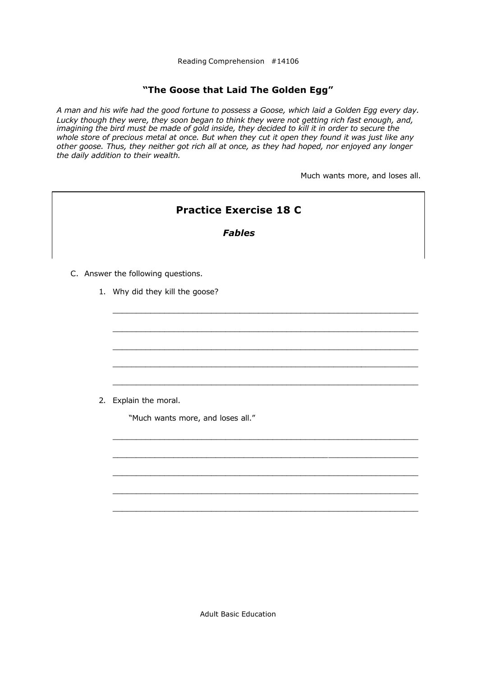# **"The Goose that Laid The Golden Egg"**

*A man and his wife had the good fortune to possess a Goose, which laid a Golden Egg every day. Lucky though they were, they soon began to think they were not getting rich fast enough, and, imagining the bird must be made of gold inside, they decided to kill it in order to secure the whole store of precious metal at once. But when they cut it open they found it was just like any other goose. Thus, they neither got rich all at once, as they had hoped, nor enjoyed any longer the daily addition to their wealth.* 

Much wants more, and loses all.

| <b>Practice Exercise 18 C</b>      |
|------------------------------------|
| <b>Fables</b>                      |
|                                    |
| C. Answer the following questions. |
| 1. Why did they kill the goose?    |
|                                    |
|                                    |
|                                    |
|                                    |
| 2. Explain the moral.              |
| "Much wants more, and loses all."  |
|                                    |
|                                    |
|                                    |
|                                    |
|                                    |
|                                    |
|                                    |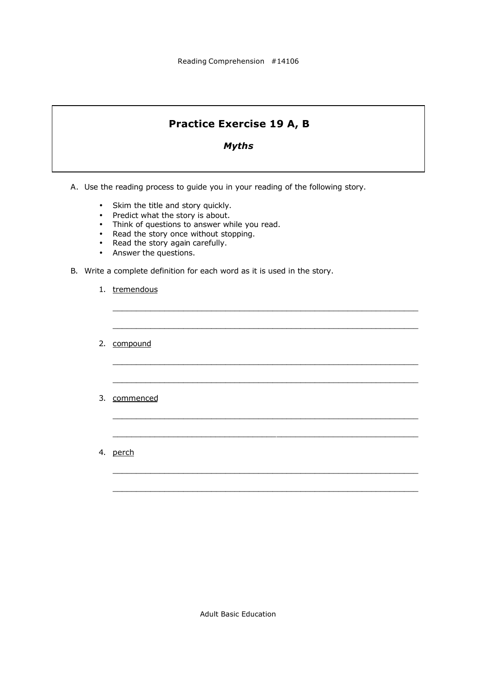# **Practice Exercise 19 A, B**

# *Myths*

 $\mathcal{L}_\mathcal{L}$  , and the contribution of the contribution of the contribution of the contribution of the contribution of the contribution of the contribution of the contribution of the contribution of the contribution of

 $\_$  ,  $\_$  ,  $\_$  ,  $\_$  ,  $\_$  ,  $\_$  ,  $\_$  ,  $\_$  ,  $\_$  ,  $\_$  ,  $\_$  ,  $\_$  ,  $\_$  ,  $\_$  ,  $\_$  ,  $\_$  ,  $\_$  ,  $\_$  ,  $\_$ 

 $\_$  ,  $\_$  ,  $\_$  ,  $\_$  ,  $\_$  ,  $\_$  ,  $\_$  ,  $\_$  ,  $\_$  ,  $\_$  ,  $\_$  ,  $\_$  ,  $\_$  ,  $\_$  ,  $\_$  ,  $\_$  ,  $\_$  ,  $\_$  ,  $\_$ 

 $\_$  ,  $\_$  ,  $\_$  ,  $\_$  ,  $\_$  ,  $\_$  ,  $\_$  ,  $\_$  ,  $\_$  ,  $\_$  ,  $\_$  ,  $\_$  ,  $\_$  ,  $\_$  ,  $\_$  ,  $\_$  ,  $\_$  ,  $\_$  ,  $\_$ 

 $\_$  ,  $\_$  ,  $\_$  ,  $\_$  ,  $\_$  ,  $\_$  ,  $\_$  ,  $\_$  ,  $\_$  ,  $\_$  ,  $\_$  ,  $\_$  ,  $\_$  ,  $\_$  ,  $\_$  ,  $\_$  ,  $\_$  ,  $\_$  ,  $\_$ 

\_\_\_\_\_\_\_\_\_\_\_\_\_\_\_\_\_\_\_\_\_\_\_\_\_\_\_\_\_\_\_\_\_\_\_\_\_\_\_\_\_\_\_\_\_\_\_\_\_\_\_\_\_\_\_\_\_\_\_\_\_\_\_\_\_

 $\_$  ,  $\_$  ,  $\_$  ,  $\_$  ,  $\_$  ,  $\_$  ,  $\_$  ,  $\_$  ,  $\_$  ,  $\_$  ,  $\_$  ,  $\_$  ,  $\_$  ,  $\_$  ,  $\_$  ,  $\_$  ,  $\_$  ,  $\_$  ,  $\_$ 

 $\_$  ,  $\_$  ,  $\_$  ,  $\_$  ,  $\_$  ,  $\_$  ,  $\_$  ,  $\_$  ,  $\_$  ,  $\_$  ,  $\_$  ,  $\_$  ,  $\_$  ,  $\_$  ,  $\_$  ,  $\_$  ,  $\_$  ,  $\_$  ,  $\_$ 

- A. Use the reading process to guide you in your reading of the following story.
	- Skim the title and story quickly.
	- Predict what the story is about.
	- Think of questions to answer while you read.
	- Read the story once without stopping.
	- Read the story again carefully.
	- Answer the questions.
- B. Write a complete definition for each word as it is used in the story.
	- 1. tremendous
	- 2. compound
	- 3. commenced
	- 4. perch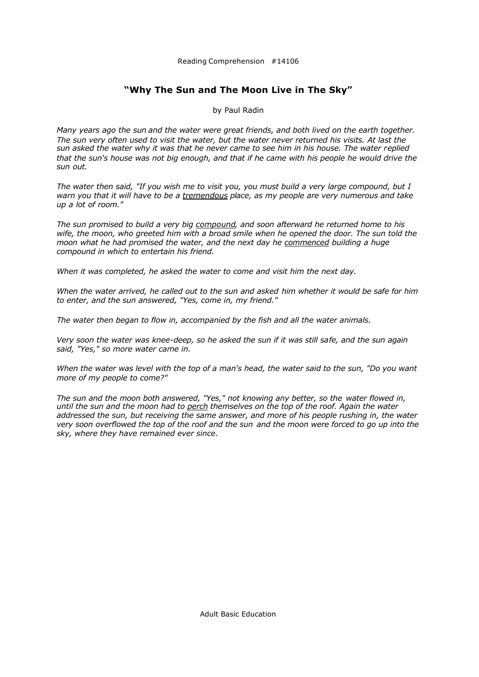# **"Why The Sun and The Moon Live in The Sky"**

by Paul Radin

*Many years ago the sun and the water were great friends, and both lived on the earth together. The sun very often used to visit the water, but the water never returned his visits. At last the sun asked the water why it was that he never came to see him in his house. The water replied that the sun's house was not big enough, and that if he came with his people he would drive the sun out.* 

*The water then said, "If you wish me to visit you, you must build a very large compound, but I warn you that it will have to be a tremendous place, as my people are very numerous and take up a lot of room."* 

*The sun promised to build a very big compound, and soon afterward he returned home to his wife, the moon, who greeted him with a broad smile when he opened the door. The sun told the moon what he had promised the water, and the next day he commenced building a huge compound in which to entertain his friend.* 

*When it was completed, he asked the water to come and visit him the next day.* 

*When the water arrived, he called out to the sun and asked him whether it would be safe for him to enter, and the sun answered, "Yes, come in, my friend."* 

*The water then began to flow in, accompanied by the fish and all the water animals.* 

*Very soon the water was knee-deep, so he asked the sun if it was still safe, and the sun again said, "Yes," so more water came in.* 

*When the water was level with the top of a man's head, the water said to the sun, "Do you want more of my people to come?"*

*The sun and the moon both answered, "Yes," not knowing any better, so the water flowed in, until the sun and the moon had to perch themselves on the top of the roof. Again the water addressed the sun, but receiving the same answer, and more of his people rushing in, the water very soon overflowed the top of the roof and the sun and the moon were forced to go up into the sky, where they have remained ever since.*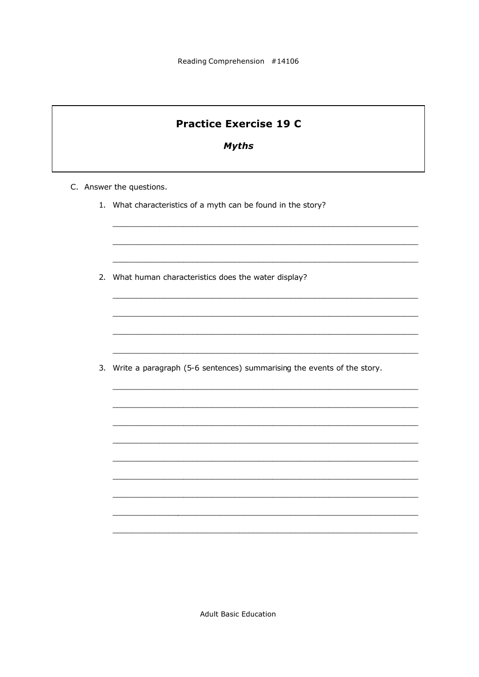# **Practice Exercise 19 C**

# **Myths**

- C. Answer the questions.
	- 1. What characteristics of a myth can be found in the story?
	- 2. What human characteristics does the water display?

3. Write a paragraph (5-6 sentences) summarising the events of the story.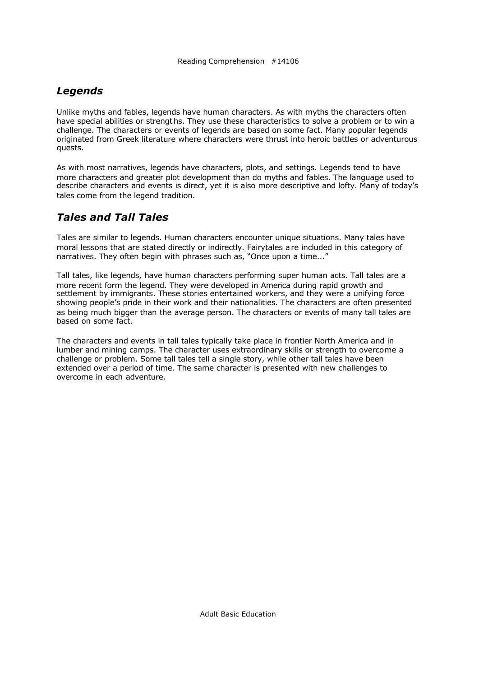# *Legends*

Unlike myths and fables, legends have human characters. As with myths the characters often have special abilities or strengths. They use these characteristics to solve a problem or to win a challenge. The characters or events of legends are based on some fact. Many popular legends originated from Greek literature where characters were thrust into heroic battles or adventurous quests.

As with most narratives, legends have characters, plots, and settings. Legends tend to have more characters and greater plot development than do myths and fables. The language used to describe characters and events is direct, yet it is also more descriptive and lofty. Many of today's tales come from the legend tradition.

# *Tales and Tall Tales*

Tales are similar to legends. Human characters encounter unique situations. Many tales have moral lessons that are stated directly or indirectly. Fairytales are included in this category of narratives. They often begin with phrases such as, "Once upon a time..."

Tall tales, like legends, have human characters performing super human acts. Tall tales are a more recent form the legend. They were developed in America during rapid growth and settlement by immigrants. These stories entertained workers, and they were a unifying force showing people's pride in their work and their nationalities. The characters are often presented as being much bigger than the average person. The characters or events of many tall tales are based on some fact.

The characters and events in tall tales typically take place in frontier North America and in lumber and mining camps. The character uses extraordinary skills or strength to overcome a challenge or problem. Some tall tales tell a single story, while other tall tales have been extended over a period of time. The same character is presented with new challenges to overcome in each adventure.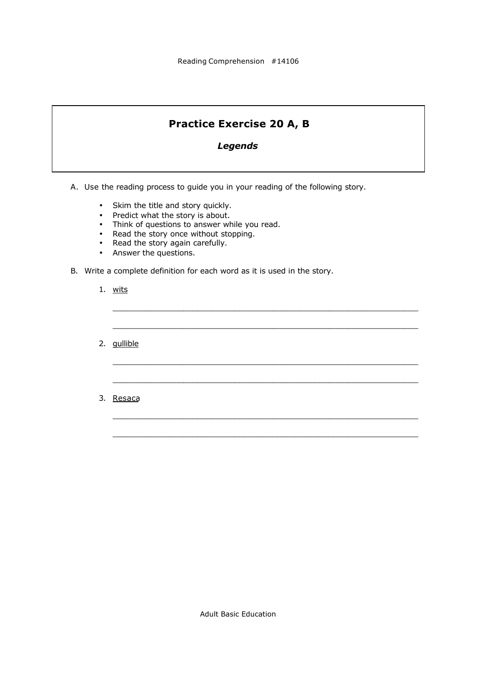# **Practice Exercise 20 A, B**

# *Legends*

 $\mathcal{L}_\mathcal{L}$  , and the contribution of the contribution of the contribution of the contribution of the contribution of the contribution of the contribution of the contribution of the contribution of the contribution of

 $\_$  ,  $\_$  ,  $\_$  ,  $\_$  ,  $\_$  ,  $\_$  ,  $\_$  ,  $\_$  ,  $\_$  ,  $\_$  ,  $\_$  ,  $\_$  ,  $\_$  ,  $\_$  ,  $\_$  ,  $\_$  ,  $\_$  ,  $\_$  ,  $\_$ 

 $\_$  ,  $\_$  ,  $\_$  ,  $\_$  ,  $\_$  ,  $\_$  ,  $\_$  ,  $\_$  ,  $\_$  ,  $\_$  ,  $\_$  ,  $\_$  ,  $\_$  ,  $\_$  ,  $\_$  ,  $\_$  ,  $\_$  ,  $\_$  ,  $\_$ 

 $\_$  ,  $\_$  ,  $\_$  ,  $\_$  ,  $\_$  ,  $\_$  ,  $\_$  ,  $\_$  ,  $\_$  ,  $\_$  ,  $\_$  ,  $\_$  ,  $\_$  ,  $\_$  ,  $\_$  ,  $\_$  ,  $\_$  ,  $\_$  ,  $\_$ 

 $\_$  ,  $\_$  ,  $\_$  ,  $\_$  ,  $\_$  ,  $\_$  ,  $\_$  ,  $\_$  ,  $\_$  ,  $\_$  ,  $\_$  ,  $\_$  ,  $\_$  ,  $\_$  ,  $\_$  ,  $\_$  ,  $\_$  ,  $\_$  ,  $\_$ 

\_\_\_\_\_\_\_\_\_\_\_\_\_\_\_\_\_\_\_\_\_\_\_\_\_\_\_\_\_\_\_\_\_\_\_\_\_\_\_\_\_\_\_\_\_\_\_\_\_\_\_\_\_\_\_\_\_\_\_\_\_\_\_\_\_

- A. Use the reading process to guide you in your reading of the following story.
	- Skim the title and story quickly.
	- Predict what the story is about.
	- Think of questions to answer while you read.
	- Read the story once without stopping.
	- Read the story again carefully.
	- Answer the questions.
- B. Write a complete definition for each word as it is used in the story.
	- 1. wits
	- 2. gullible
	- 3. Resaca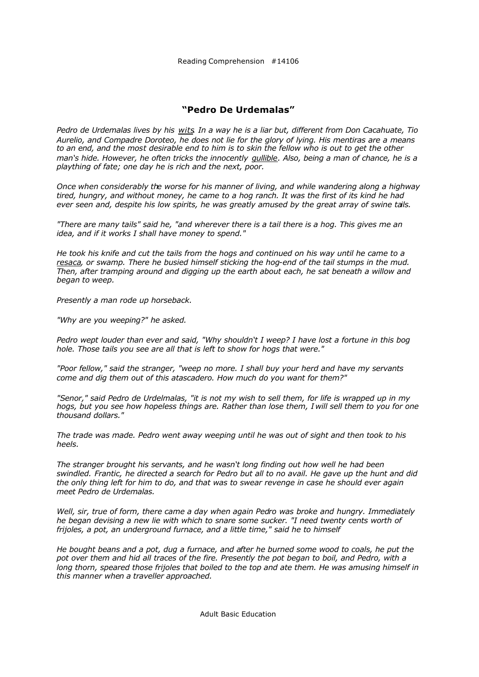## **"Pedro De Urdemalas"**

*Pedro de Urdemalas lives by his wits. In a way he is a liar but, different from Don Cacahuate, Tio Aurelio, and Compadre Doroteo, he does not lie for the glory of lying. His mentiras are a means to an end, and the most desirable end to him is to skin the fellow who is out to get the other man's hide. However, he often tricks the innocently gullible. Also, being a man of chance, he is a plaything of fate; one day he is rich and the next, poor.* 

*Once when considerably the worse for his manner of living, and while wandering along a highway tired, hungry, and without money, he came to a hog ranch. It was the first of its kind he had ever seen and, despite his low spirits, he was greatly amused by the great array of swine tails.* 

*"There are many tails" said he, "and wherever there is a tail there is a hog. This gives me an idea, and if it works I shall have money to spend."* 

*He took his knife and cut the tails from the hogs and continued on his way until he came to a resaca, or swamp. There he busied himself sticking the hog-end of the tail stumps in the mud. Then, after tramping around and digging up the earth about each, he sat beneath a willow and began to weep.* 

*Presently a man rode up horseback.* 

*"Why are you weeping?" he asked.* 

*Pedro wept louder than ever and said, "Why shouldn't I weep? I have lost a fortune in this bog hole. Those tails you see are all that is left to show for hogs that were."* 

*"Poor fellow," said the stranger, "weep no more. I shall buy your herd and have my servants come and dig them out of this atascadero. How much do you want for them?"* 

*"Senor," said Pedro de Urdelmalas, "it is not my wish to sell them, for life is wrapped up in my hogs, but you see how hopeless things are. Rather than lose them, I will sell them to you for one thousand dollars."* 

*The trade was made. Pedro went away weeping until he was out of sight and then took to his heels.* 

*The stranger brought his servants, and he wasn't long finding out how well he had been swindled. Frantic, he directed a search for Pedro but all to no avail. He gave up the hunt and did the only thing left for him to do, and that was to swear revenge in case he should ever again meet Pedro de Urdemalas.* 

*Well, sir, true of form, there came a day when again Pedro was broke and hungry. Immediately he began devising a new lie with which to snare some sucker. "I need twenty cents worth of frijoles, a pot, an underground furnace, and a little time," said he to himself* 

*He bought beans and a pot, dug a furnace, and after he burned some wood to coals, he put the pot over them and hid all traces of the fire. Presently the pot began to boil, and Pedro, with a long thorn, speared those frijoles that boiled to the top and ate them. He was amusing himself in this manner when a traveller approached.*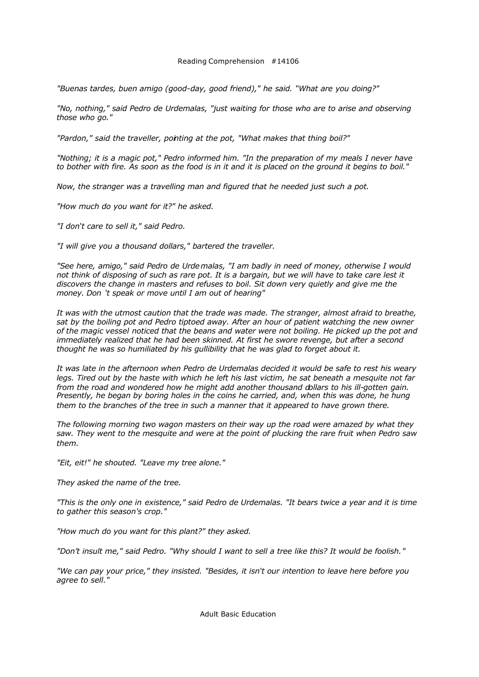*"Buenas tardes, buen amigo (good-day, good friend)," he said. "What are you doing?"* 

*"No, nothing," said Pedro de Urdemalas, "just waiting for those who are to arise and observing those who go."* 

*"Pardon," said the traveller, pointing at the pot, "What makes that thing boil?"* 

*"Nothing; it is a magic pot," Pedro informed him. "In the preparation of my meals I never have to bother with fire. As soon as the food is in it and it is placed on the ground it begins to boil."* 

*Now, the stranger was a travelling man and figured that he needed just such a pot.* 

*"How much do you want for it?" he asked.* 

*"I don't care to sell it," said Pedro.* 

*"I will give you a thousand dollars," bartered the traveller.* 

*"See here, amigo," said Pedro de Urdemalas, "I am badly in need of money, otherwise I would not think of disposing of such as rare pot. It is a bargain, but we will have to take care lest it discovers the change in masters and refuses to boil. Sit down very quietly and give me the money. Don 't speak or move until I am out of hearing"* 

*It was with the utmost caution that the trade was made. The stranger, almost afraid to breathe, sat by the boiling pot and Pedro tiptoed away. After an hour of patient watching the new owner of the magic vessel noticed that the beans and water were not boiling. He picked up the pot and immediately realized that he had been skinned. At first he swore revenge, but after a second thought he was so humiliated by his gullibility that he was glad to forget about it.* 

*It was late in the afternoon when Pedro de Urdemalas decided it would be safe to rest his weary legs. Tired out by the haste with which he left his last victim, he sat beneath a mesquite not far from the road and wondered how he might add another thousand dollars to his ill-gotten gain. Presently, he began by boring holes in the coins he carried, and, when this was done, he hung them to the branches of the tree in such a manner that it appeared to have grown there.* 

*The following morning two wagon masters on their way up the road were amazed by what they saw. They went to the mesquite and were at the point of plucking the rare fruit when Pedro saw them.* 

*"Eit, eit!" he shouted. "Leave my tree alone."* 

*They asked the name of the tree.* 

*"This is the only one in existence," said Pedro de Urdemalas. "It bears twice a year and it is time to gather this season's crop."* 

*"How much do you want for this plant?" they asked.* 

*"Don't insult me," said Pedro. "Why should I want to sell a tree like this? It would be foolish."* 

*"We can pay your price," they insisted. "Besides, it isn't our intention to leave here before you agree to sell."*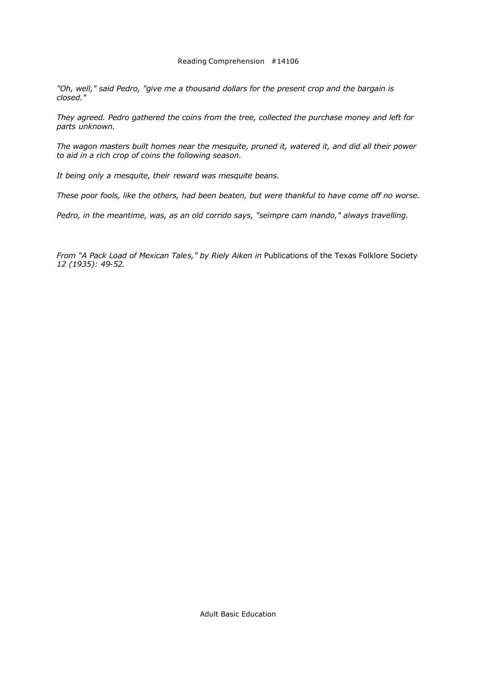"Oh, well," said Pedro, "give me a thousand dollars for the present crop and the bargain is *closed."* 

*They agreed. Pedro gathered the coins from the tree, collected the purchase money and left for parts unknown.* 

*The wagon masters built homes near the mesquite, pruned it, watered it, and did all their power to aid in a rich crop of coins the following season.* 

*It being only a mesquite, their reward was mesquite beans.* 

*These poor fools, like the others, had been beaten, but were thankful to have come off no worse.* 

*Pedro, in the meantime, was, as an old corrido says, "seimpre cam inando," always travelling.* 

*From "A Pack Load of Mexican Tales," by Riely Aiken in* Publications of the Texas Folklore Society *12 (1935): 49-52.*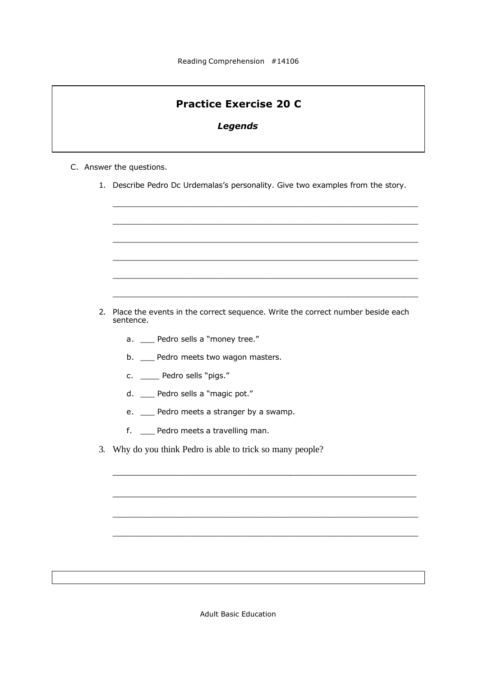**Practice Exercise 20 C**

| <b>Legends</b>                                                                                 |
|------------------------------------------------------------------------------------------------|
| C. Answer the questions.                                                                       |
| 1. Describe Pedro Dc Urdemalas's personality. Give two examples from the story.                |
|                                                                                                |
|                                                                                                |
|                                                                                                |
|                                                                                                |
|                                                                                                |
| 2. Place the events in the correct sequence. Write the correct number beside each<br>sentence. |
| a. __ Pedro sells a "money tree."                                                              |
| b. __ Pedro meets two wagon masters.                                                           |
| c. _____ Pedro sells "pigs."                                                                   |
| d. __ Pedro sells a "magic pot."                                                               |
| e. __ Pedro meets a stranger by a swamp.                                                       |
| f. __ Pedro meets a travelling man.                                                            |
| 3. Why do you think Pedro is able to trick so many people?                                     |
|                                                                                                |
|                                                                                                |
|                                                                                                |
|                                                                                                |
|                                                                                                |
|                                                                                                |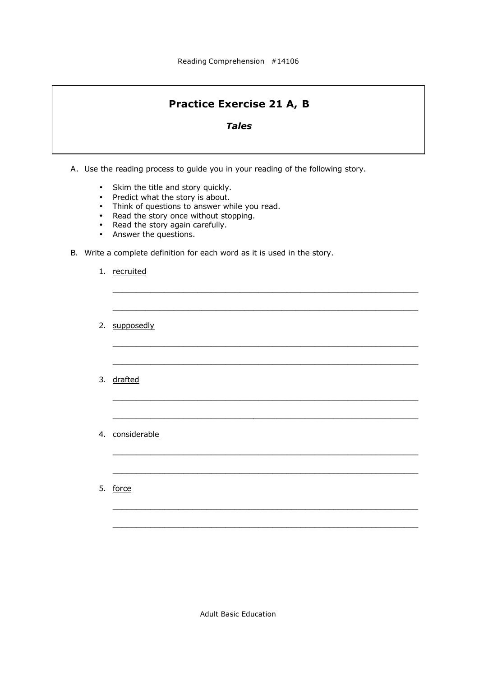|  | <b>Practice Exercise 21 A, B</b> |  |  |  |
|--|----------------------------------|--|--|--|
|--|----------------------------------|--|--|--|

*Tales*

- A. Use the reading process to guide you in your reading of the following story.
	- Skim the title and story quickly.
	- Predict what the story is about.
	- Think of questions to answer while you read.
	- Read the story once without stopping.
	- Read the story again carefully.
	- Answer the questions.
- B. Write a complete definition for each word as it is used in the story.

| 1. recruited    |
|-----------------|
|                 |
| 2. supposedly   |
|                 |
| 3. drafted      |
|                 |
| 4. considerable |
|                 |
| 5. force        |
|                 |
|                 |

\_\_\_\_\_\_\_\_\_\_\_\_\_\_\_\_\_\_\_\_\_\_\_\_\_\_\_\_\_\_\_\_\_\_\_\_\_\_\_\_\_\_\_\_\_\_\_\_\_\_\_\_\_\_\_\_\_\_\_\_\_\_\_\_\_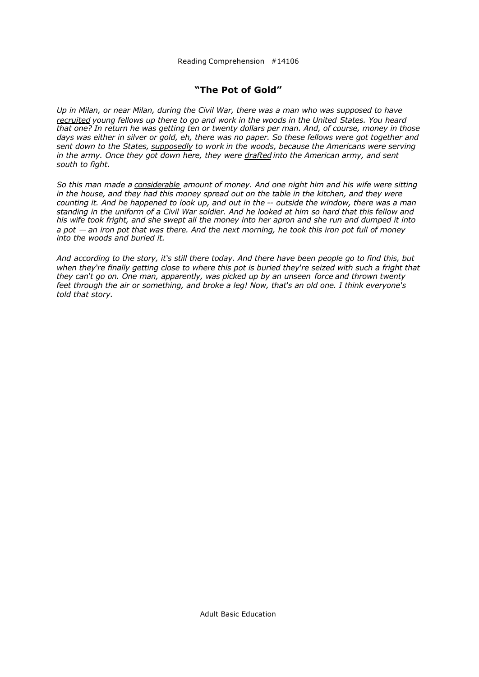### **"The Pot of Gold"**

*Up in Milan, or near Milan, during the Civil War, there was a man who was supposed to have recruited young fellows up there to go and work in the woods in the United States. You heard that one? In return he was getting ten or twenty dollars per man. And, of course, money in those days was either in silver or gold, eh, there was no paper. So these fellows were got together and sent down to the States, supposedly to work in the woods, because the Americans were serving in the army. Once they got down here, they were drafted into the American army, and sent south to fight.* 

*So this man made a considerable amount of money. And one night him and his wife were sitting in the house, and they had this money spread out on the table in the kitchen, and they were counting it. And he happened to look up, and out in the -- outside the window, there was a man standing in the uniform of a Civil War soldier. And he looked at him so hard that this fellow and his wife took fright, and she swept all the money into her apron and she run and dumped it into a pot — an iron pot that was there. And the next morning, he took this iron pot full of money into the woods and buried it.* 

*And according to the story, it's still there today. And there have been people go to find this, but when they're finally getting close to where this pot is buried they're seized with such a fright that they can't go on. One man, apparently, was picked up by an unseen force and thrown twenty feet through the air or something, and broke a leg! Now, that's an old one. I think everyone's told that story.*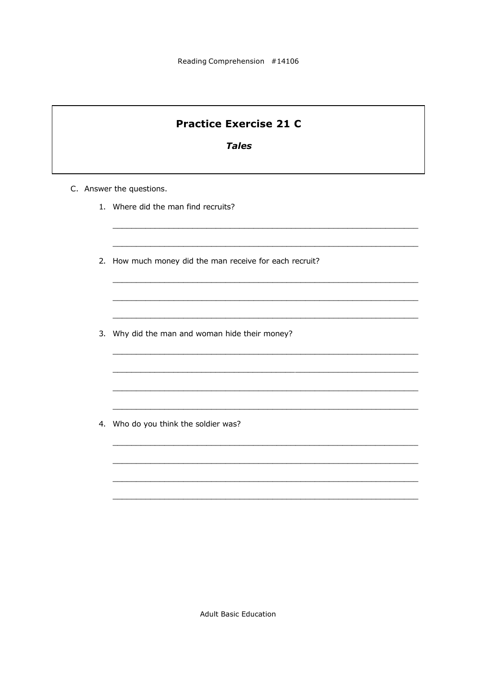# **Practice Exercise 21 C**

**Tales** 

- C. Answer the questions.
	- 1. Where did the man find recruits?
	- 2. How much money did the man receive for each recruit?
	- 3. Why did the man and woman hide their money?

4. Who do you think the soldier was?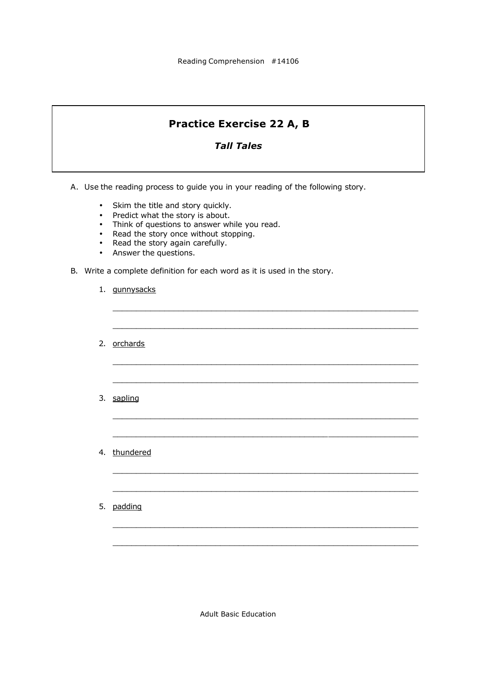# **Practice Exercise 22 A, B**

### *Tall Tales*

 $\mathcal{L}_\mathcal{L}$  , and the contribution of the contribution of the contribution of the contribution of the contribution of the contribution of the contribution of the contribution of the contribution of the contribution of

 $\_$  ,  $\_$  ,  $\_$  ,  $\_$  ,  $\_$  ,  $\_$  ,  $\_$  ,  $\_$  ,  $\_$  ,  $\_$  ,  $\_$  ,  $\_$  ,  $\_$  ,  $\_$  ,  $\_$  ,  $\_$  ,  $\_$  ,  $\_$  ,  $\_$ 

 $\_$  ,  $\_$  ,  $\_$  ,  $\_$  ,  $\_$  ,  $\_$  ,  $\_$  ,  $\_$  ,  $\_$  ,  $\_$  ,  $\_$  ,  $\_$  ,  $\_$  ,  $\_$  ,  $\_$  ,  $\_$  ,  $\_$  ,  $\_$  ,  $\_$ 

 $\_$  ,  $\_$  ,  $\_$  ,  $\_$  ,  $\_$  ,  $\_$  ,  $\_$  ,  $\_$  ,  $\_$  ,  $\_$  ,  $\_$  ,  $\_$  ,  $\_$  ,  $\_$  ,  $\_$  ,  $\_$  ,  $\_$  ,  $\_$  ,  $\_$ 

 $\_$  ,  $\_$  ,  $\_$  ,  $\_$  ,  $\_$  ,  $\_$  ,  $\_$  ,  $\_$  ,  $\_$  ,  $\_$  ,  $\_$  ,  $\_$  ,  $\_$  ,  $\_$  ,  $\_$  ,  $\_$  ,  $\_$  ,  $\_$  ,  $\_$ 

\_\_\_\_\_\_\_\_\_\_\_\_\_\_\_\_\_\_\_\_\_\_\_\_\_\_\_\_\_\_\_\_\_\_\_\_\_\_\_\_\_\_\_\_\_\_\_\_\_\_\_\_\_\_\_\_\_\_\_\_\_\_\_\_\_

 $\_$  ,  $\_$  ,  $\_$  ,  $\_$  ,  $\_$  ,  $\_$  ,  $\_$  ,  $\_$  ,  $\_$  ,  $\_$  ,  $\_$  ,  $\_$  ,  $\_$  ,  $\_$  ,  $\_$  ,  $\_$  ,  $\_$  ,  $\_$  ,  $\_$ 

 $\_$  ,  $\_$  ,  $\_$  ,  $\_$  ,  $\_$  ,  $\_$  ,  $\_$  ,  $\_$  ,  $\_$  ,  $\_$  ,  $\_$  ,  $\_$  ,  $\_$  ,  $\_$  ,  $\_$  ,  $\_$  ,  $\_$  ,  $\_$  ,  $\_$ 

\_\_\_\_\_\_\_\_\_\_\_\_\_\_\_\_\_\_\_\_\_\_\_\_\_\_\_\_\_\_\_\_\_\_\_\_\_\_\_\_\_\_\_\_\_\_\_\_\_\_\_\_\_\_\_\_\_\_\_\_\_\_\_\_\_

 $\Box$ 

- A. Use the reading process to guide you in your reading of the following story.
	- Skim the title and story quickly.
	- Predict what the story is about.
	- Think of questions to answer while you read.
	- Read the story once without stopping.
	- Read the story again carefully.
	- Answer the questions.
- B. Write a complete definition for each word as it is used in the story.

#### 1. gunnysacks

- 2. orchards
- 3. sapling
- 4. thundered
- 5. padding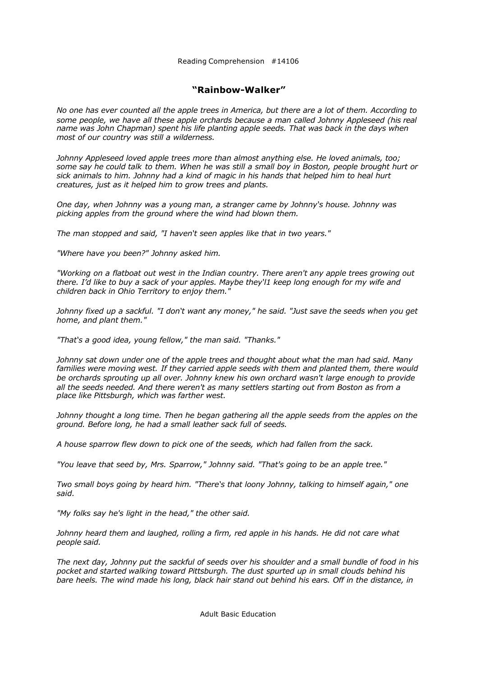### **"Rainbow-Walker"**

*No one has ever counted all the apple trees in America, but there are a lot of them. According to*  some people, we have all these apple orchards because a man called Johnny Appleseed (his real *name was John Chapman) spent his life planting apple seeds. That was back in the days when most of our country was still a wilderness.* 

*Johnny Appleseed loved apple trees more than almost anything else. He loved animals, too; some say he could talk to them. When he was still a small boy in Boston, people brought hurt or sick animals to him. Johnny had a kind of magic in his hands that helped him to heal hurt creatures, just as it helped him to grow trees and plants.* 

*One day, when Johnny was a young man, a stranger came by Johnny's house. Johnny was picking apples from the ground where the wind had blown them.* 

*The man stopped and said, "I haven't seen apples like that in two years."* 

*"Where have you been?" Johnny asked him.* 

*"Working on a flatboat out west in the Indian country. There aren't any apple trees growing out there. I'd like to buy a sack of your apples. Maybe they'l1 keep long enough for my wife and children back in Ohio Territory to enjoy them."* 

*Johnny fixed up a sackful. "I don't want any money," he said. "Just save the seeds when you get home, and plant them."* 

*"That's a good idea, young fellow," the man said. "Thanks."* 

*Johnny sat down under one of the apple trees and thought about what the man had said. Many families were moving west. If they carried apple seeds with them and planted them, there would be orchards sprouting up all over. Johnny knew his own orchard wasn't large enough to provide all the seeds needed. And there weren't as many settlers starting out from Boston as from a place like Pittsburgh, which was farther west.* 

*Johnny thought a long time. Then he began gathering all the apple seeds from the apples on the ground. Before long, he had a small leather sack full of seeds.* 

*A house sparrow flew down to pick one of the seeds, which had fallen from the sack.* 

*"You leave that seed by, Mrs. Sparrow," Johnny said. "That's going to be an apple tree."* 

*Two small boys going by heard him. "There's that loony Johnny, talking to himself again," one said.* 

*"My folks say he's light in the head," the other said.* 

*Johnny heard them and laughed, rolling a firm, red apple in his hands. He did not care what people said.* 

*The next day, Johnny put the sackful of seeds over his shoulder and a small bundle of food in his pocket and started walking toward Pittsburgh. The dust spurted up in small clouds behind his bare heels. The wind made his long, black hair stand out behind his ears. Off in the distance, in*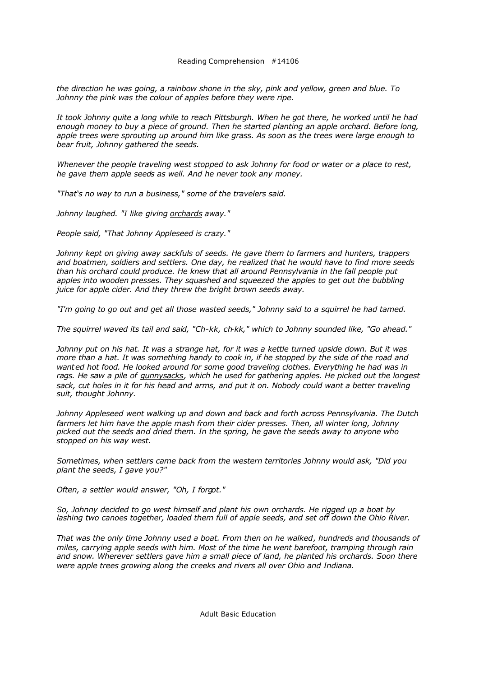*the direction he was going, a rainbow shone in the sky, pink and yellow, green and blue. To Johnny the pink was the colour of apples before they were ripe.* 

*It took Johnny quite a long while to reach Pittsburgh. When he got there, he worked until he had enough money to buy a piece of ground. Then he started planting an apple orchard. Before long, apple trees were sprouting up around him like grass. As soon as the trees were large enough to bear fruit, Johnny gathered the seeds.* 

*Whenever the people traveling west stopped to ask Johnny for food or water or a place to rest, he gave them apple seeds as well. And he never took any money.* 

*"That's no way to run a business," some of the travelers said.* 

*Johnny laughed. "I like giving orchards away."* 

*People said, "That Johnny Appleseed is crazy."* 

*Johnny kept on giving away sackfuls of seeds. He gave them to farmers and hunters, trappers and boatmen, soldiers and settlers. One day, he realized that he would have to find more seeds than his orchard could produce. He knew that all around Pennsylvania in the fall people put apples into wooden presses. They squashed and squeezed the apples to get out the bubbling juice for apple cider. And they threw the bright brown seeds away.* 

*"I'm going to go out and get all those wasted seeds," Johnny said to a squirrel he had tamed.* 

*The squirrel waved its tail and said, "Ch-kk, ch-kk," which to Johnny sounded like, "Go ahead."* 

*Johnny put on his hat. It was a strange hat, for it was a kettle turned upside down. But it was more than a hat. It was something handy to cook in, if he stopped by the side of the road and wanted hot food. He looked around for some good traveling clothes. Everything he had was in rags. He saw a pile of gunnysacks, which he used for gathering apples. He picked out the longest*  sack, cut holes in it for his head and arms, and put it on. Nobody could want a better traveling *suit, thought Johnny.* 

*Johnny Appleseed went walking up and down and back and forth across Pennsylvania. The Dutch farmers let him have the apple mash from their cider presses. Then, all winter long, Johnny picked out the seeds and dried them. In the spring, he gave the seeds away to anyone who stopped on his way west.* 

*Sometimes, when settlers came back from the western territories Johnny would ask, "Did you plant the seeds, I gave you?"* 

*Often, a settler would answer, "Oh, I forgot."* 

*So, Johnny decided to go west himself and plant his own orchards. He rigged up a boat by*  lashing two canoes together, loaded them full of apple seeds, and set off down the Ohio River.

*That was the only time Johnny used a boat. From then on he walked, hundreds and thousands of miles, carrying apple seeds with him. Most of the time he went barefoot, tramping through rain and snow. Wherever settlers gave him a small piece of land, he planted his orchards. Soon there were apple trees growing along the creeks and rivers all over Ohio and Indiana.*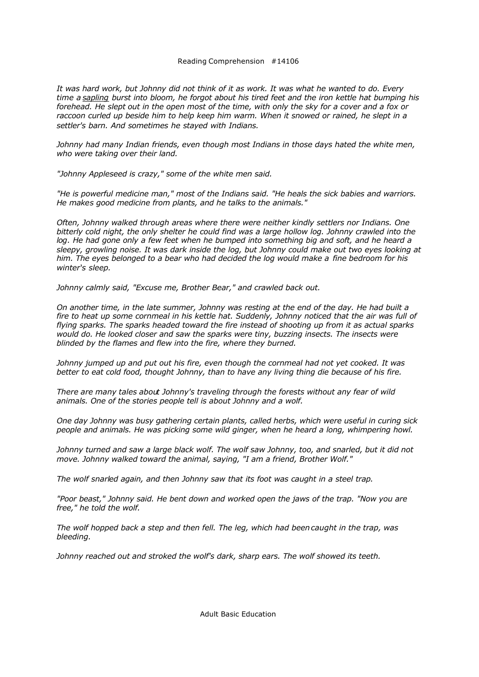*It was hard work, but Johnny did not think of it as work. It was what he wanted to do. Every time a sapling burst into bloom, he forgot about his tired feet and the iron kettle hat bumping his forehead. He slept out in the open most of the time, with only the sky for a cover and a fox or*  raccoon curled up beside him to help keep him warm. When it snowed or rained, he slept in a *settler's barn. And sometimes he stayed with Indians.* 

Johnny had many Indian friends, even though most Indians in those days hated the white men, *who were taking over their land.* 

*"Johnny Appleseed is crazy," some of the white men said.* 

*"He is powerful medicine man," most of the Indians said. "He heals the sick babies and warriors. He makes good medicine from plants, and he talks to the animals."* 

*Often, Johnny walked through areas where there were neither kindly settlers nor Indians. One bitterly cold night, the only shelter he could find was a large hollow log. Johnny crawled into the*  log. He had gone only a few feet when he bumped into something big and soft, and he heard a *sleepy, growling noise. It was dark inside the log, but Johnny could make out two eyes looking at him. The eyes belonged to a bear who had decided the log would make a fine bedroom for his winter's sleep.*

*Johnny calmly said, "Excuse me, Brother Bear," and crawled back out.* 

*On another time, in the late summer, Johnny was resting at the end of the day. He had built a fire to heat up some cornmeal in his kettle hat. Suddenly, Johnny noticed that the air was full of flying sparks. The sparks headed toward the fire instead of shooting up from it as actual sparks would do. He looked closer and saw the sparks were tiny, buzzing insects. The insects were blinded by the flames and flew into the fire, where they burned.* 

*Johnny jumped up and put out his fire, even though the cornmeal had not yet cooked. It was better to eat cold food, thought Johnny, than to have any living thing die because of his fire.* 

*There are many tales about Johnny's traveling through the forests without any fear of wild animals. One of the stories people tell is about Johnny and a wolf.*

*One day Johnny was busy gathering certain plants, called herbs, which were useful in curing sick people and animals. He was picking some wild ginger, when he heard a long, whimpering howl.* 

Johnny turned and saw a large black wolf. The wolf saw Johnny, too, and snarled, but it did not *move. Johnny walked toward the animal, saying, "I am a friend, Brother Wolf."*

*The wolf snarled again, and then Johnny saw that its foot was caught in a steel trap.* 

*"Poor beast," Johnny said. He bent down and worked open the jaws of the trap. "Now you are free," he told the wolf.* 

*The wolf hopped back a step and then fell. The leg, which had been caught in the trap, was bleeding.* 

*Johnny reached out and stroked the wolf's dark, sharp ears. The wolf showed its teeth.*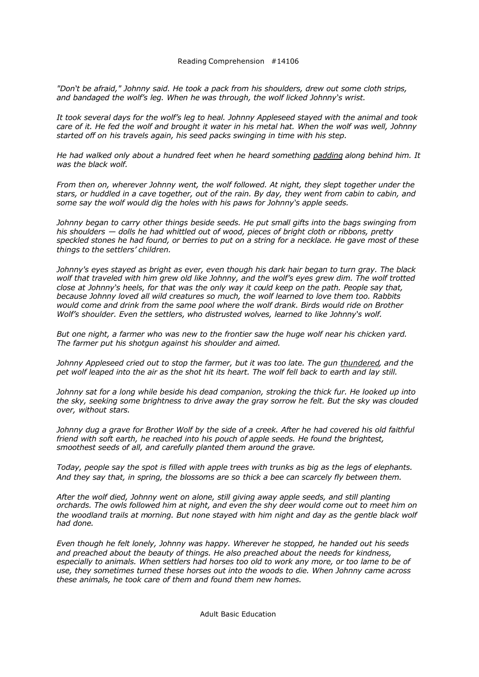*"Don't be afraid," Johnny said. He took a pack from his shoulders, drew out some cloth strips, and bandaged the wolf's leg. When he was through, the wolf licked Johnny's wrist.* 

*It took several days for the wolf's leg to heal. Johnny Appleseed stayed with the animal and took care of it. He fed the wolf and brought it water in his metal hat. When the wolf was well, Johnny started off on his travels again, his seed packs swinging in time with his step.* 

*He had walked only about a hundred feet when he heard something padding along behind him. It was the black wolf.*

*From then on, wherever Johnny went, the wolf followed. At night, they slept together under the stars, or huddled in a cave together, out of the rain. By day, they went from cabin to cabin, and some say the wolf would dig the holes with his paws for Johnny's apple seeds.* 

*Johnny began to carry other things beside seeds. He put small gifts into the bags swinging from his shoulders — dolls he had whittled out of wood, pieces of bright cloth or ribbons, pretty speckled stones he had found, or berries to put on a string for a necklace. He gave most of these things to the settlers' children.* 

*Johnny's eyes stayed as bright as ever, even though his dark hair began to turn gray. The black wolf that traveled with him grew old like Johnny, and the wolf's eyes grew dim. The wolf trotted close at Johnny's heels, for that was the only way it could keep on the path. People say that, because Johnny loved all wild creatures so much, the wolf learned to love them too. Rabbits would come and drink from the same pool where the wolf drank. Birds would ride on Brother Wolf's shoulder. Even the settlers, who distrusted wolves, learned to like Johnny's wolf.*

*But one night, a farmer who was new to the frontier saw the huge wolf near his chicken yard. The farmer put his shotgun against his shoulder and aimed.* 

*Johnny Appleseed cried out to stop the farmer, but it was too late. The gun thundered, and the pet wolf leaped into the air as the shot hit its heart. The wolf fell back to earth and lay still.* 

*Johnny sat for a long while beside his dead companion, stroking the thick fur. He looked up into the sky, seeking some brightness to drive away the gray sorrow he felt. But the sky was clouded over, without stars.* 

Johnny dug a grave for Brother Wolf by the side of a creek. After he had covered his old faithful *friend with soft earth, he reached into his pouch of apple seeds. He found the brightest, smoothest seeds of all, and carefully planted them around the grave.* 

*Today, people say the spot is filled with apple trees with trunks as big as the legs of elephants. And they say that, in spring, the blossoms are so thick a bee can scarcely fly between them.* 

*After the wolf died, Johnny went on alone, still giving away apple seeds, and still planting orchards. The owls followed him at night, and even the shy deer would come out to meet him on the woodland trails at morning. But none stayed with him night and day as the gentle black wolf had done.* 

*Even though he felt lonely, Johnny was happy. Wherever he stopped, he handed out his seeds and preached about the beauty of things. He also preached about the needs for kindness, especially to animals. When settlers had horses too old to work any more, or too lame to be of use, they sometimes turned these horses out into the woods to die. When Johnny came across these animals, he took care of them and found them new homes.*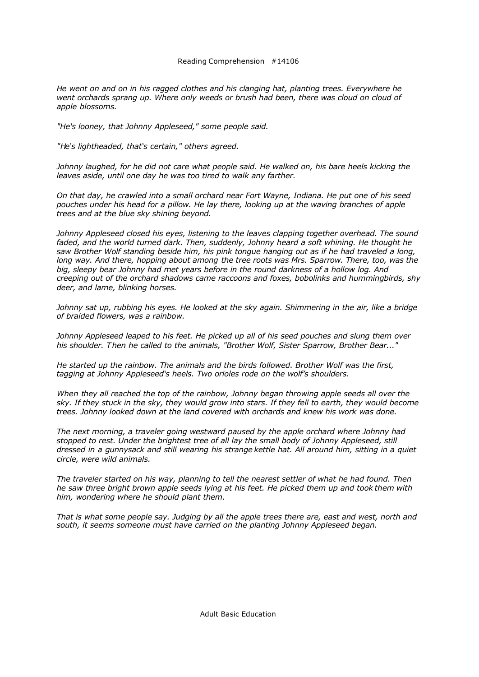*He went on and on in his ragged clothes and his clanging hat, planting trees. Everywhere he went orchards sprang up. Where only weeds or brush had been, there was cloud on cloud of apple blossoms.* 

*"He's looney, that Johnny Appleseed," some people said.* 

*"He's lightheaded, that's certain," others agreed.* 

*Johnny laughed, for he did not care what people said. He walked on, his bare heels kicking the leaves aside, until one day he was too tired to walk any farther.* 

*On that day, he crawled into a small orchard near Fort Wayne, Indiana. He put one of his seed pouches under his head for a pillow. He lay there, looking up at the waving branches of apple trees and at the blue sky shining beyond.* 

Johnny Appleseed closed his eyes, listening to the leaves clapping together overhead. The sound faded, and the world turned dark. Then, suddenly, Johnny heard a soft whining. He thought he *saw Brother Wolf standing beside him, his pink tongue hanging out as if he had traveled a long, long way. And there, hopping about among the tree roots was Mrs. Sparrow. There, too, was the big, sleepy bear Johnny had met years before in the round darkness of a hollow log. And creeping out of the orchard shadows came raccoons and foxes, bobolinks and hummingbirds, shy deer, and lame, blinking horses.* 

*Johnny sat up, rubbing his eyes. He looked at the sky again. Shimmering in the air, like a bridge of braided flowers, was a rainbow.* 

*Johnny Appleseed leaped to his feet. He picked up all of his seed pouches and slung them over his shoulder. Then he called to the animals, "Brother Wolf, Sister Sparrow, Brother Bear..."* 

*He started up the rainbow. The animals and the birds followed. Brother Wolf was the first, tagging at Johnny Appleseed's heels. Two orioles rode on the wolf's shoulders.* 

*When they all reached the top of the rainbow, Johnny began throwing apple seeds all over the sky. If they stuck in the sky, they would grow into stars. If they fell to earth, they would become trees. Johnny looked down at the land covered with orchards and knew his work was done.* 

*The next morning, a traveler going westward paused by the apple orchard where Johnny had stopped to rest. Under the brightest tree of all lay the small body of Johnny Appleseed, still dressed in a gunnysack and still wearing his strange kettle hat. All around him, sitting in a quiet circle, were wild animals.* 

*The traveler started on his way, planning to tell the nearest settler of what he had found. Then he saw three bright brown apple seeds lying at his feet. He picked them up and took them with him, wondering where he should plant them.* 

*That is what some people say. Judging by all the apple trees there are, east and west, north and south, it seems someone must have carried on the planting Johnny Appleseed began.*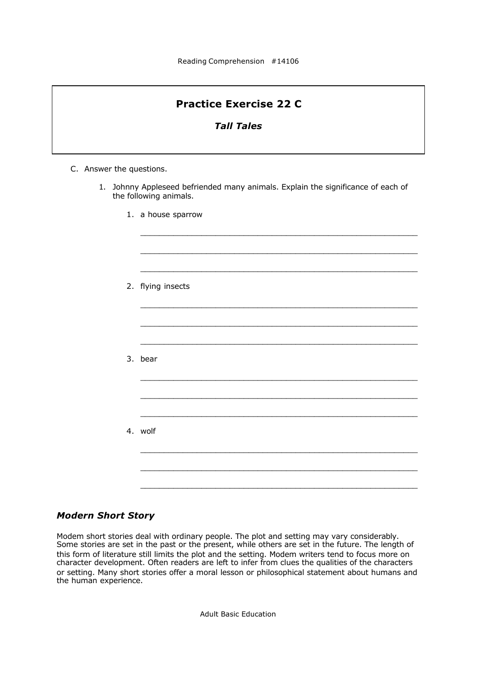| <b>Practice Exercise 22 C</b> |  |  |  |
|-------------------------------|--|--|--|
|-------------------------------|--|--|--|

#### *Tall Tales*

- C. Answer the questions.
	- 1. Johnny Appleseed befriended many animals. Explain the significance of each of the following animals.

 $\mathcal{L}_\mathcal{L}$  , and the set of the set of the set of the set of the set of the set of the set of the set of the set of the set of the set of the set of the set of the set of the set of the set of the set of the set of th

 $\mathcal{L}_\mathcal{L}$  , and the contribution of the contribution of the contribution of the contribution of the contribution of the contribution of the contribution of the contribution of the contribution of the contribution of

 $\mathcal{L}_\mathcal{L}$  , and the set of the set of the set of the set of the set of the set of the set of the set of the set of the set of the set of the set of the set of the set of the set of the set of the set of the set of th

 $\mathcal{L}_\mathcal{L}$  , and the set of the set of the set of the set of the set of the set of the set of the set of the set of the set of the set of the set of the set of the set of the set of the set of the set of the set of th

\_\_\_\_\_\_\_\_\_\_\_\_\_\_\_\_\_\_\_\_\_\_\_\_\_\_\_\_\_\_\_\_\_\_\_\_\_\_\_\_\_\_\_\_\_\_\_\_\_\_\_\_\_\_\_\_\_\_\_

\_\_\_\_\_\_\_\_\_\_\_\_\_\_\_\_\_\_\_\_\_\_\_\_\_\_\_\_\_\_\_\_\_\_\_\_\_\_\_\_\_\_\_\_\_\_\_\_\_\_\_\_\_\_\_\_\_\_\_

\_\_\_\_\_\_\_\_\_\_\_\_\_\_\_\_\_\_\_\_\_\_\_\_\_\_\_\_\_\_\_\_\_\_\_\_\_\_\_\_\_\_\_\_\_\_\_\_\_\_\_\_\_\_\_\_\_\_\_

\_\_\_\_\_\_\_\_\_\_\_\_\_\_\_\_\_\_\_\_\_\_\_\_\_\_\_\_\_\_\_\_\_\_\_\_\_\_\_\_\_\_\_\_\_\_\_\_\_\_\_\_\_\_\_\_\_\_\_

\_\_\_\_\_\_\_\_\_\_\_\_\_\_\_\_\_\_\_\_\_\_\_\_\_\_\_\_\_\_\_\_\_\_\_\_\_\_\_\_\_\_\_\_\_\_\_\_\_\_\_\_\_\_\_\_\_\_\_

\_\_\_\_\_\_\_\_\_\_\_\_\_\_\_\_\_\_\_\_\_\_\_\_\_\_\_\_\_\_\_\_\_\_\_\_\_\_\_\_\_\_\_\_\_\_\_\_\_\_\_\_\_\_\_\_\_\_\_

\_\_\_\_\_\_\_\_\_\_\_\_\_\_\_\_\_\_\_\_\_\_\_\_\_\_\_\_\_\_\_\_\_\_\_\_\_\_\_\_\_\_\_\_\_\_\_\_\_\_\_\_\_\_\_\_\_\_\_

\_\_\_\_\_\_\_\_\_\_\_\_\_\_\_\_\_\_\_\_\_\_\_\_\_\_\_\_\_\_\_\_\_\_\_\_\_\_\_\_\_\_\_\_\_\_\_\_\_\_\_\_\_\_\_\_\_\_\_

- 1. a house sparrow
- 2. flying insects
- 3. bear

4. wolf

### *Modern Short Story*

Modem short stories deal with ordinary people. The plot and setting may vary considerably. Some stories are set in the past or the present, while others are set in the future. The length of this form of literature still limits the plot and the setting. Modem writers tend to focus more on character development. Often readers are left to infer from clues the qualities of the characters or setting. Many short stories offer a moral lesson or philosophical statement about humans and the human experience.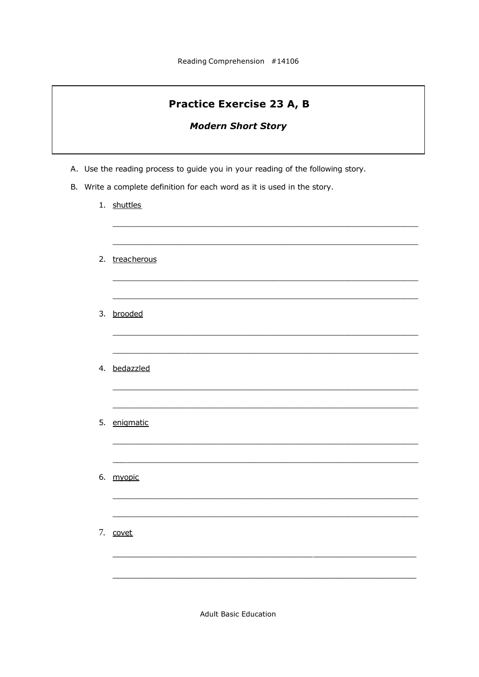# Practice Exercise 23 A, B

### **Modern Short Story**

- A. Use the reading process to guide you in your reading of the following story.
- B. Write a complete definition for each word as it is used in the story.
	- 1. shuttles

| 2. treacherous |  |
|----------------|--|
|                |  |
| 3. brooded     |  |
|                |  |
| 4. bedazzled   |  |
|                |  |
| 5. enigmatic   |  |
|                |  |
| 6. myopic      |  |
|                |  |
| 7. covet       |  |
|                |  |
|                |  |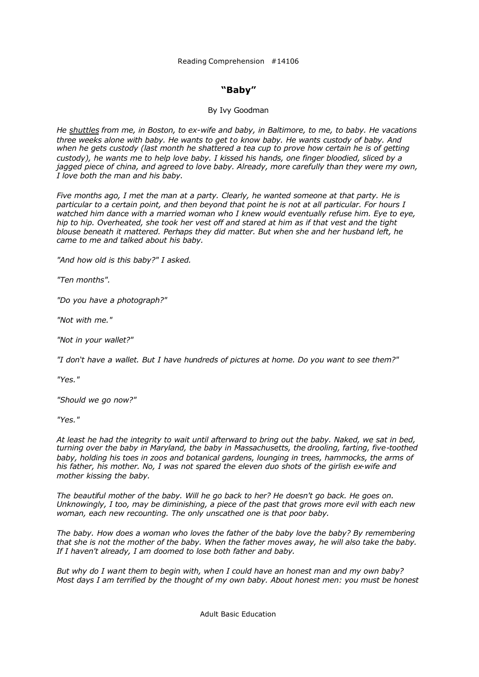### **"Baby"**

#### By Ivy Goodman

*He shuttles from me, in Boston, to ex-wife and baby, in Baltimore, to me, to baby. He vacations three weeks alone with baby. He wants to get to know baby. He wants custody of baby. And when he gets custody (last month he shattered a tea cup to prove how certain he is of getting custody), he wants me to help love baby. I kissed his hands, one finger bloodied, sliced by a jagged piece of china, and agreed to love baby. Already, more carefully than they were my own, I love both the man and his baby.* 

*Five months ago, I met the man at a party. Clearly, he wanted someone at that party. He is particular to a certain point, and then beyond that point he is not at all particular. For hours I watched him dance with a married woman who I knew would eventually refuse him. Eye to eye, hip to hip. Overheated, she took her vest off and stared at him as if that vest and the tight blouse beneath it mattered. Perhaps they did matter. But when she and her husband left, he came to me and talked about his baby.* 

*"And how old is this baby?" I asked.* 

*"Ten months".* 

*"Do you have a photograph?"* 

*"Not with me."* 

*"Not in your wallet?"* 

*"I don't have a wallet. But I have hundreds of pictures at home. Do you want to see them?"* 

*"Yes."* 

*"Should we go now?"* 

*"Yes."* 

*At least he had the integrity to wait until afterward to bring out the baby. Naked, we sat in bed, turning over the baby in Maryland, the baby in Massachusetts, the drooling, farting, five-toothed baby, holding his toes in zoos and botanical gardens, lounging in trees, hammocks, the arms of his father, his mother. No, I was not spared the eleven duo shots of the girlish ex-wife and mother kissing the baby.*

*The beautiful mother of the baby. Will he go back to her? He doesn't go back. He goes on. Unknowingly, I too, may be diminishing, a piece of the past that grows more evil with each new woman, each new recounting. The only unscathed one is that poor baby.* 

*The baby. How does a woman who loves the father of the baby love the baby? By remembering that she is not the mother of the baby. When the father moves away, he will also take the baby. If I haven't already, I am doomed to lose both father and baby.* 

*But why do I want them to begin with, when I could have an honest man and my own baby? Most days I am terrified by the thought of my own baby. About honest men: you must be honest*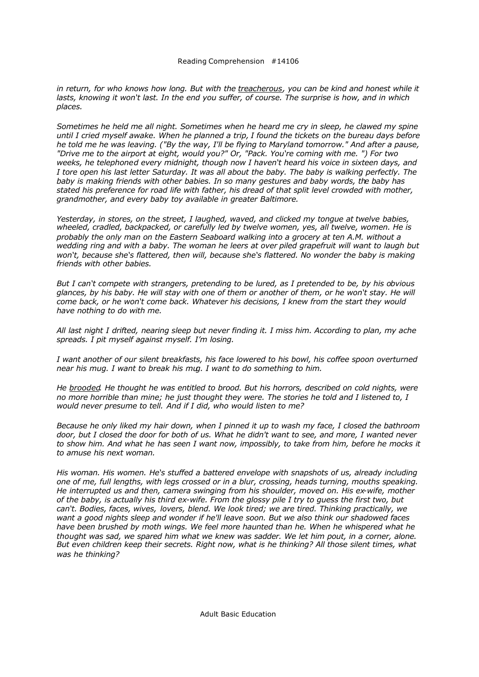in return, for who knows how long. But with the treacherous, you can be kind and honest while it *lasts, knowing it won't last. In the end you suffer, of course. The surprise is how, and in which places.* 

*Sometimes he held me all night. Sometimes when he heard me cry in sleep, he clawed my spine until I cried myself awake. When he planned a trip, I found the tickets on the bureau days before he told me he was leaving. ("By the way, I'll be flying to Maryland tomorrow." And after a pause, "Drive me to the airport at eight, would you?" Or, "Pack. You're coming with me. ") For two weeks, he telephoned every midnight, though now I haven't heard his voice in sixteen days, and I tore open his last letter Saturday. It was all about the baby. The baby is walking perfectly. The baby is making friends with other babies. In so many gestures and baby words, the baby has stated his preference for road life with father, his dread of that split level crowded with mother, grandmother, and every baby toy available in greater Baltimore.* 

*Yesterday, in stores, on the street, I laughed, waved, and clicked my tongue at twelve babies, wheeled, cradled, backpacked, or carefully led by twelve women, yes, all twelve, women. He is probably the only man on the Eastern Seaboard walking into a grocery at ten A.M. without a wedding ring and with a baby. The woman he leers at over piled grapefruit will want to laugh but*  won't, because she's flattered, then will, because she's flattered. No wonder the baby is making *friends with other babies.* 

*But I can't compete with strangers, pretending to be lured, as I pretended to be, by his obvious glances, by his baby. He will stay with one of them or another of them, or he won't stay. He will come back, or he won't come back. Whatever his decisions, I knew from the start they would have nothing to do with me.* 

*All last night I drifted, nearing sleep but never finding it. I miss him. According to plan, my ache spreads. I pit myself against myself. I'm losing.* 

*I want another of our silent breakfasts, his face lowered to his bowl, his coffee spoon overturned near his mug. I want to break his mug. I want to do something to him.* 

*He brooded. He thought he was entitled to brood. But his horrors, described on cold nights, were no more horrible than mine; he just thought they were. The stories he told and I listened to, I would never presume to tell. And if I did, who would listen to me?* 

*Because he only liked my hair down, when I pinned it up to wash my face, I closed the bathroom door, but I closed the door for both of us. What he didn't want to see, and more, I wanted never to show him. And what he has seen I want now, impossibly, to take from him, before he mocks it to amuse his next woman.* 

*His woman. His women. He's stuffed a battered envelope with snapshots of us, already including one of me, full lengths, with legs crossed or in a blur, crossing, heads turning, mouths speaking. He interrupted us and then, camera swinging from his shoulder, moved on. His ex-wife, mother of the baby, is actually his third ex-wife. From the glossy pile I try to guess the first two, but can't. Bodies, faces, wives, lovers, blend. We look tired; we are tired. Thinking practically, we want a good nights sleep and wonder if he'll leave soon. But we also think our shadowed faces have been brushed by moth wings. We feel more haunted than he. When he whispered what he thought was sad, we spared him what we knew was sadder. We let him pout, in a corner, alone. But even children keep their secrets. Right now, what is he thinking? All those silent times, what was he thinking?*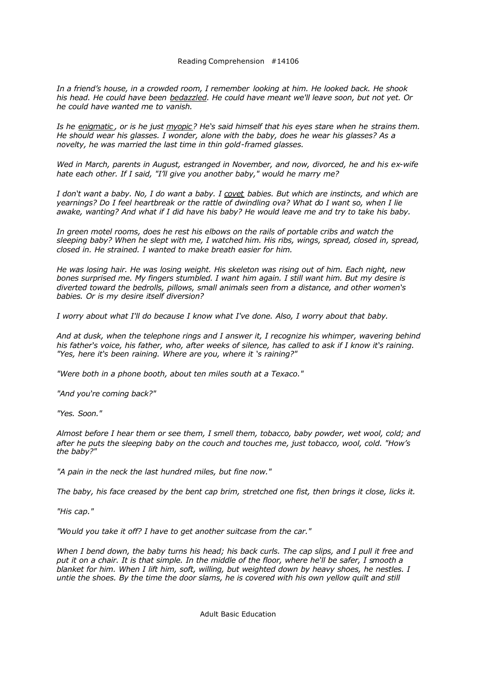*In a friend's house, in a crowded room, I remember looking at him. He looked back. He shook his head. He could have been bedazzled. He could have meant we'll leave soon, but not yet. Or he could have wanted me to vanish.* 

*Is he enigmatic , or is he just myopic? He's said himself that his eyes stare when he strains them. He should wear his glasses. I wonder, alone with the baby, does he wear his glasses? As a novelty, he was married the last time in thin gold-framed glasses.* 

*Wed in March, parents in August, estranged in November, and now, divorced, he and his ex-wife hate each other. If I said, "I'll give you another baby," would he marry me?* 

*I don't want a baby. No, I do want a baby. I covet babies. But which are instincts, and which are yearnings? Do I feel heartbreak or the rattle of dwindling ova? What do I want so, when I lie awake, wanting? And what if I did have his baby? He would leave me and try to take his baby.* 

*In green motel rooms, does he rest his elbows on the rails of portable cribs and watch the sleeping baby? When he slept with me, I watched him. His ribs, wings, spread, closed in, spread, closed in. He strained. I wanted to make breath easier for him.* 

*He was losing hair. He was losing weight. His skeleton was rising out of him. Each night, new bones surprised me. My fingers stumbled. I want him again. I still want him. But my desire is diverted toward the bedrolls, pillows, small animals seen from a distance, and other women's babies. Or is my desire itself diversion?* 

*I worry about what I'll do because I know what I've done. Also, I worry about that baby.* 

*And at dusk, when the telephone rings and I answer it, I recognize his whimper, wavering behind his father's voice, his father, who, after weeks of silence, has called to ask if I know it's raining. "Yes, here it's been raining. Where are you, where it 's raining?"* 

*"Were both in a phone booth, about ten miles south at a Texaco."* 

*"And you're coming back?"* 

*"Yes. Soon."*

*Almost before I hear them or see them, I smell them, tobacco, baby powder, wet wool, cold; and after he puts the sleeping baby on the couch and touches me, just tobacco, wool, cold. "How's the baby?"* 

*"A pain in the neck the last hundred miles, but fine now."* 

*The baby, his face creased by the bent cap brim, stretched one fist, then brings it close, licks it.* 

*"His cap."* 

*"Would you take it off? I have to get another suitcase from the car."* 

When I bend down, the baby turns his head; his back curls. The cap slips, and I pull it free and *put it on a chair. It is that simple. In the middle of the floor, where he'll be safer, I smooth a blanket for him. When I lift him, soft, willing, but weighted down by heavy shoes, he nestles. I untie the shoes. By the time the door slams, he is covered with his own yellow quilt and still*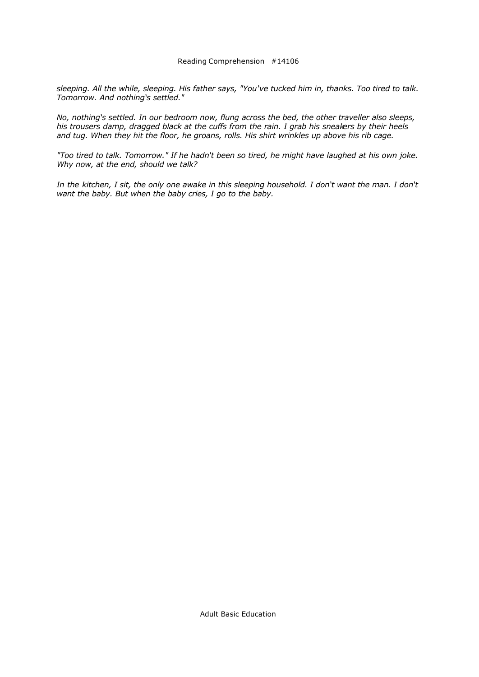*sleeping. All the while, sleeping. His father says, "You've tucked him in, thanks. Too tired to talk. Tomorrow. And nothing's settled."* 

*No, nothing's settled. In our bedroom now, flung across the bed, the other traveller also sleeps, his trousers damp, dragged black at the cuffs from the rain. I grab his sneakers by their heels and tug. When they hit the floor, he groans, rolls. His shirt wrinkles up above his rib cage.* 

*"Too tired to talk. Tomorrow." If he hadn't been so tired, he might have laughed at his own joke. Why now, at the end, should we talk?* 

*In the kitchen, I sit, the only one awake in this sleeping household. I don't want the man. I don't want the baby. But when the baby cries, I go to the baby.*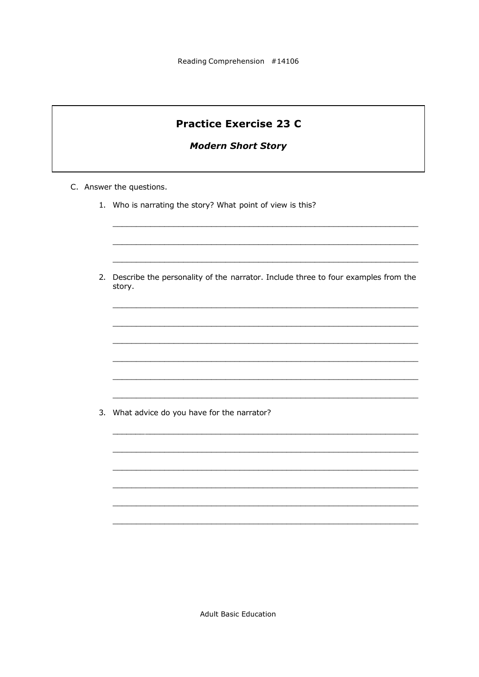### **Practice Exercise 23 C**

### **Modern Short Story**

- C. Answer the questions.
	- 1. Who is narrating the story? What point of view is this?
	- 2. Describe the personality of the narrator. Include three to four examples from the story.

3. What advice do you have for the narrator?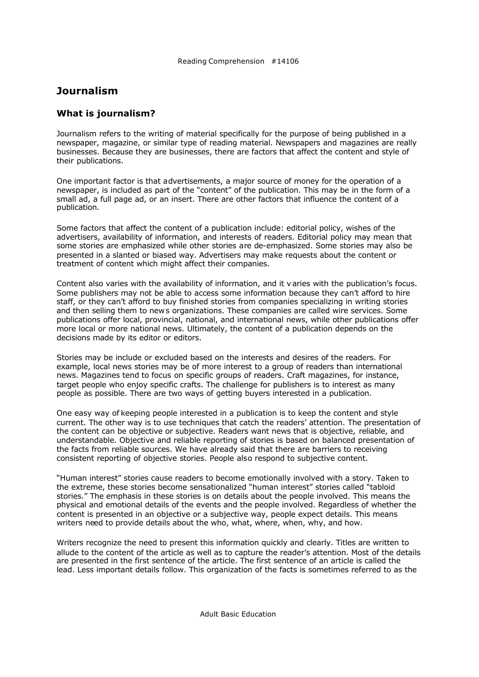## **Journalism**

### **What is journalism?**

Journalism refers to the writing of material specifically for the purpose of being published in a newspaper, magazine, or similar type of reading material. Newspapers and magazines are really businesses. Because they are businesses, there are factors that affect the content and style of their publications.

One important factor is that advertisements, a major source of money for the operation of a newspaper, is included as part of the "content" of the publication. This may be in the form of a small ad, a full page ad, or an insert. There are other factors that influence the content of a publication.

Some factors that affect the content of a publication include: editorial policy, wishes of the advertisers, availability of information, and interests of readers. Editorial policy may mean that some stories are emphasized while other stories are de-emphasized. Some stories may also be presented in a slanted or biased way. Advertisers may make requests about the content or treatment of content which might affect their companies.

Content also varies with the availability of information, and it varies with the publication's focus. Some publishers may not be able to access some information because they can't afford to hire staff, or they can't afford to buy finished stories from companies specializing in writing stories and then selling them to new s organizations. These companies are called wire services. Some publications offer local, provincial, national, and international news, while other publications offer more local or more national news. Ultimately, the content of a publication depends on the decisions made by its editor or editors.

Stories may be include or excluded based on the interests and desires of the readers. For example, local news stories may be of more interest to a group of readers than international news. Magazines tend to focus on specific groups of readers. Craft magazines, for instance, target people who enjoy specific crafts. The challenge for publishers is to interest as many people as possible. There are two ways of getting buyers interested in a publication.

One easy way of keeping people interested in a publication is to keep the content and style current. The other way is to use techniques that catch the readers' attention. The presentation of the content can be objective or subjective. Readers want news that is objective, reliable, and understandable. Objective and reliable reporting of stories is based on balanced presentation of the facts from reliable sources. We have already said that there are barriers to receiving consistent reporting of objective stories. People also respond to subjective content.

"Human interest" stories cause readers to become emotionally involved with a story. Taken to the extreme, these stories become sensationalized "human interest" stories called "tabloid stories." The emphasis in these stories is on details about the people involved. This means the physical and emotional details of the events and the people involved. Regardless of whether the content is presented in an objective or a subjective way, people expect details. This means writers need to provide details about the who, what, where, when, why, and how.

Writers recognize the need to present this information quickly and clearly. Titles are written to allude to the content of the article as well as to capture the reader's attention. Most of the details are presented in the first sentence of the article. The first sentence of an article is called the lead. Less important details follow. This organization of the facts is sometimes referred to as the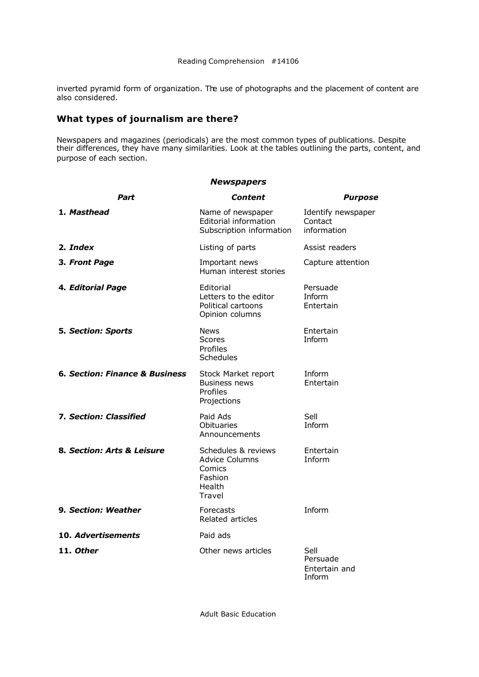inverted pyramid form of organization. The use of photographs and the placement of content are also considered.

### **What types of journalism are there?**

Newspapers and magazines (periodicals) are the most common types of publications. Despite their differences, they have many similarities. Look at the tables outlining the parts, content, and purpose of each section.

*Newspapers* 

| Part                                      | Content                                                                               | <b>Purpose</b>                               |
|-------------------------------------------|---------------------------------------------------------------------------------------|----------------------------------------------|
| 1. Masthead                               | Name of newspaper<br><b>Editorial information</b><br>Subscription information         | Identify newspaper<br>Contact<br>information |
| 2. Index                                  | Listing of parts                                                                      | Assist readers                               |
| 3. Front Page                             | Important news<br>Human interest stories                                              | Capture attention                            |
| 4. Editorial Page                         | Editorial<br>Letters to the editor<br>Political cartoons<br>Opinion columns           | Persuade<br>Inform<br>Entertain              |
| <b>5. Section: Sports</b>                 | <b>News</b><br><b>Scores</b><br>Profiles<br>Schedules                                 | Entertain<br>Inform                          |
| <b>6. Section: Finance &amp; Business</b> | Stock Market report<br>Business news<br>Profiles<br>Projections                       | Inform<br>Entertain                          |
| 7. Section: Classified                    | Paid Ads<br>Obituaries<br>Announcements                                               | Sell<br>Inform                               |
| <b>8. Section: Arts &amp; Leisure</b>     | Schedules & reviews<br><b>Advice Columns</b><br>Comics<br>Fashion<br>Health<br>Travel | Entertain<br>Inform                          |
| 9. Section: Weather                       | Forecasts<br>Related articles                                                         | Inform                                       |
| <b>10. Advertisements</b>                 | Paid ads                                                                              |                                              |
| 11. Other                                 | Other news articles                                                                   | Sell<br>Persuade<br>Entertain and<br>Inform  |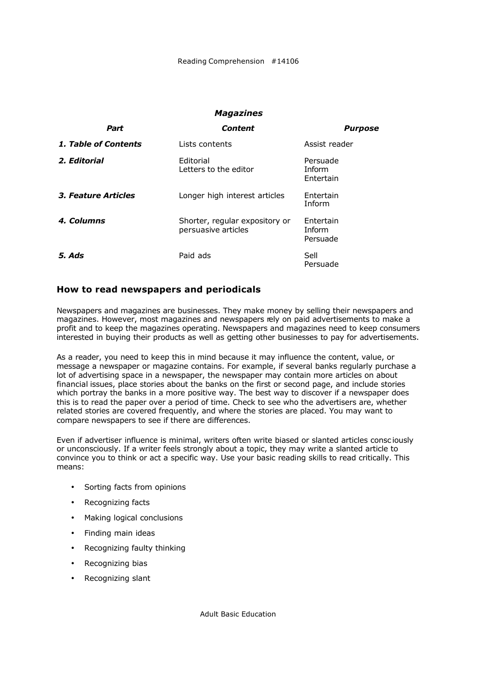#### *Magazines*

| Part                 | <b>Content</b>                                        | <b>Purpose</b>                  |
|----------------------|-------------------------------------------------------|---------------------------------|
| 1. Table of Contents | Lists contents                                        | Assist reader                   |
| 2. Editorial         | Editorial<br>Letters to the editor                    | Persuade<br>Inform<br>Entertain |
| 3. Feature Articles  | Longer high interest articles                         | Entertain<br>Inform             |
| 4. Columns           | Shorter, regular expository or<br>persuasive articles | Entertain<br>Inform<br>Persuade |
| 5. Ads               | Paid ads                                              | Sell<br>Persuade                |

#### **How to read newspapers and periodicals**

Newspapers and magazines are businesses. They make money by selling their newspapers and magazines. However, most magazines and newspapers rely on paid advertisements to make a profit and to keep the magazines operating. Newspapers and magazines need to keep consumers interested in buying their products as well as getting other businesses to pay for advertisements.

As a reader, you need to keep this in mind because it may influence the content, value, or message a newspaper or magazine contains. For example, if several banks regularly purchase a lot of advertising space in a newspaper, the newspaper may contain more articles on about financial issues, place stories about the banks on the first or second page, and include stories which portray the banks in a more positive way. The best way to discover if a newspaper does this is to read the paper over a period of time. Check to see who the advertisers are, whether related stories are covered frequently, and where the stories are placed. You may want to compare newspapers to see if there are differences.

Even if advertiser influence is minimal, writers often write biased or slanted articles consc iously or unconsciously. If a writer feels strongly about a topic, they may write a slanted article to convince you to think or act a specific way. Use your basic reading skills to read critically. This means:

- Sorting facts from opinions
- Recognizing facts
- Making logical conclusions
- Finding main ideas
- Recognizing faulty thinking
- Recognizing bias
- Recognizing slant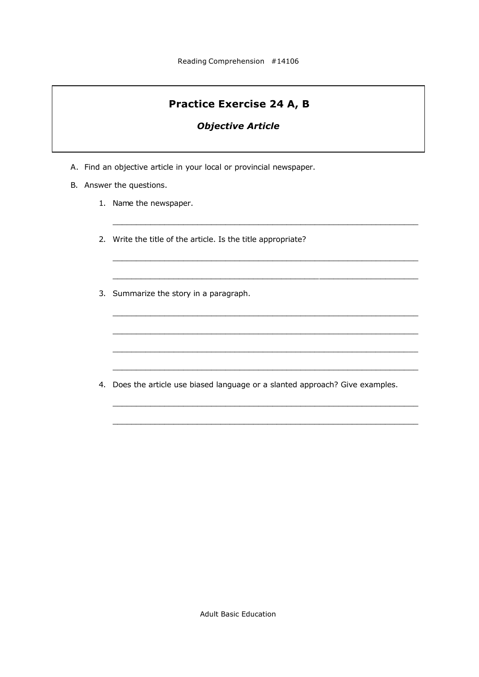# **Practice Exercise 24 A, B**

### *Objective Article*

 $\mathcal{L}_\mathcal{L}$  , and the contribution of the contribution of the contribution of the contribution of the contribution of the contribution of the contribution of the contribution of the contribution of the contribution of

 $\mathcal{L}_\mathcal{L}$  , and the contribution of the contribution of the contribution of the contribution of the contribution of the contribution of the contribution of the contribution of the contribution of the contribution of

 $\Box$ 

 $\mathcal{L}_\mathcal{L}$  , and the contribution of the contribution of the contribution of the contribution of the contribution of the contribution of the contribution of the contribution of the contribution of the contribution of

 $\_$  ,  $\_$  ,  $\_$  ,  $\_$  ,  $\_$  ,  $\_$  ,  $\_$  ,  $\_$  ,  $\_$  ,  $\_$  ,  $\_$  ,  $\_$  ,  $\_$  ,  $\_$  ,  $\_$  ,  $\_$  ,  $\_$  ,  $\_$  ,  $\_$ 

\_\_\_\_\_\_\_\_\_\_\_\_\_\_\_\_\_\_\_\_\_\_\_\_\_\_\_\_\_\_\_\_\_\_\_\_\_\_\_\_\_\_\_\_\_\_\_\_\_\_\_\_\_\_\_\_\_\_\_\_\_\_\_\_\_

 $\_$  ,  $\_$  ,  $\_$  ,  $\_$  ,  $\_$  ,  $\_$  ,  $\_$  ,  $\_$  ,  $\_$  ,  $\_$  ,  $\_$  ,  $\_$  ,  $\_$  ,  $\_$  ,  $\_$  ,  $\_$  ,  $\_$  ,  $\_$  ,  $\_$ 

 $\_$  ,  $\_$  ,  $\_$  ,  $\_$  ,  $\_$  ,  $\_$  ,  $\_$  ,  $\_$  ,  $\_$  ,  $\_$  ,  $\_$  ,  $\_$  ,  $\_$  ,  $\_$  ,  $\_$  ,  $\_$  ,  $\_$  ,  $\_$  ,  $\_$ 

 $\Box$ 

- A. Find an objective article in your local or provincial newspaper.
- B. Answer the questions.
	- 1. Name the newspaper.
	- 2. Write the title of the article. Is the title appropriate?
	- 3. Summarize the story in a paragraph.

4. Does the article use biased language or a slanted approach? Give examples.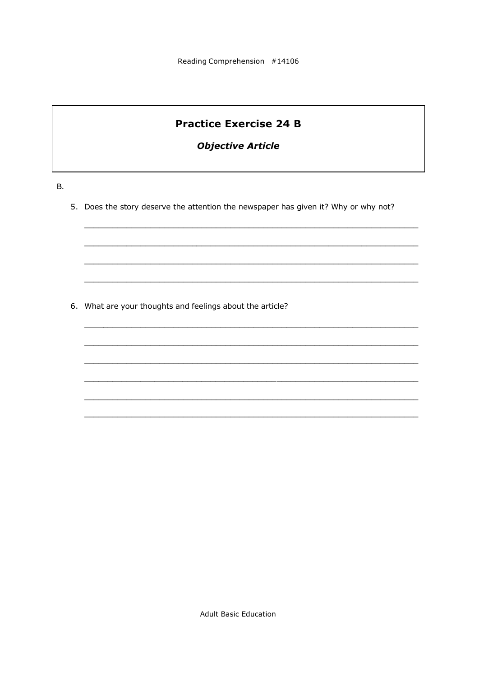# **Practice Exercise 24 B**

# **Objective Article**

**B.** 

5. Does the story deserve the attention the newspaper has given it? Why or why not?

6. What are your thoughts and feelings about the article?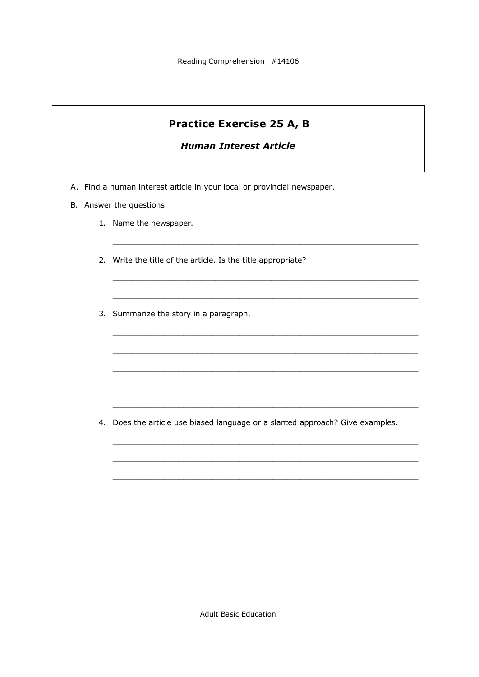## **Practice Exercise 25 A, B**

### *Human Interest Article*

 $\mathcal{L}_\mathcal{L}$  , and the contribution of the contribution of the contribution of the contribution of the contribution of the contribution of the contribution of the contribution of the contribution of the contribution of

 $\Box$ 

 $\mathcal{L}_\mathcal{L}$  , and the contribution of the contribution of the contribution of the contribution of the contribution of the contribution of the contribution of the contribution of the contribution of the contribution of

 $\_$  ,  $\_$  ,  $\_$  ,  $\_$  ,  $\_$  ,  $\_$  ,  $\_$  ,  $\_$  ,  $\_$  ,  $\_$  ,  $\_$  ,  $\_$  ,  $\_$  ,  $\_$  ,  $\_$  ,  $\_$  ,  $\_$  ,  $\_$  ,  $\_$ 

\_\_\_\_\_\_\_\_\_\_\_\_\_\_\_\_\_\_\_\_\_\_\_\_\_\_\_\_\_\_\_\_\_\_\_\_\_\_\_\_\_\_\_\_\_\_\_\_\_\_\_\_\_\_\_\_\_\_\_\_\_\_\_\_\_

 $\_$  ,  $\_$  ,  $\_$  ,  $\_$  ,  $\_$  ,  $\_$  ,  $\_$  ,  $\_$  ,  $\_$  ,  $\_$  ,  $\_$  ,  $\_$  ,  $\_$  ,  $\_$  ,  $\_$  ,  $\_$  ,  $\_$  ,  $\_$  ,  $\_$ 

 $\_$  ,  $\_$  ,  $\_$  ,  $\_$  ,  $\_$  ,  $\_$  ,  $\_$  ,  $\_$  ,  $\_$  ,  $\_$  ,  $\_$  ,  $\_$  ,  $\_$  ,  $\_$  ,  $\_$  ,  $\_$  ,  $\_$  ,  $\_$  ,  $\_$ 

 $\_$  ,  $\_$  ,  $\_$  ,  $\_$  ,  $\_$  ,  $\_$  ,  $\_$  ,  $\_$  ,  $\_$  ,  $\_$  ,  $\_$  ,  $\_$  ,  $\_$  ,  $\_$  ,  $\_$  ,  $\_$  ,  $\_$  ,  $\_$  ,  $\_$ 

 $\_$  ,  $\_$  ,  $\_$  ,  $\_$  ,  $\_$  ,  $\_$  ,  $\_$  ,  $\_$  ,  $\_$  ,  $\_$  ,  $\_$  ,  $\_$  ,  $\_$  ,  $\_$  ,  $\_$  ,  $\_$  ,  $\_$  ,  $\_$  ,  $\_$ 

 $\_$  ,  $\_$  ,  $\_$  ,  $\_$  ,  $\_$  ,  $\_$  ,  $\_$  ,  $\_$  ,  $\_$  ,  $\_$  ,  $\_$  ,  $\_$  ,  $\_$  ,  $\_$  ,  $\_$  ,  $\_$  ,  $\_$  ,  $\_$  ,  $\_$ 

 $\_$  ,  $\_$  ,  $\_$  ,  $\_$  ,  $\_$  ,  $\_$  ,  $\_$  ,  $\_$  ,  $\_$  ,  $\_$  ,  $\_$  ,  $\_$  ,  $\_$  ,  $\_$  ,  $\_$  ,  $\_$  ,  $\_$  ,  $\_$  ,  $\_$ 

- A. Find a human interest article in your local or provincial newspaper.
- B. Answer the questions.
	- 1. Name the newspaper.
	- 2. Write the title of the article. Is the title appropriate?
	- 3. Summarize the story in a paragraph.

4. Does the article use biased language or a slanted approach? Give examples.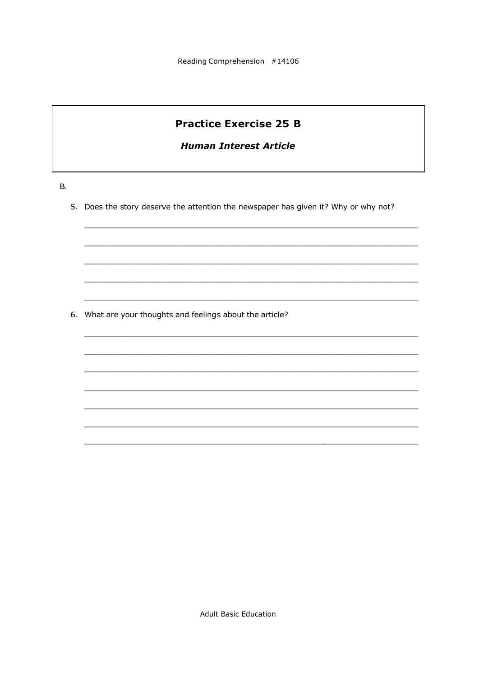# **Practice Exercise 25 B**

### **Human Interest Article**

**B.** 

5. Does the story deserve the attention the newspaper has given it? Why or why not?

6. What are your thoughts and feelings about the article?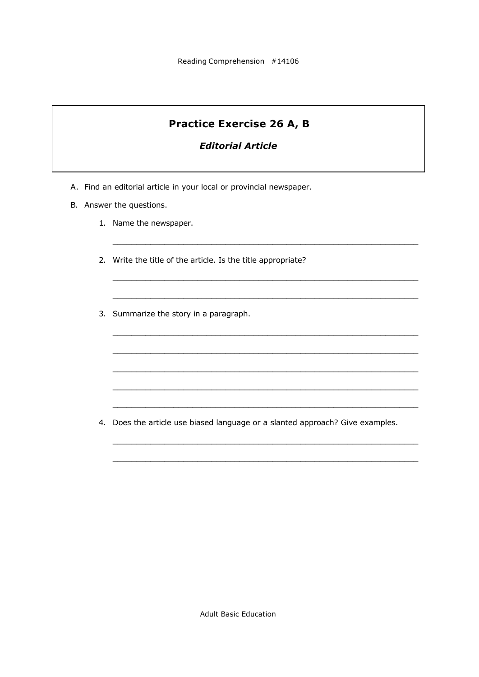# **Practice Exercise 26 A, B**

### *Editorial Article*

 $\mathcal{L}_\mathcal{L}$  , and the contribution of the contribution of the contribution of the contribution of the contribution of the contribution of the contribution of the contribution of the contribution of the contribution of

 $\mathcal{L}_\mathcal{L}$  , and the contribution of the contribution of the contribution of the contribution of the contribution of the contribution of the contribution of the contribution of the contribution of the contribution of

 $\mathcal{L}_\mathcal{L}$  , and the contribution of the contribution of the contribution of the contribution of the contribution of the contribution of the contribution of the contribution of the contribution of the contribution of

\_\_\_\_\_\_\_\_\_\_\_\_\_\_\_\_\_\_\_\_\_\_\_\_\_\_\_\_\_\_\_\_\_\_\_\_\_\_\_\_\_\_\_\_\_\_\_\_\_\_\_\_\_\_\_\_\_\_\_\_\_\_\_\_\_

 $\_$  ,  $\_$  ,  $\_$  ,  $\_$  ,  $\_$  ,  $\_$  ,  $\_$  ,  $\_$  ,  $\_$  ,  $\_$  ,  $\_$  ,  $\_$  ,  $\_$  ,  $\_$  ,  $\_$  ,  $\_$  ,  $\_$  ,  $\_$  ,  $\_$ 

 $\_$  ,  $\_$  ,  $\_$  ,  $\_$  ,  $\_$  ,  $\_$  ,  $\_$  ,  $\_$  ,  $\_$  ,  $\_$  ,  $\_$  ,  $\_$  ,  $\_$  ,  $\_$  ,  $\_$  ,  $\_$  ,  $\_$  ,  $\_$  ,  $\_$ 

 $\_$  ,  $\_$  ,  $\_$  ,  $\_$  ,  $\_$  ,  $\_$  ,  $\_$  ,  $\_$  ,  $\_$  ,  $\_$  ,  $\_$  ,  $\_$  ,  $\_$  ,  $\_$  ,  $\_$  ,  $\_$  ,  $\_$  ,  $\_$  ,  $\_$ 

 $\Box$ 

 $\_$  ,  $\_$  ,  $\_$  ,  $\_$  ,  $\_$  ,  $\_$  ,  $\_$  ,  $\_$  ,  $\_$  ,  $\_$  ,  $\_$  ,  $\_$  ,  $\_$  ,  $\_$  ,  $\_$  ,  $\_$  ,  $\_$  ,  $\_$  ,  $\_$ 

 $\_$  ,  $\_$  ,  $\_$  ,  $\_$  ,  $\_$  ,  $\_$  ,  $\_$  ,  $\_$  ,  $\_$  ,  $\_$  ,  $\_$  ,  $\_$  ,  $\_$  ,  $\_$  ,  $\_$  ,  $\_$  ,  $\_$  ,  $\_$  ,  $\_$ 

- A. Find an editorial article in your local or provincial newspaper.
- B. Answer the questions.
	- 1. Name the newspaper.
	- 2. Write the title of the article. Is the title appropriate?
	- 3. Summarize the story in a paragraph.

4. Does the article use biased language or a slanted approach? Give examples.